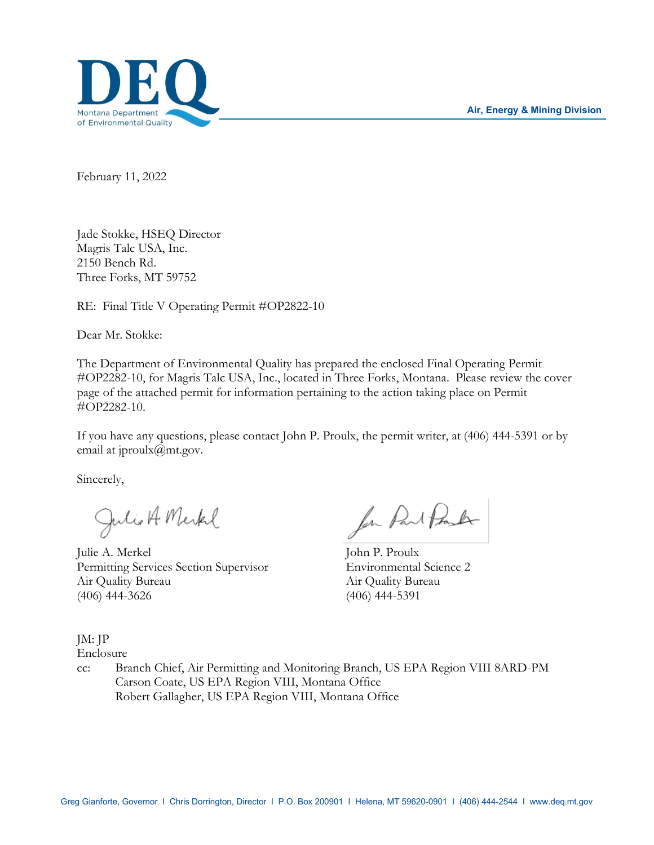

February 11, 2022

Jade Stokke, HSEQ Director Magris Talc USA, Inc. 2150 Bench Rd. Three Forks, MT 59752

RE: Final Title V Operating Permit #OP2822-10

Dear Mr. Stokke:

The Department of Environmental Quality has prepared the enclosed Final Operating Permit #OP2282-10, for Magris Talc USA, Inc., located in Three Forks, Montana. Please review the cover page of the attached permit for information pertaining to the action taking place on Permit #OP2282-10.

If you have any questions, please contact John P. Proulx, the permit writer, at (406) 444-5391 or by email at jproulx@mt.gov.

Sincerely,

Julio A Merkel

Julie A. Merkel John P. Proulx Permitting Services Section Supervisor Environmental Science 2 Air Quality Bureau Air Quality Bureau (406) 444-3626 (406) 444-5391

for Part Proster

JM: JP

Enclosure

cc: Branch Chief, Air Permitting and Monitoring Branch, US EPA Region VIII 8ARD-PM Carson Coate, US EPA Region VIII, Montana Office Robert Gallagher, US EPA Region VIII, Montana Office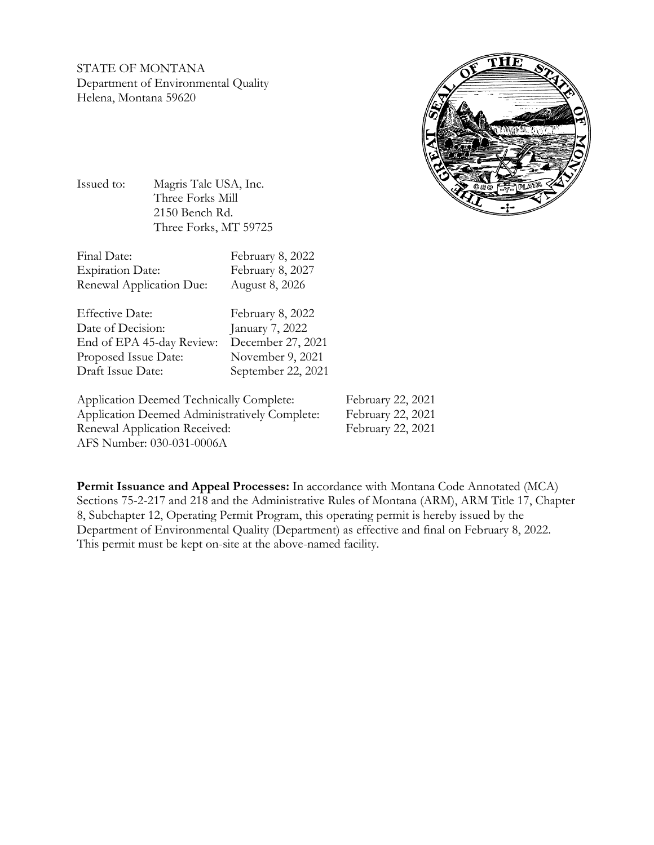STATE OF MONTANA Department of Environmental Quality Helena, Montana 59620



Issued to: Magris Talc USA, Inc. Three Forks Mill 2150 Bench Rd. Three Forks, MT 59725

Final Date: February 8, 2022 Expiration Date: February 8, 2027 Renewal Application Due: August 8, 2026

Effective Date: February 8, 2022 Date of Decision: January 7, 2022 End of EPA 45-day Review: December 27, 2021 Proposed Issue Date: November 9, 2021 Draft Issue Date: September 22, 2021

Application Deemed Technically Complete: February 22, 2021 Application Deemed Administratively Complete: February 22, 2021 Renewal Application Received: February 22, 2021 AFS Number: 030-031-0006A

**Permit Issuance and Appeal Processes:** In accordance with Montana Code Annotated (MCA) Sections 75-2-217 and 218 and the Administrative Rules of Montana (ARM), ARM Title 17, Chapter 8, Subchapter 12, Operating Permit Program, this operating permit is hereby issued by the Department of Environmental Quality (Department) as effective and final on February 8, 2022. This permit must be kept on-site at the above-named facility.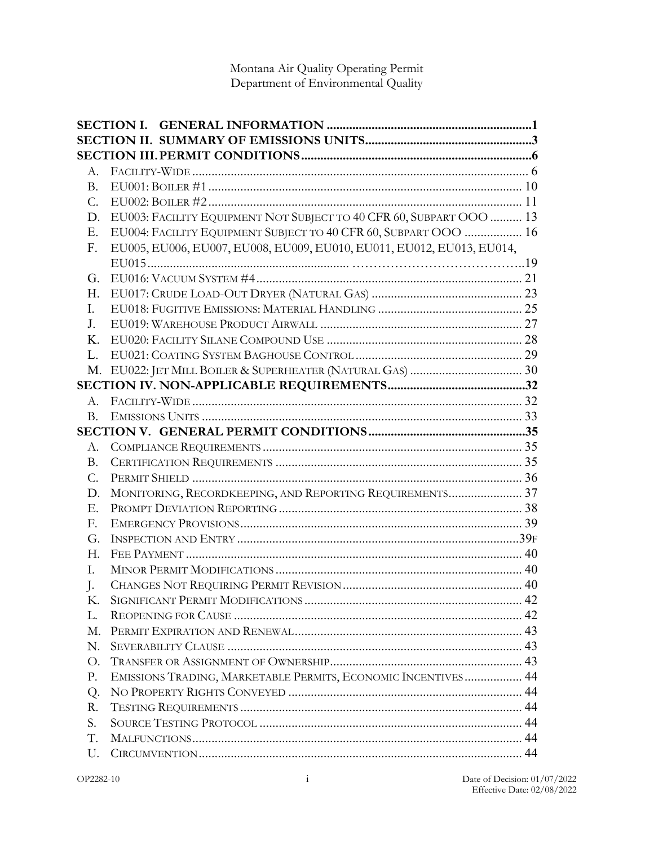# Montana Air Quality Operating Permit Department of Environmental Quality

| A.        |                                                                       |  |
|-----------|-----------------------------------------------------------------------|--|
| B.        |                                                                       |  |
| C.        |                                                                       |  |
| D.        | EU003: FACILITY EQUIPMENT NOT SUBJECT TO 40 CFR 60, SUBPART OOO  13   |  |
| E.        | EU004: FACILITY EQUIPMENT SUBJECT TO 40 CFR 60, SUBPART OOO  16       |  |
| F.        | EU005, EU006, EU007, EU008, EU009, EU010, EU011, EU012, EU013, EU014, |  |
|           |                                                                       |  |
| G.        |                                                                       |  |
| Η.        |                                                                       |  |
| I.        |                                                                       |  |
| J.        |                                                                       |  |
| Κ.        |                                                                       |  |
| L.        |                                                                       |  |
|           |                                                                       |  |
|           |                                                                       |  |
| A.        |                                                                       |  |
| $B_{-}$   |                                                                       |  |
|           |                                                                       |  |
| А.        |                                                                       |  |
| <b>B.</b> |                                                                       |  |
| C.        |                                                                       |  |
| D.        |                                                                       |  |
| Е.        |                                                                       |  |
| F.        |                                                                       |  |
| G.        |                                                                       |  |
| Н.        |                                                                       |  |
| Ι.        |                                                                       |  |
| J.        |                                                                       |  |
| К.        |                                                                       |  |
| L.        |                                                                       |  |
| М.        |                                                                       |  |
| N.        |                                                                       |  |
| O.        |                                                                       |  |
| Р.        | EMISSIONS TRADING, MARKETABLE PERMITS, ECONOMIC INCENTIVES 44         |  |
| Q.        |                                                                       |  |
| R.        |                                                                       |  |
| S.        |                                                                       |  |
| T.        |                                                                       |  |
| U.        |                                                                       |  |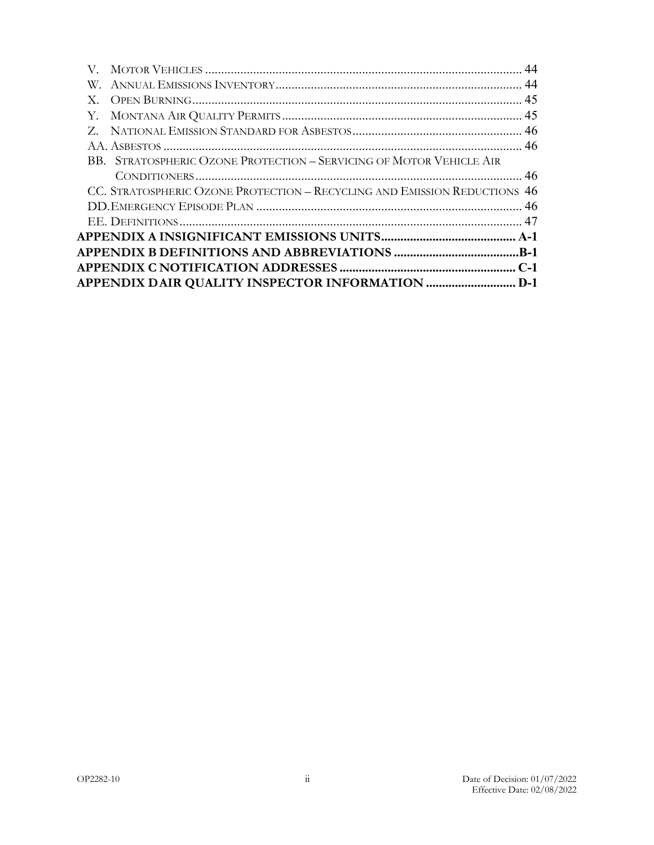| V.                                                                        |  |
|---------------------------------------------------------------------------|--|
|                                                                           |  |
| X.                                                                        |  |
|                                                                           |  |
|                                                                           |  |
|                                                                           |  |
| BB. STRATOSPHERIC OZONE PROTECTION - SERVICING OF MOTOR VEHICLE AIR       |  |
|                                                                           |  |
| CC. STRATOSPHERIC OZONE PROTECTION – RECYCLING AND EMISSION REDUCTIONS 46 |  |
|                                                                           |  |
|                                                                           |  |
|                                                                           |  |
|                                                                           |  |
|                                                                           |  |
| APPENDIX DAIR QUALITY INSPECTOR INFORMATION  D-1                          |  |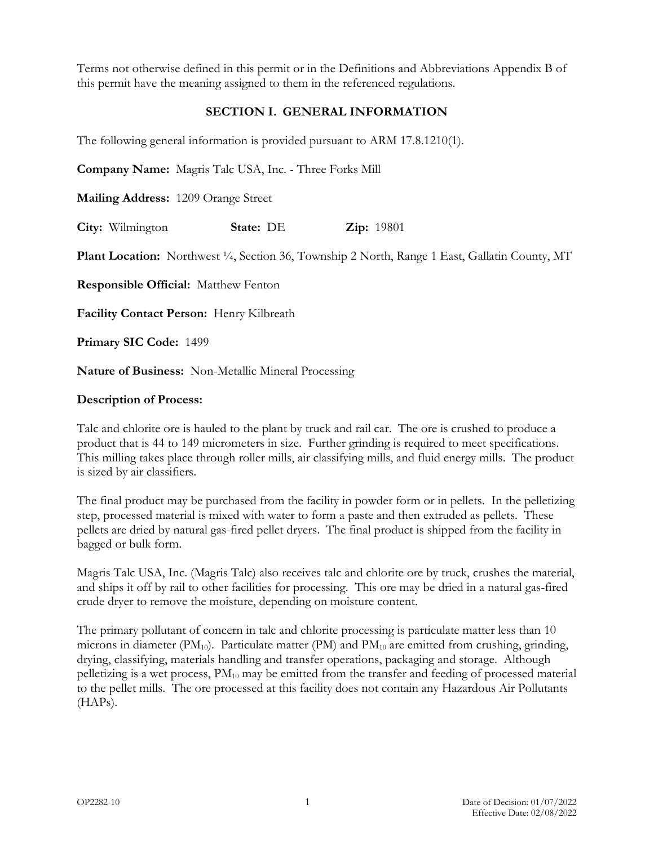Terms not otherwise defined in this permit or in the Definitions and Abbreviations [Appendix B](#page-53-0) of this permit have the meaning assigned to them in the referenced regulations.

## **SECTION I. GENERAL INFORMATION**

The following general information is provided pursuant to ARM 17.8.1210(1).

**Company Name:** Magris Talc USA, Inc. - Three Forks Mill

**Mailing Address:** 1209 Orange Street

**City:** Wilmington **State:** DE **Zip:** 19801

**Plant Location:** Northwest <sup>1</sup>/<sub>4</sub>, Section 36, Township 2 North, Range 1 East, Gallatin County, MT

**Responsible Official:** Matthew Fenton

**Facility Contact Person:** Henry Kilbreath

**Primary SIC Code:** 1499

**Nature of Business:** Non-Metallic Mineral Processing

#### **Description of Process:**

Talc and chlorite ore is hauled to the plant by truck and rail car. The ore is crushed to produce a product that is 44 to 149 micrometers in size. Further grinding is required to meet specifications. This milling takes place through roller mills, air classifying mills, and fluid energy mills. The product is sized by air classifiers.

The final product may be purchased from the facility in powder form or in pellets. In the pelletizing step, processed material is mixed with water to form a paste and then extruded as pellets. These pellets are dried by natural gas-fired pellet dryers. The final product is shipped from the facility in bagged or bulk form.

Magris Talc USA, Inc. (Magris Talc) also receives talc and chlorite ore by truck, crushes the material, and ships it off by rail to other facilities for processing. This ore may be dried in a natural gas-fired crude dryer to remove the moisture, depending on moisture content.

The primary pollutant of concern in talc and chlorite processing is particulate matter less than 10 microns in diameter (PM<sub>10</sub>). Particulate matter (PM) and PM<sub>10</sub> are emitted from crushing, grinding, drying, classifying, materials handling and transfer operations, packaging and storage. Although pelletizing is a wet process, PM10 may be emitted from the transfer and feeding of processed material to the pellet mills. The ore processed at this facility does not contain any Hazardous Air Pollutants (HAPs).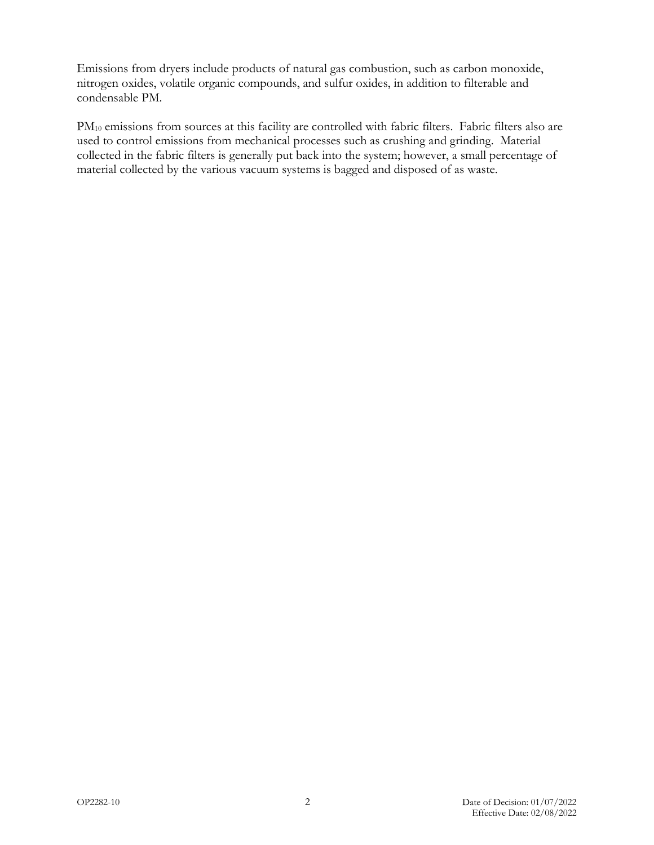Emissions from dryers include products of natural gas combustion, such as carbon monoxide, nitrogen oxides, volatile organic compounds, and sulfur oxides, in addition to filterable and condensable PM.

PM<sub>10</sub> emissions from sources at this facility are controlled with fabric filters. Fabric filters also are used to control emissions from mechanical processes such as crushing and grinding. Material collected in the fabric filters is generally put back into the system; however, a small percentage of material collected by the various vacuum systems is bagged and disposed of as waste.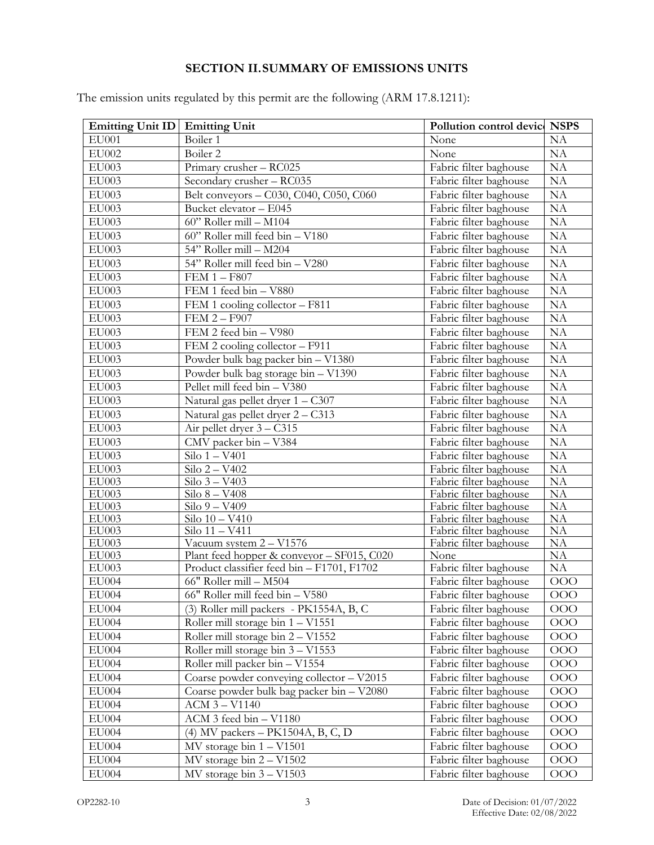# **SECTION II.SUMMARY OF EMISSIONS UNITS**

The emission units regulated by this permit are the following (ARM 17.8.1211):

| Emitting Unit ID   Emitting Unit |                                              | Pollution control device NSPS  |                        |
|----------------------------------|----------------------------------------------|--------------------------------|------------------------|
| <b>EU001</b>                     | Boiler 1                                     | None                           | NA                     |
| EU002                            | Boiler 2                                     | None                           | NA                     |
| <b>EU003</b>                     | Primary crusher - RC025                      | Fabric filter baghouse         | NA                     |
| EU003                            | Secondary crusher - RC035                    | Fabric filter baghouse         | <b>NA</b>              |
| <b>EU003</b>                     | Belt conveyors - C030, C040, C050, C060      | Fabric filter baghouse         | <b>NA</b>              |
| <b>EU003</b>                     | Bucket elevator - E045                       | Fabric filter baghouse         | NA                     |
| EU003                            | $60"$ Roller mill - M104                     | Fabric filter baghouse         | NA                     |
| EU003                            | 60" Roller mill feed bin - V180              | Fabric filter baghouse         | NA                     |
| <b>EU003</b>                     | 54" Roller mill - M204                       | Fabric filter baghouse         | NA                     |
| EU003                            | 54" Roller mill feed bin - V280              | Fabric filter baghouse         | NA                     |
| EU003                            | $FEM 1 - F807$                               | Fabric filter baghouse         | NA                     |
| <b>EU003</b>                     | FEM 1 feed bin - V880                        | Fabric filter baghouse         | NA                     |
| <b>EU003</b>                     | FEM 1 cooling collector - F811               | Fabric filter baghouse         | NA                     |
| EU003                            | FEM 2 - F907                                 | Fabric filter baghouse         | NA                     |
| <b>EU003</b>                     | FEM 2 feed bin - V980                        | Fabric filter baghouse         | NA                     |
| EU003                            | FEM 2 cooling collector - F911               | Fabric filter baghouse         | NA                     |
| EU003                            | Powder bulk bag packer bin - V1380           | Fabric filter baghouse         | NA                     |
| EU003                            | Powder bulk bag storage bin - V1390          | Fabric filter baghouse         | NA                     |
| <b>EU003</b>                     | Pellet mill feed bin - V380                  | Fabric filter baghouse         | NA                     |
| <b>EU003</b>                     | Natural gas pellet dryer $1 - C307$          | Fabric filter baghouse         | NA                     |
| EU003                            | Natural gas pellet dryer 2 - C313            | Fabric filter baghouse         | NA                     |
| <b>EU003</b>                     | Air pellet dryer $3 - C315$                  | Fabric filter baghouse         | NA                     |
| <b>EU003</b>                     | CMV packer bin - V384                        | Fabric filter baghouse         | NA                     |
| $EU$ <sub>003</sub>              | Silo 1-V401                                  | Fabric filter baghouse         | $\overline{NA}$        |
| EU003                            | $Silo 2 - V402$                              | Fabric filter baghouse         | NA                     |
| EU003                            | Silo 3 - V403                                | Fabric filter baghouse         | NA                     |
| EU003                            | $\overline{Si}$ lo 8 - V408                  | Fabric filter baghouse         | NA                     |
| EU003                            | Silo 9 - V409                                | Fabric filter baghouse         | NA                     |
| EU003                            | Silo 10 - V410                               | Fabric filter baghouse         | <b>NA</b>              |
| EU003                            | Silo 11 - V411<br>Vacuum system 2 - V1576    | Fabric filter baghouse         | <b>NA</b><br><b>NA</b> |
| EU003<br>EU003                   | Plant feed hopper & conveyor - SF015, C020   | Fabric filter baghouse<br>None | <b>NA</b>              |
| EU003                            | Product classifier feed bin - F1701, F1702   | Fabric filter baghouse         | NA                     |
| <b>EU004</b>                     | 66" Roller mill - M504                       | Fabric filter baghouse         | <b>OOO</b>             |
| <b>EU004</b>                     | 66" Roller mill feed bin - V580              | Fabric filter baghouse         | 000                    |
| EU004                            | (3) Roller mill packers - PK1554A, B, C      | Fabric filter baghouse         | OOO                    |
| EU004                            | Roller mill storage bin 1 - V1551            | Fabric filter baghouse         | OOO                    |
| EU004                            | Roller mill storage bin $2 - V1552$          | Fabric filter baghouse         | OOO                    |
| <b>EU004</b>                     | Roller mill storage bin $3 - V1553$          | Fabric filter baghouse         | OOO                    |
| <b>EU004</b>                     | Roller mill packer bin - V1554               | Fabric filter baghouse         | 000                    |
| <b>EU004</b>                     | Coarse powder conveying collector - V2015    | Fabric filter baghouse         | OOO                    |
| $\rm EU004$                      | Coarse powder bulk bag packer bin - V2080    | Fabric filter baghouse         | OOO                    |
| <b>EU004</b>                     | ACM 3 - V1140                                | Fabric filter baghouse         | OOO                    |
| EU004                            | ACM 3 feed bin - V1180                       | Fabric filter baghouse         | OOO                    |
| EU004                            | (4) MV packers - PK1504A, B, C, D            | Fabric filter baghouse         | OOO                    |
| EU004                            | $MV$ storage bin $1 - V1501$                 | Fabric filter baghouse         | OOO                    |
| <b>EU004</b>                     | $\overline{\text{MV}}$ storage bin 2 - V1502 | Fabric filter baghouse         | 000                    |
| <b>EU004</b>                     | $MV$ storage bin $3 - V1503$                 | Fabric filter baghouse         | OOO                    |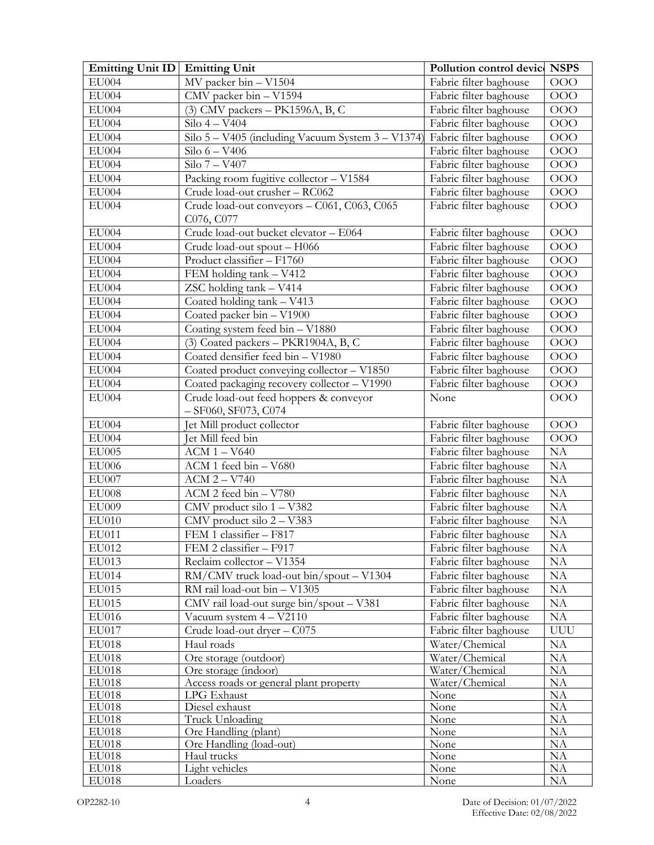| <b>Emitting Unit ID</b>      | <b>Emitting Unit</b>                              | Pollution control device | <b>NSPS</b>     |
|------------------------------|---------------------------------------------------|--------------------------|-----------------|
| <b>EU004</b>                 | MV packer bin - V1504                             | Fabric filter baghouse   | OOO             |
| <b>EU004</b>                 | CMV packer bin - V1594                            | Fabric filter baghouse   | OOO             |
| <b>EU004</b>                 | (3) CMV packers - PK1596A, B, C                   | Fabric filter baghouse   | 000             |
| <b>EU004</b>                 | $Silo 4 - V404$                                   | Fabric filter baghouse   | OOO             |
| <b>EU004</b>                 | Silo 5 - V405 (including Vacuum System 3 - V1374) | Fabric filter baghouse   | OOO             |
| <b>EU004</b>                 | Silo $6 - V406$                                   | Fabric filter baghouse   | OOO             |
| <b>EU004</b>                 | Silo $7 - V407$                                   | Fabric filter baghouse   | OOO             |
| <b>EU004</b>                 | Packing room fugitive collector - V1584           | Fabric filter baghouse   | OOO             |
| <b>EU004</b>                 | Crude load-out crusher - RC062                    | Fabric filter baghouse   | OOO             |
| <b>EU004</b>                 | Crude load-out conveyors - C061, C063, C065       | Fabric filter baghouse   | OOO             |
|                              | C076, C077                                        |                          |                 |
| <b>EU004</b>                 | Crude load-out bucket elevator - E064             | Fabric filter baghouse   | OOO             |
| <b>EU004</b>                 | Crude load-out spout - H066                       | Fabric filter baghouse   | OOO             |
| <b>EU004</b>                 | Product classifier - F1760                        | Fabric filter baghouse   | OOO             |
| <b>EU004</b>                 | FEM holding tank - V412                           | Fabric filter baghouse   | OOO             |
| <b>EU004</b>                 | ZSC holding tank - V414                           | Fabric filter baghouse   | OOO             |
| <b>EU004</b>                 | Coated holding tank - V413                        | Fabric filter baghouse   | <b>OOO</b>      |
| EU004                        | Coated packer bin - V1900                         | Fabric filter baghouse   | <b>OOO</b>      |
| <b>EU004</b>                 | Coating system feed bin - V1880                   | Fabric filter baghouse   | OOO             |
| <b>EU004</b>                 | (3) Coated packers - PKR1904A, B, C               | Fabric filter baghouse   | OOO             |
| <b>EU004</b>                 | Coated densifier feed bin - V1980                 | Fabric filter baghouse   | OOO             |
| <b>EU004</b>                 | Coated product conveying collector - V1850        | Fabric filter baghouse   | OOO             |
| <b>EU004</b>                 | Coated packaging recovery collector - V1990       | Fabric filter baghouse   | OOO             |
| <b>EU004</b>                 | Crude load-out feed hoppers & conveyor            | None                     | OOO             |
|                              | $-$ SF060, SF073, C074                            |                          |                 |
| <b>EU004</b>                 | Jet Mill product collector                        | Fabric filter baghouse   | <b>OOO</b>      |
| <b>EU004</b>                 | Jet Mill feed bin                                 | Fabric filter baghouse   | OOO             |
| <b>EU005</b>                 | $ACM1 - V640$                                     | Fabric filter baghouse   | NA              |
| <b>EU006</b>                 | ACM 1 feed bin - V680                             | Fabric filter baghouse   | NA              |
| EU007                        | $ACM 2 - V740$                                    | Fabric filter baghouse   | NA              |
| $\rm EU008$                  | ACM 2 feed bin - V780                             | Fabric filter baghouse   | NA              |
|                              | CMV product silo $1 - V382$                       | Fabric filter baghouse   | NA              |
| EU009                        |                                                   |                          |                 |
| EU010                        | CMV product silo 2 - V383                         | Fabric filter baghouse   | <b>NA</b>       |
| EU011                        | FEM 1 classifier - F817                           | Fabric filter baghouse   | NA              |
| EU012                        | FEM 2 classifier - F917                           | Fabric filter baghouse   | <b>NA</b>       |
| EU013                        | Reclaim collector - V1354                         | Fabric filter baghouse   | NA              |
| EU014                        | RM/CMV truck load-out bin/spout - V1304           | Fabric filter baghouse   | NA              |
| EU015                        | $\overline{\text{RM}}$ rail load-out bin - V1305  | Fabric filter baghouse   | NA              |
| EU015                        | CMV rail load-out surge bin/spout - V381          | Fabric filter baghouse   | NA              |
| EU016                        | Vacuum system 4 - V2110                           | Fabric filter baghouse   | $\rm NA$        |
| EU017                        | Crude load-out dryer - C075                       | Fabric filter baghouse   | <b>UUU</b>      |
| <b>EU018</b>                 | Haul roads                                        | Water/Chemical           | NA              |
| EU018                        | Ore storage (outdoor)                             | Water/Chemical           | NA              |
| <b>EU018</b>                 | Ore storage (indoor)                              | Water/Chemical           | <b>NA</b>       |
| EU018                        | Access roads or general plant property            | Water/Chemical           | NA              |
| EU018                        | LPG Exhaust                                       | None                     | NA              |
| <b>EU018</b>                 | Diesel exhaust                                    | None                     | NA              |
| <b>EU018</b><br><b>EU018</b> | Truck Unloading<br>Ore Handling (plant)           | None<br>None             | <b>NA</b><br>NA |
| EU018                        | Ore Handling (load-out)                           | None                     | <b>NA</b>       |
| <b>EU018</b>                 | Haul trucks                                       | None                     | NA              |
| <b>EU018</b>                 | Light vehicles                                    | None                     | NA              |
| <b>EU018</b>                 | Loaders                                           | None                     | NA              |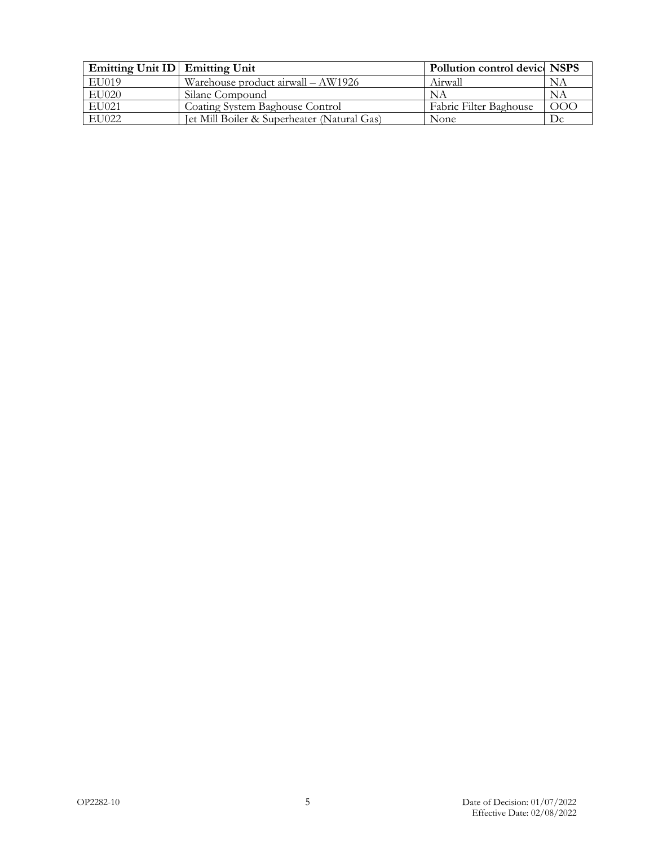| Emitting Unit ID Emitting Unit |                                             | Pollution control devic NSPS |     |
|--------------------------------|---------------------------------------------|------------------------------|-----|
| EU019                          | Warehouse product airwall – AW1926          | Airwall                      | NA  |
| EU020                          | Silane Compound                             | NΑ                           | NA  |
| EU021                          | Coating System Baghouse Control             | Fabric Filter Baghouse       | OOO |
| EU022                          | Jet Mill Boiler & Superheater (Natural Gas) | None                         | Dс  |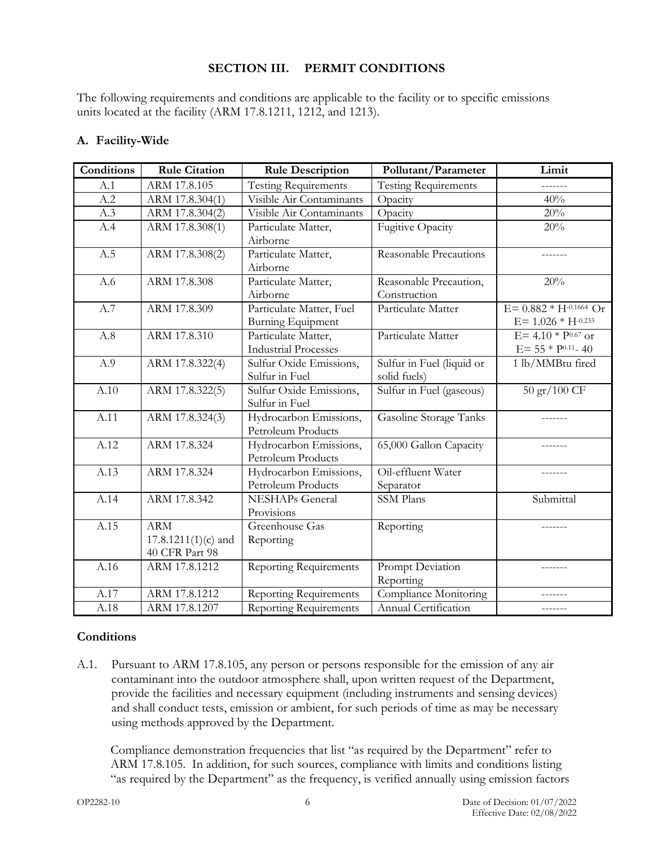# **SECTION III. PERMIT CONDITIONS**

The following requirements and conditions are applicable to the facility or to specific emissions units located at the facility (ARM 17.8.1211, 1212, and 1213).

## **A. Facility-Wide**

| Conditions | <b>Rule Citation</b>                                  | <b>Rule Description</b>                              | Pollutant/Parameter                       | Limit                                                    |
|------------|-------------------------------------------------------|------------------------------------------------------|-------------------------------------------|----------------------------------------------------------|
| A.1        | ARM 17.8.105                                          | <b>Testing Requirements</b>                          | <b>Testing Requirements</b>               |                                                          |
| A.2        | ARM 17.8.304(1)                                       | Visible Air Contaminants                             | Opacity                                   | 40%                                                      |
| A.3        | ARM 17.8.304(2)                                       | Visible Air Contaminants                             | Opacity                                   | 20%                                                      |
| A.4        | ARM 17.8.308(1)                                       | Particulate Matter,<br>Airborne                      | <b>Fugitive Opacity</b>                   | 20%                                                      |
| A.5        | ARM 17.8.308(2)                                       | Particulate Matter,<br>Airborne                      | Reasonable Precautions                    |                                                          |
| A.6        | ARM 17.8.308                                          | Particulate Matter,<br>Airborne                      | Reasonable Precaution,<br>Construction    | 20%                                                      |
| A.7        | ARM 17.8.309                                          | Particulate Matter, Fuel<br><b>Burning Equipment</b> | Particulate Matter                        | $E = 0.882 * H^{-0.1664}$ Or<br>$E = 1.026 * H^{-0.233}$ |
| A.8        | ARM 17.8.310                                          | Particulate Matter,<br><b>Industrial Processes</b>   | Particulate Matter                        | $E = 4.10 * P^{0.67}$ or<br>$E = 55 * P^{0.11} - 40$     |
| A.9        | ARM 17.8.322(4)                                       | Sulfur Oxide Emissions,<br>Sulfur in Fuel            | Sulfur in Fuel (liquid or<br>solid fuels) | 1 lb/MMBtu fired                                         |
| A.10       | ARM 17.8.322(5)                                       | Sulfur Oxide Emissions,<br>Sulfur in Fuel            | Sulfur in Fuel (gaseous)                  | 50 gr/100 CF                                             |
| A.11       | ARM 17.8.324(3)                                       | Hydrocarbon Emissions,<br>Petroleum Products         | Gasoline Storage Tanks                    |                                                          |
| A.12       | ARM 17.8.324                                          | Hydrocarbon Emissions,<br>Petroleum Products         | 65,000 Gallon Capacity                    |                                                          |
| A.13       | ARM 17.8.324                                          | Hydrocarbon Emissions,<br>Petroleum Products         | Oil-effluent Water<br>Separator           |                                                          |
| A.14       | ARM 17.8.342                                          | <b>NESHAPs</b> General<br>Provisions                 | <b>SSM Plans</b>                          | Submittal                                                |
| A.15       | <b>ARM</b><br>$17.8.1211(1)(c)$ and<br>40 CFR Part 98 | Greenhouse Gas<br>Reporting                          | Reporting                                 |                                                          |
| A.16       | ARM 17.8.1212                                         | <b>Reporting Requirements</b>                        | Prompt Deviation<br>Reporting             |                                                          |
| A.17       | ARM 17.8.1212                                         | <b>Reporting Requirements</b>                        | Compliance Monitoring                     |                                                          |
| A.18       | ARM 17.8.1207                                         | <b>Reporting Requirements</b>                        | Annual Certification                      | -------                                                  |

#### **Conditions**

<span id="page-9-0"></span>A.1. Pursuant to ARM 17.8.105, any person or persons responsible for the emission of any air contaminant into the outdoor atmosphere shall, upon written request of the Department, provide the facilities and necessary equipment (including instruments and sensing devices) and shall conduct tests, emission or ambient, for such periods of time as may be necessary using methods approved by the Department.

Compliance demonstration frequencies that list "as required by the Department" refer to ARM 17.8.105. In addition, for such sources, compliance with limits and conditions listing "as required by the Department" as the frequency, is verified annually using emission factors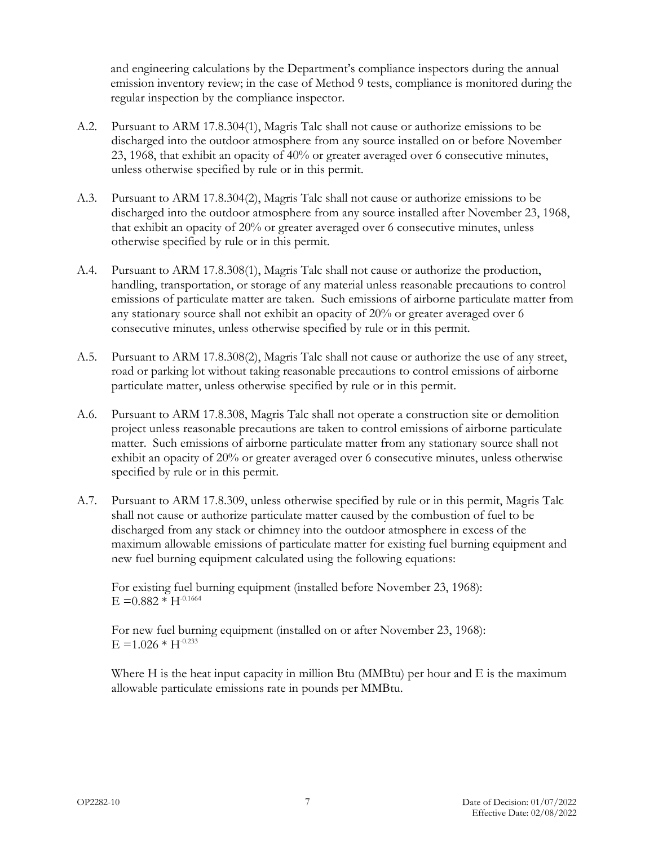and engineering calculations by the Department's compliance inspectors during the annual emission inventory review; in the case of Method 9 tests, compliance is monitored during the regular inspection by the compliance inspector.

- <span id="page-10-0"></span>A.2. Pursuant to ARM 17.8.304(1), Magris Talc shall not cause or authorize emissions to be discharged into the outdoor atmosphere from any source installed on or before November 23, 1968, that exhibit an opacity of 40% or greater averaged over 6 consecutive minutes, unless otherwise specified by rule or in this permit.
- <span id="page-10-1"></span>A.3. Pursuant to ARM 17.8.304(2), Magris Talc shall not cause or authorize emissions to be discharged into the outdoor atmosphere from any source installed after November 23, 1968, that exhibit an opacity of 20% or greater averaged over 6 consecutive minutes, unless otherwise specified by rule or in this permit.
- <span id="page-10-2"></span>A.4. Pursuant to ARM 17.8.308(1), Magris Talc shall not cause or authorize the production, handling, transportation, or storage of any material unless reasonable precautions to control emissions of particulate matter are taken. Such emissions of airborne particulate matter from any stationary source shall not exhibit an opacity of 20% or greater averaged over 6 consecutive minutes, unless otherwise specified by rule or in this permit.
- <span id="page-10-3"></span>A.5. Pursuant to ARM 17.8.308(2), Magris Talc shall not cause or authorize the use of any street, road or parking lot without taking reasonable precautions to control emissions of airborne particulate matter, unless otherwise specified by rule or in this permit.
- <span id="page-10-4"></span>A.6. Pursuant to ARM 17.8.308, Magris Talc shall not operate a construction site or demolition project unless reasonable precautions are taken to control emissions of airborne particulate matter. Such emissions of airborne particulate matter from any stationary source shall not exhibit an opacity of 20% or greater averaged over 6 consecutive minutes, unless otherwise specified by rule or in this permit.
- <span id="page-10-5"></span>A.7. Pursuant to ARM 17.8.309, unless otherwise specified by rule or in this permit, Magris Talc shall not cause or authorize particulate matter caused by the combustion of fuel to be discharged from any stack or chimney into the outdoor atmosphere in excess of the maximum allowable emissions of particulate matter for existing fuel burning equipment and new fuel burning equipment calculated using the following equations:

For existing fuel burning equipment (installed before November 23, 1968):  $E = 0.882 * H^{-0.1664}$ 

For new fuel burning equipment (installed on or after November 23, 1968):  $E = 1.026 * H^{-0.233}$ 

Where H is the heat input capacity in million Btu (MMBtu) per hour and E is the maximum allowable particulate emissions rate in pounds per MMBtu.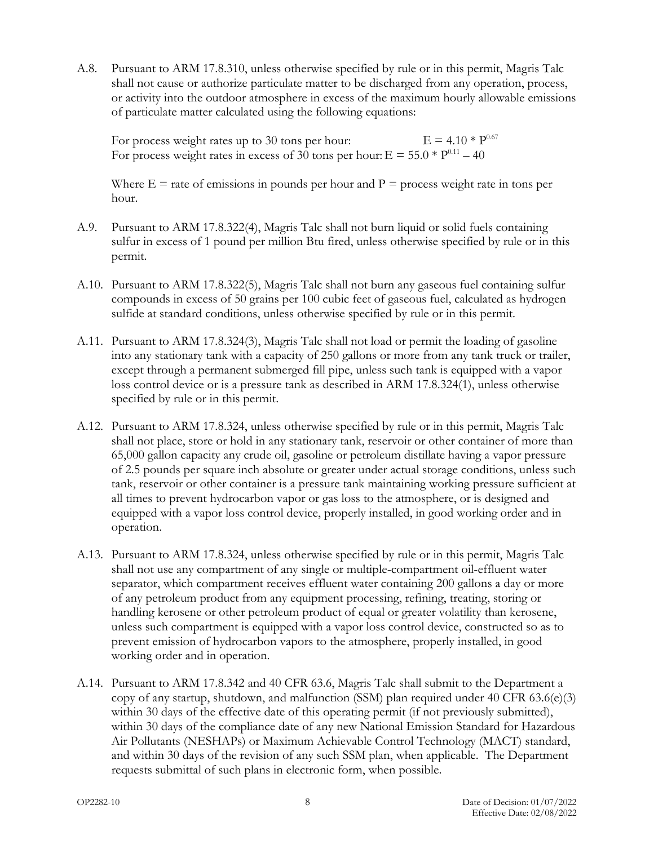<span id="page-11-0"></span>A.8. Pursuant to ARM 17.8.310, unless otherwise specified by rule or in this permit, Magris Talc shall not cause or authorize particulate matter to be discharged from any operation, process, or activity into the outdoor atmosphere in excess of the maximum hourly allowable emissions of particulate matter calculated using the following equations:

For process weight rates up to 30 tons per hour:  $E = 4.10 * P^{0.67}$ For process weight rates in excess of 30 tons per hour:  $E = 55.0 * P^{0.11} - 40$ 

Where  $E =$  rate of emissions in pounds per hour and  $P =$  process weight rate in tons per hour.

- <span id="page-11-1"></span>A.9. Pursuant to ARM 17.8.322(4), Magris Talc shall not burn liquid or solid fuels containing sulfur in excess of 1 pound per million Btu fired, unless otherwise specified by rule or in this permit.
- <span id="page-11-2"></span>A.10. Pursuant to ARM 17.8.322(5), Magris Talc shall not burn any gaseous fuel containing sulfur compounds in excess of 50 grains per 100 cubic feet of gaseous fuel, calculated as hydrogen sulfide at standard conditions, unless otherwise specified by rule or in this permit.
- <span id="page-11-3"></span>A.11. Pursuant to ARM 17.8.324(3), Magris Talc shall not load or permit the loading of gasoline into any stationary tank with a capacity of 250 gallons or more from any tank truck or trailer, except through a permanent submerged fill pipe, unless such tank is equipped with a vapor loss control device or is a pressure tank as described in ARM 17.8.324(1), unless otherwise specified by rule or in this permit.
- <span id="page-11-4"></span>A.12. Pursuant to ARM 17.8.324, unless otherwise specified by rule or in this permit, Magris Talc shall not place, store or hold in any stationary tank, reservoir or other container of more than 65,000 gallon capacity any crude oil, gasoline or petroleum distillate having a vapor pressure of 2.5 pounds per square inch absolute or greater under actual storage conditions, unless such tank, reservoir or other container is a pressure tank maintaining working pressure sufficient at all times to prevent hydrocarbon vapor or gas loss to the atmosphere, or is designed and equipped with a vapor loss control device, properly installed, in good working order and in operation.
- <span id="page-11-5"></span>A.13. Pursuant to ARM 17.8.324, unless otherwise specified by rule or in this permit, Magris Talc shall not use any compartment of any single or multiple-compartment oil-effluent water separator, which compartment receives effluent water containing 200 gallons a day or more of any petroleum product from any equipment processing, refining, treating, storing or handling kerosene or other petroleum product of equal or greater volatility than kerosene, unless such compartment is equipped with a vapor loss control device, constructed so as to prevent emission of hydrocarbon vapors to the atmosphere, properly installed, in good working order and in operation.
- <span id="page-11-6"></span>A.14. Pursuant to ARM 17.8.342 and 40 CFR 63.6, Magris Talc shall submit to the Department a copy of any startup, shutdown, and malfunction (SSM) plan required under 40 CFR 63.6(e)(3) within 30 days of the effective date of this operating permit (if not previously submitted), within 30 days of the compliance date of any new National Emission Standard for Hazardous Air Pollutants (NESHAPs) or Maximum Achievable Control Technology (MACT) standard, and within 30 days of the revision of any such SSM plan, when applicable. The Department requests submittal of such plans in electronic form, when possible.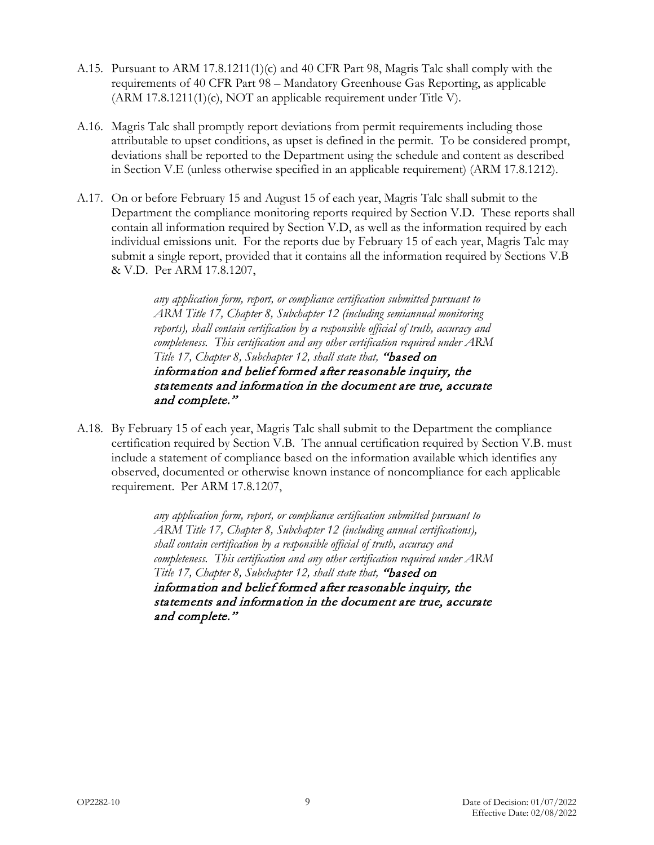- <span id="page-12-0"></span>A.15. Pursuant to ARM 17.8.1211(1)(c) and 40 CFR Part 98, Magris Talc shall comply with the requirements of 40 CFR Part 98 – Mandatory Greenhouse Gas Reporting, as applicable (ARM 17.8.1211(1)(c), NOT an applicable requirement under Title V).
- <span id="page-12-1"></span>A.16. Magris Talc shall promptly report deviations from permit requirements including those attributable to upset conditions, as upset is defined in the permit. To be considered prompt, deviations shall be reported to the Department using the schedule and content as described in Section V[.E](#page-41-0) (unless otherwise specified in an applicable requirement) (ARM 17.8.1212).
- <span id="page-12-2"></span>A.17. On or before February 15 and August 15 of each year, Magris Talc shall submit to the Department the compliance monitoring reports required by Section [V.D.](#page-40-0) These reports shall contain all information required by Section V[.D,](#page-40-0) as well as the information required by each individual emissions unit. For the reports due by February 15 of each year, Magris Talc may submit a single report, provided that it contains all the information required by Sections V[.B](#page-38-0) & V[.D.](#page-40-0) Per ARM 17.8.1207,

*any application form, report, or compliance certification submitted pursuant to ARM Title 17, Chapter 8, Subchapter 12 (including semiannual monitoring reports), shall contain certification by a responsible official of truth, accuracy and completeness. This certification and any other certification required under ARM Title 17, Chapter 8, Subchapter 12, shall state that,* "based on information and belief formed after reasonable inquiry, the statements and information in the document are true, accurate and complete."

<span id="page-12-3"></span>A.18. By February 15 of each year, Magris Talc shall submit to the Department the compliance certification required by Section V[.B.](#page-38-0) The annual certification required by Section V[.B.](#page-38-0) must include a statement of compliance based on the information available which identifies any observed, documented or otherwise known instance of noncompliance for each applicable requirement. Per ARM 17.8.1207,

> *any application form, report, or compliance certification submitted pursuant to ARM Title 17, Chapter 8, Subchapter 12 (including annual certifications), shall contain certification by a responsible official of truth, accuracy and completeness. This certification and any other certification required under ARM Title 17, Chapter 8, Subchapter 12, shall state that,* "based on information and belief formed after reasonable inquiry, the statements and information in the document are true, accurate and complete."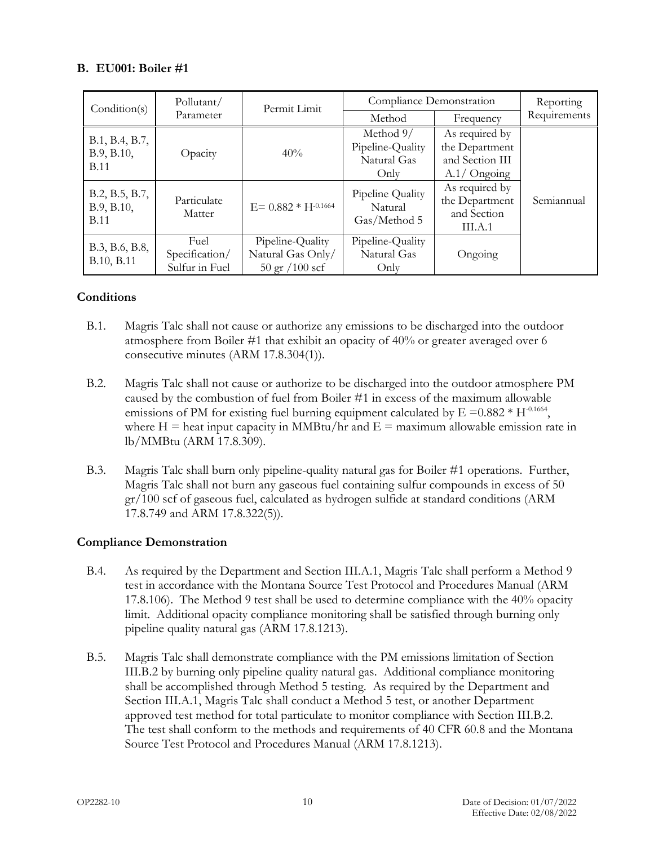## **B. EU001: Boiler #1**

| Condition(s)                                | Pollutant/                               | Permit Limit                                                | Compliance Demonstration                             | Reporting                                                             |              |
|---------------------------------------------|------------------------------------------|-------------------------------------------------------------|------------------------------------------------------|-----------------------------------------------------------------------|--------------|
|                                             | Parameter                                |                                                             | Method                                               | Frequency                                                             | Requirements |
| B.1, B.4, B.7,<br>B.9, B.10,<br><b>B.11</b> | Opacity                                  | 40%                                                         | Method 9/<br>Pipeline-Quality<br>Natural Gas<br>Only | As required by<br>the Department<br>and Section III<br>$A.1/$ Ongoing |              |
| B.2, B.5, B.7,<br>B.9, B.10,<br><b>B.11</b> | Particulate<br>Matter                    | $E = 0.882 * H^{-0.1664}$                                   | Pipeline Quality<br>Natural<br>Gas/Method 5          | As required by<br>the Department<br>and Section<br>III.A.1            | Semiannual   |
| B.3, B.6, B.8,<br>B.10, B.11                | Fuel<br>Specification/<br>Sulfur in Fuel | Pipeline-Quality<br>Natural Gas Only/<br>$50$ gr $/100$ scf | Pipeline-Quality<br>Natural Gas<br>Only              | Ongoing                                                               |              |

# **Conditions**

- <span id="page-13-0"></span>B.1. Magris Talc shall not cause or authorize any emissions to be discharged into the outdoor atmosphere from Boiler #1 that exhibit an opacity of 40% or greater averaged over 6 consecutive minutes (ARM 17.8.304(1)).
- <span id="page-13-2"></span>B.2. Magris Talc shall not cause or authorize to be discharged into the outdoor atmosphere PM caused by the combustion of fuel from Boiler #1 in excess of the maximum allowable emissions of PM for existing fuel burning equipment calculated by  $E = 0.882 * H^{-0.1664}$ , where  $H =$  heat input capacity in MMBtu/hr and  $E =$  maximum allowable emission rate in lb/MMBtu (ARM 17.8.309).
- <span id="page-13-4"></span>B.3. Magris Talc shall burn only pipeline-quality natural gas for Boiler #1 operations. Further, Magris Talc shall not burn any gaseous fuel containing sulfur compounds in excess of 50 gr/100 scf of gaseous fuel, calculated as hydrogen sulfide at standard conditions (ARM 17.8.749 and ARM 17.8.322(5)).

# **Compliance Demonstration**

- <span id="page-13-1"></span>B.4. As required by the Department and Section III[.A.1,](#page-9-0) Magris Talc shall perform a Method 9 test in accordance with the Montana Source Test Protocol and Procedures Manual (ARM 17.8.106). The Method 9 test shall be used to determine compliance with the 40% opacity limit. Additional opacity compliance monitoring shall be satisfied through burning only pipeline quality natural gas (ARM 17.8.1213).
- <span id="page-13-3"></span>B.5. Magris Talc shall demonstrate compliance with the PM emissions limitation of Section III[.B.2](#page-13-2) by burning only pipeline quality natural gas. Additional compliance monitoring shall be accomplished through Method 5 testing. As required by the Department and Section III[.A.1,](#page-9-0) Magris Talc shall conduct a Method 5 test, or another Department approved test method for total particulate to monitor compliance with Section III[.B.2.](#page-13-2)  The test shall conform to the methods and requirements of 40 CFR 60.8 and the Montana Source Test Protocol and Procedures Manual (ARM 17.8.1213).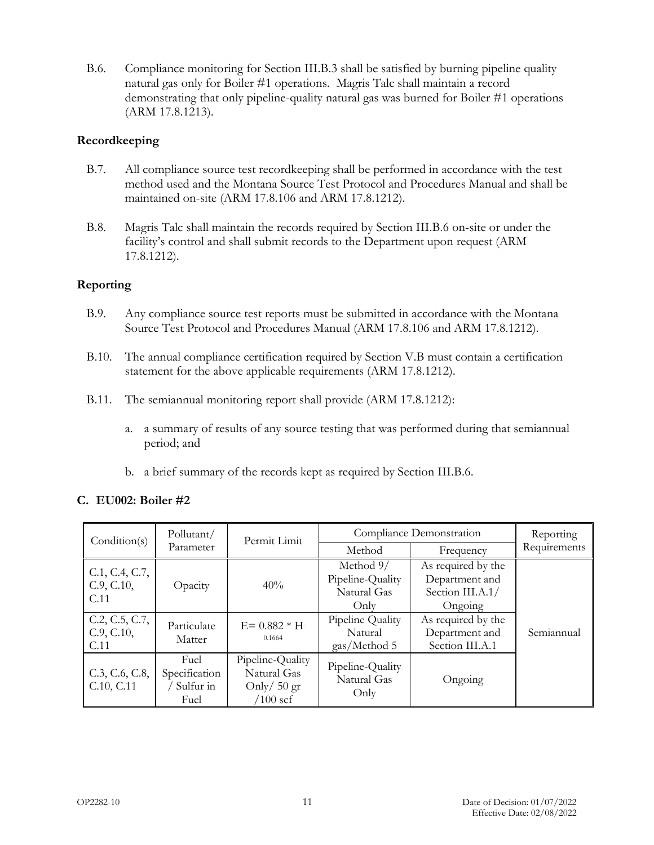<span id="page-14-4"></span>B.6. Compliance monitoring for Section III[.B.3](#page-13-4) shall be satisfied by burning pipeline quality natural gas only for Boiler #1 operations. Magris Talc shall maintain a record demonstrating that only pipeline-quality natural gas was burned for Boiler #1 operations (ARM 17.8.1213).

## **Recordkeeping**

- <span id="page-14-0"></span>B.7. All compliance source test recordkeeping shall be performed in accordance with the test method used and the Montana Source Test Protocol and Procedures Manual and shall be maintained on-site (ARM 17.8.106 and ARM 17.8.1212).
- <span id="page-14-5"></span>B.8. Magris Talc shall maintain the records required by Section III[.B.6](#page-14-4) on-site or under the facility's control and shall submit records to the Department upon request (ARM 17.8.1212).

# **Reporting**

- <span id="page-14-1"></span>B.9. Any compliance source test reports must be submitted in accordance with the Montana Source Test Protocol and Procedures Manual (ARM 17.8.106 and ARM 17.8.1212).
- <span id="page-14-2"></span>B.10. The annual compliance certification required by Section V[.B](#page-38-0) must contain a certification statement for the above applicable requirements (ARM 17.8.1212).
- <span id="page-14-3"></span>B.11. The semiannual monitoring report shall provide (ARM 17.8.1212):
	- a. a summary of results of any source testing that was performed during that semiannual period; and
	- b. a brief summary of the records kept as required by Section III[.B.6.](#page-14-4)

# **C. EU002: Boiler #2**

| Condition(s)                         | Pollutant/                                 | Permit Limit                                                   |                                                        | Compliance Demonstration                                            | Reporting    |  |
|--------------------------------------|--------------------------------------------|----------------------------------------------------------------|--------------------------------------------------------|---------------------------------------------------------------------|--------------|--|
|                                      | Parameter                                  |                                                                | Method                                                 | Frequency                                                           | Requirements |  |
| C.1, C.4, C.7,<br>C.9, C.10,<br>C.11 | Opacity                                    | 40%                                                            | Method $9/$<br>Pipeline-Quality<br>Natural Gas<br>Only | As required by the<br>Department and<br>Section III.A.1/<br>Ongoing |              |  |
| C.2, C.5, C.7,<br>C.9, C.10,<br>C.11 | Particulate<br>Matter                      | $E = 0.882 * H$<br>0.1664                                      | Pipeline Quality<br>Natural<br>gas/Method 5            | As required by the<br>Department and<br>Section III.A.1             | Semiannual   |  |
| C.3, C.6, C.8,<br>C.10, C.11         | Fuel<br>Specification<br>Sulfur in<br>Fuel | Pipeline-Quality<br>Natural Gas<br>Only/ $50$ gr<br>$'100$ scf | Pipeline-Quality<br>Natural Gas<br>Only                | Ongoing                                                             |              |  |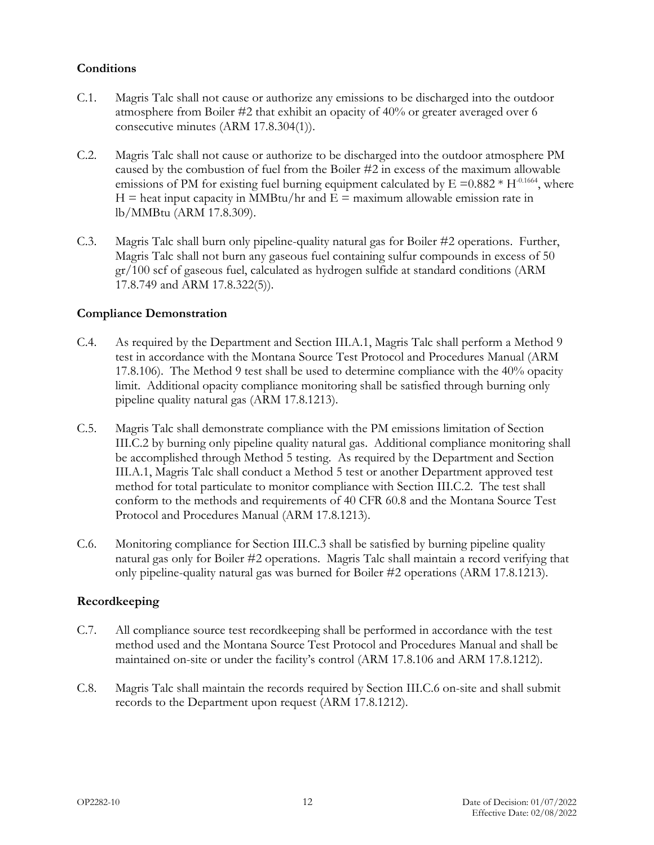# **Conditions**

- <span id="page-15-0"></span>C.1. Magris Talc shall not cause or authorize any emissions to be discharged into the outdoor atmosphere from Boiler #2 that exhibit an opacity of 40% or greater averaged over 6 consecutive minutes (ARM 17.8.304(1)).
- <span id="page-15-3"></span>C.2. Magris Talc shall not cause or authorize to be discharged into the outdoor atmosphere PM caused by the combustion of fuel from the Boiler #2 in excess of the maximum allowable emissions of PM for existing fuel burning equipment calculated by  $E = 0.882 * H^{-0.1664}$ , where  $H =$  heat input capacity in MMBtu/hr and  $E =$  maximum allowable emission rate in lb/MMBtu (ARM 17.8.309).
- <span id="page-15-5"></span>C.3. Magris Talc shall burn only pipeline-quality natural gas for Boiler #2 operations. Further, Magris Talc shall not burn any gaseous fuel containing sulfur compounds in excess of 50 gr/100 scf of gaseous fuel, calculated as hydrogen sulfide at standard conditions (ARM 17.8.749 and ARM 17.8.322(5)).

# **Compliance Demonstration**

- <span id="page-15-1"></span>C.4. As required by the Department and Section III[.A.1,](#page-9-0) Magris Talc shall perform a Method 9 test in accordance with the Montana Source Test Protocol and Procedures Manual (ARM 17.8.106). The Method 9 test shall be used to determine compliance with the 40% opacity limit. Additional opacity compliance monitoring shall be satisfied through burning only pipeline quality natural gas (ARM 17.8.1213).
- <span id="page-15-4"></span>C.5. Magris Talc shall demonstrate compliance with the PM emissions limitation of Section III[.C.2](#page-15-3) by burning only pipeline quality natural gas. Additional compliance monitoring shall be accomplished through Method 5 testing. As required by the Department and Section III[.A.1,](#page-9-0) Magris Talc shall conduct a Method 5 test or another Department approved test method for total particulate to monitor compliance with Section III[.C.2.](#page-15-3) The test shall conform to the methods and requirements of 40 CFR 60.8 and the Montana Source Test Protocol and Procedures Manual (ARM 17.8.1213).
- <span id="page-15-6"></span>C.6. Monitoring compliance for Section III[.C.3](#page-15-5) shall be satisfied by burning pipeline quality natural gas only for Boiler #2 operations. Magris Talc shall maintain a record verifying that only pipeline-quality natural gas was burned for Boiler #2 operations (ARM 17.8.1213).

# **Recordkeeping**

- <span id="page-15-2"></span>C.7. All compliance source test recordkeeping shall be performed in accordance with the test method used and the Montana Source Test Protocol and Procedures Manual and shall be maintained on-site or under the facility's control (ARM 17.8.106 and ARM 17.8.1212).
- <span id="page-15-7"></span>C.8. Magris Talc shall maintain the records required by Section III[.C.6](#page-15-6) on-site and shall submit records to the Department upon request (ARM 17.8.1212).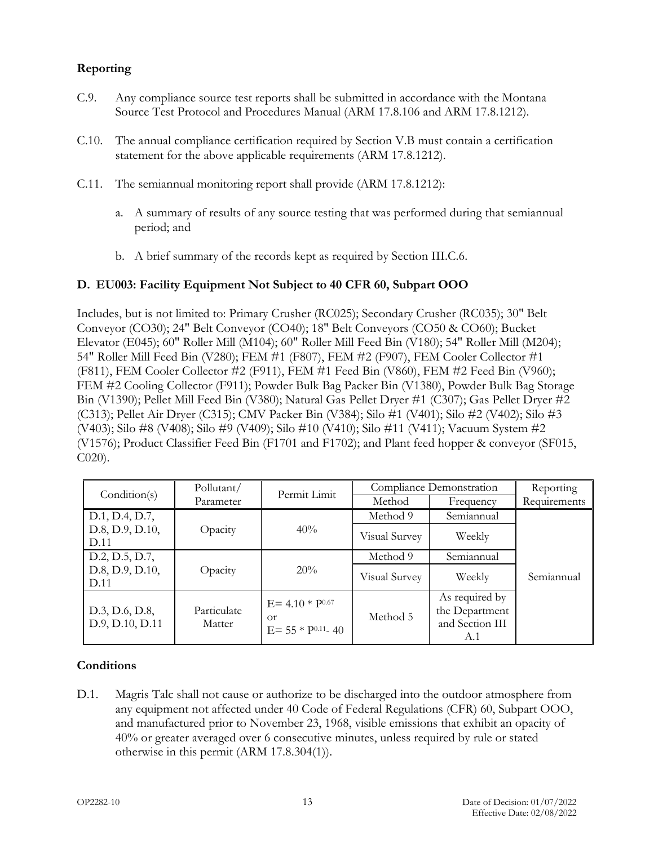# **Reporting**

- <span id="page-16-0"></span>C.9. Any compliance source test reports shall be submitted in accordance with the Montana Source Test Protocol and Procedures Manual (ARM 17.8.106 and ARM 17.8.1212).
- <span id="page-16-1"></span>C.10. The annual compliance certification required by Section V[.B](#page-38-0) must contain a certification statement for the above applicable requirements (ARM 17.8.1212).
- <span id="page-16-2"></span>C.11. The semiannual monitoring report shall provide (ARM 17.8.1212):
	- a. A summary of results of any source testing that was performed during that semiannual period; and
	- b. A brief summary of the records kept as required by Section III[.C.6.](#page-15-6)

## **D. EU003: Facility Equipment Not Subject to 40 CFR 60, Subpart OOO**

Includes, but is not limited to: Primary Crusher (RC025); Secondary Crusher (RC035); 30" Belt Conveyor (CO30); 24" Belt Conveyor (CO40); 18" Belt Conveyors (CO50 & CO60); Bucket Elevator (E045); 60" Roller Mill (M104); 60" Roller Mill Feed Bin (V180); 54" Roller Mill (M204); 54" Roller Mill Feed Bin (V280); FEM #1 (F807), FEM #2 (F907), FEM Cooler Collector #1 (F811), FEM Cooler Collector #2 (F911), FEM #1 Feed Bin (V860), FEM #2 Feed Bin (V960); FEM #2 Cooling Collector (F911); Powder Bulk Bag Packer Bin (V1380), Powder Bulk Bag Storage Bin (V1390); Pellet Mill Feed Bin (V380); Natural Gas Pellet Dryer #1 (C307); Gas Pellet Dryer #2 (C313); Pellet Air Dryer (C315); CMV Packer Bin (V384); Silo #1 (V401); Silo #2 (V402); Silo #3 (V403); Silo #8 (V408); Silo #9 (V409); Silo #10 (V410); Silo #11 (V411); Vacuum System #2 (V1576); Product Classifier Feed Bin (F1701 and F1702); and Plant feed hopper & conveyor (SF015, C020).

|                                   | Pollutant/            | Permit Limit                                                  |               | Compliance Demonstration                                   | Reporting    |
|-----------------------------------|-----------------------|---------------------------------------------------------------|---------------|------------------------------------------------------------|--------------|
| Condition(s)                      | Parameter             |                                                               | Method        | Frequency                                                  | Requirements |
| D.1, D.4, D.7,                    |                       |                                                               | Method 9      | Semiannual                                                 |              |
| D.8, D.9, D.10,<br>D.11           | Opacity               | 40%                                                           | Visual Survey | Weekly                                                     |              |
| D.2, D.5, D.7,                    |                       |                                                               | Method 9      | Semiannual                                                 |              |
| D.8, D.9, D.10,<br>D.11           | Opacity               | 20%                                                           | Visual Survey | Weekly                                                     | Semiannual   |
| D.3, D.6, D.8,<br>D.9, D.10, D.11 | Particulate<br>Matter | $E = 4.10 * P^{0.67}$<br>$\alpha$<br>$E = 55 * P^{0.11} - 40$ | Method 5      | As required by<br>the Department<br>and Section III<br>A.1 |              |

#### **Conditions**

<span id="page-16-3"></span>D.1. Magris Talc shall not cause or authorize to be discharged into the outdoor atmosphere from any equipment not affected under 40 Code of Federal Regulations (CFR) 60, Subpart OOO, and manufactured prior to November 23, 1968, visible emissions that exhibit an opacity of 40% or greater averaged over 6 consecutive minutes, unless required by rule or stated otherwise in this permit (ARM 17.8.304(1)).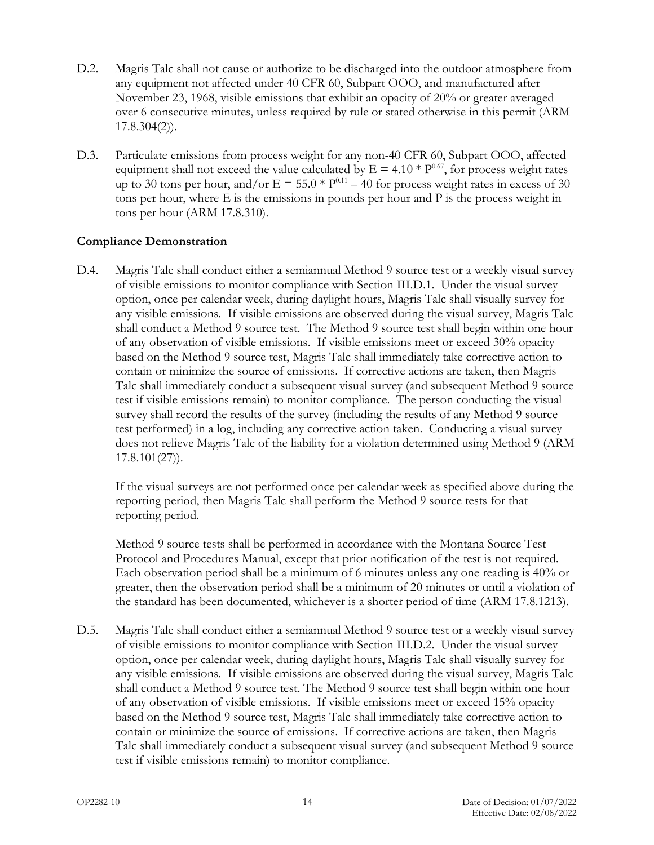- <span id="page-17-1"></span>D.2. Magris Talc shall not cause or authorize to be discharged into the outdoor atmosphere from any equipment not affected under 40 CFR 60, Subpart OOO, and manufactured after November 23, 1968, visible emissions that exhibit an opacity of 20% or greater averaged over 6 consecutive minutes, unless required by rule or stated otherwise in this permit (ARM  $17.8.304(2)$ .
- <span id="page-17-3"></span>D.3. Particulate emissions from process weight for any non-40 CFR 60, Subpart OOO, affected equipment shall not exceed the value calculated by  $E = 4.10 * P^{0.67}$ , for process weight rates up to 30 tons per hour, and/or  $E = 55.0 * P^{0.11} - 40$  for process weight rates in excess of 30 tons per hour, where E is the emissions in pounds per hour and P is the process weight in tons per hour (ARM 17.8.310).

## **Compliance Demonstration**

<span id="page-17-0"></span>D.4. Magris Talc shall conduct either a semiannual Method 9 source test or a weekly visual survey of visible emissions to monitor compliance with Section III[.D.1.](#page-16-3) Under the visual survey option, once per calendar week, during daylight hours, Magris Talc shall visually survey for any visible emissions. If visible emissions are observed during the visual survey, Magris Talc shall conduct a Method 9 source test. The Method 9 source test shall begin within one hour of any observation of visible emissions. If visible emissions meet or exceed 30% opacity based on the Method 9 source test, Magris Talc shall immediately take corrective action to contain or minimize the source of emissions. If corrective actions are taken, then Magris Talc shall immediately conduct a subsequent visual survey (and subsequent Method 9 source test if visible emissions remain) to monitor compliance. The person conducting the visual survey shall record the results of the survey (including the results of any Method 9 source test performed) in a log, including any corrective action taken. Conducting a visual survey does not relieve Magris Talc of the liability for a violation determined using Method 9 (ARM 17.8.101(27)).

If the visual surveys are not performed once per calendar week as specified above during the reporting period, then Magris Talc shall perform the Method 9 source tests for that reporting period.

Method 9 source tests shall be performed in accordance with the Montana Source Test Protocol and Procedures Manual, except that prior notification of the test is not required. Each observation period shall be a minimum of 6 minutes unless any one reading is 40% or greater, then the observation period shall be a minimum of 20 minutes or until a violation of the standard has been documented, whichever is a shorter period of time (ARM 17.8.1213).

<span id="page-17-2"></span>D.5. Magris Talc shall conduct either a semiannual Method 9 source test or a weekly visual survey of visible emissions to monitor compliance with Section III[.D.2.](#page-17-1) Under the visual survey option, once per calendar week, during daylight hours, Magris Talc shall visually survey for any visible emissions. If visible emissions are observed during the visual survey, Magris Talc shall conduct a Method 9 source test. The Method 9 source test shall begin within one hour of any observation of visible emissions. If visible emissions meet or exceed 15% opacity based on the Method 9 source test, Magris Talc shall immediately take corrective action to contain or minimize the source of emissions. If corrective actions are taken, then Magris Talc shall immediately conduct a subsequent visual survey (and subsequent Method 9 source test if visible emissions remain) to monitor compliance.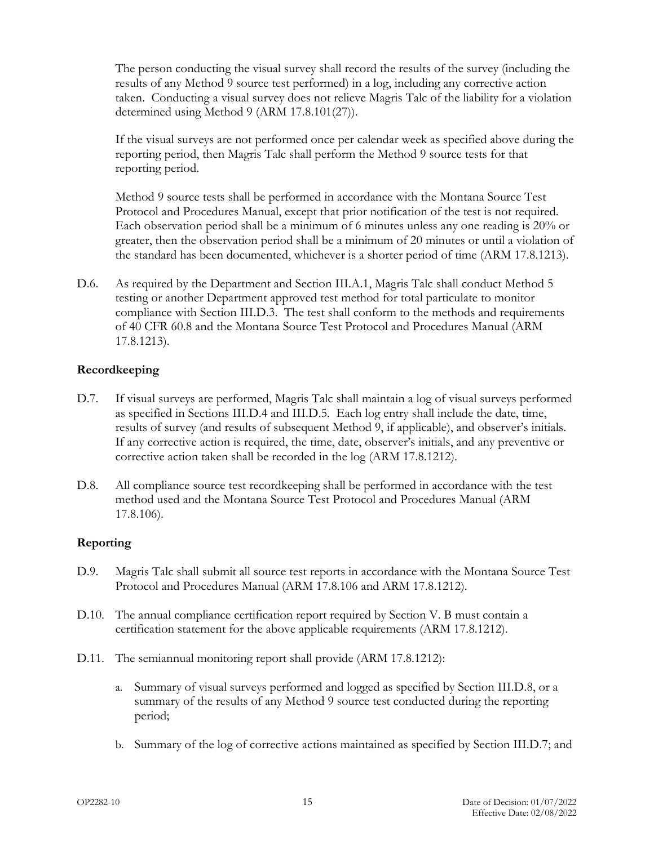The person conducting the visual survey shall record the results of the survey (including the results of any Method 9 source test performed) in a log, including any corrective action taken. Conducting a visual survey does not relieve Magris Talc of the liability for a violation determined using Method 9 (ARM 17.8.101(27)).

If the visual surveys are not performed once per calendar week as specified above during the reporting period, then Magris Talc shall perform the Method 9 source tests for that reporting period.

Method 9 source tests shall be performed in accordance with the Montana Source Test Protocol and Procedures Manual, except that prior notification of the test is not required. Each observation period shall be a minimum of 6 minutes unless any one reading is 20% or greater, then the observation period shall be a minimum of 20 minutes or until a violation of the standard has been documented, whichever is a shorter period of time (ARM 17.8.1213).

<span id="page-18-5"></span>D.6. As required by the Department and Section III[.A.1,](#page-9-0) Magris Talc shall conduct Method 5 testing or another Department approved test method for total particulate to monitor compliance with Section III[.D.3.](#page-17-3) The test shall conform to the methods and requirements of 40 CFR 60.8 and the Montana Source Test Protocol and Procedures Manual (ARM 17.8.1213).

## **Recordkeeping**

- <span id="page-18-0"></span>D.7. If visual surveys are performed, Magris Talc shall maintain a log of visual surveys performed as specified in Sections III[.D.4](#page-17-0) and III[.D.5.](#page-17-2) Each log entry shall include the date, time, results of survey (and results of subsequent Method 9, if applicable), and observer's initials. If any corrective action is required, the time, date, observer's initials, and any preventive or corrective action taken shall be recorded in the log (ARM 17.8.1212).
- <span id="page-18-1"></span>D.8. All compliance source test recordkeeping shall be performed in accordance with the test method used and the Montana Source Test Protocol and Procedures Manual (ARM 17.8.106).

# **Reporting**

- <span id="page-18-2"></span>D.9. Magris Talc shall submit all source test reports in accordance with the Montana Source Test Protocol and Procedures Manual (ARM 17.8.106 and ARM 17.8.1212).
- <span id="page-18-3"></span>D.10. The annual compliance certification report required by Section V. [B](#page-38-0) must contain a certification statement for the above applicable requirements (ARM 17.8.1212).
- <span id="page-18-4"></span>D.11. The semiannual monitoring report shall provide (ARM 17.8.1212):
	- a. Summary of visual surveys performed and logged as specified by Section III[.D.8,](#page-18-1) or a summary of the results of any Method 9 source test conducted during the reporting period;
	- b. Summary of the log of corrective actions maintained as specified by Section II[I.D.7;](#page-18-0) and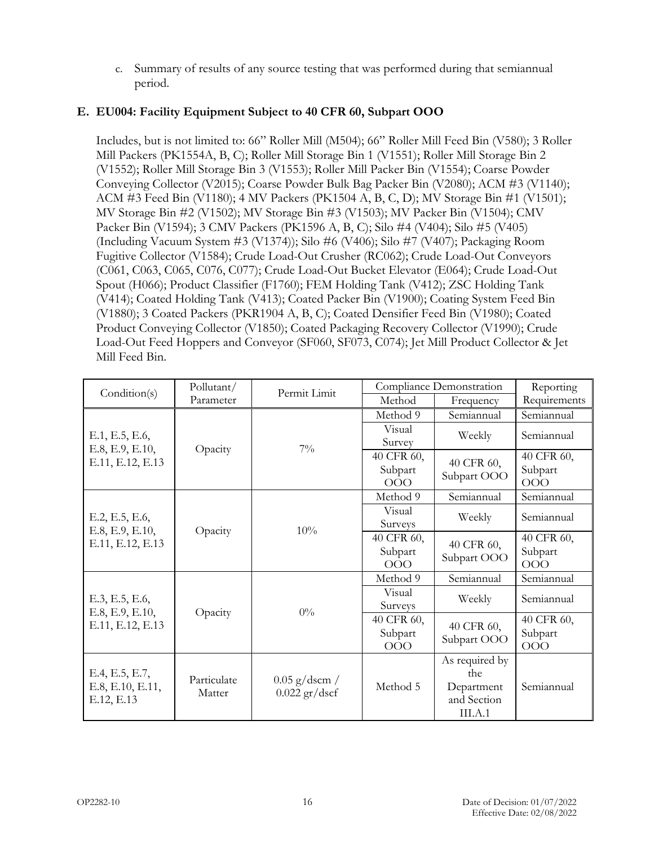c. Summary of results of any source testing that was performed during that semiannual period.

# **E. EU004: Facility Equipment Subject to 40 CFR 60, Subpart OOO**

Includes, but is not limited to: 66" Roller Mill (M504); 66" Roller Mill Feed Bin (V580); 3 Roller Mill Packers (PK1554A, B, C); Roller Mill Storage Bin 1 (V1551); Roller Mill Storage Bin 2 (V1552); Roller Mill Storage Bin 3 (V1553); Roller Mill Packer Bin (V1554); Coarse Powder Conveying Collector (V2015); Coarse Powder Bulk Bag Packer Bin (V2080); ACM #3 (V1140); ACM #3 Feed Bin (V1180); 4 MV Packers (PK1504 A, B, C, D); MV Storage Bin #1 (V1501); MV Storage Bin #2 (V1502); MV Storage Bin #3 (V1503); MV Packer Bin (V1504); CMV Packer Bin (V1594); 3 CMV Packers (PK1596 A, B, C); Silo #4 (V404); Silo #5 (V405) (Including Vacuum System #3 (V1374)); Silo #6 (V406); Silo #7 (V407); Packaging Room Fugitive Collector (V1584); Crude Load-Out Crusher (RC062); Crude Load-Out Conveyors (C061, C063, C065, C076, C077); Crude Load-Out Bucket Elevator (E064); Crude Load-Out Spout (H066); Product Classifier (F1760); FEM Holding Tank (V412); ZSC Holding Tank (V414); Coated Holding Tank (V413); Coated Packer Bin (V1900); Coating System Feed Bin (V1880); 3 Coated Packers (PKR1904 A, B, C); Coated Densifier Feed Bin (V1980); Coated Product Conveying Collector (V1850); Coated Packaging Recovery Collector (V1990); Crude Load-Out Feed Hoppers and Conveyor (SF060, SF073, C074); Jet Mill Product Collector & Jet Mill Feed Bin.

| Condition(s)                                     | Pollutant/            | Permit Limit                       | Compliance Demonstration     |                                                               | Reporting                    |
|--------------------------------------------------|-----------------------|------------------------------------|------------------------------|---------------------------------------------------------------|------------------------------|
|                                                  | Parameter             |                                    | Method                       | Frequency                                                     | Requirements                 |
|                                                  |                       |                                    | Method 9                     | Semiannual                                                    | Semiannual                   |
| E.1, E.5, E.6,<br>E.8, E.9, E.10,                | Opacity               | $7\%$                              | Visual<br>Survey             | Weekly                                                        | Semiannual                   |
| E.11, E.12, E.13                                 |                       |                                    | 40 CFR 60,<br>Subpart<br>OOO | 40 CFR 60,<br>Subpart OOO                                     | 40 CFR 60,<br>Subpart<br>OOO |
|                                                  |                       |                                    | Method 9                     | Semiannual                                                    | Semiannual                   |
| E.2, E.5, E.6,<br>E.8, E.9, E.10,                | Opacity               | 10%                                | Visual<br>Surveys            | Weekly                                                        | Semiannual                   |
| E.11, E.12, E.13                                 |                       |                                    | 40 CFR 60,<br>Subpart<br>OOO | 40 CFR 60,<br>Subpart OOO                                     | 40 CFR 60,<br>Subpart<br>OOO |
|                                                  |                       |                                    | Method 9                     | Semiannual                                                    | Semiannual                   |
| E.3, E.5, E.6,                                   |                       | $0\%$                              | Visual<br>Surveys            | Weekly                                                        | Semiannual                   |
| E.8, E.9, E.10,<br>E.11, E.12, E.13              | Opacity               |                                    | 40 CFR 60,<br>Subpart<br>OOO | 40 CFR 60,<br>Subpart OOO                                     | 40 CFR 60,<br>Subpart<br>OOO |
| E.4, E.5, E.7,<br>E.8, E.10, E.11,<br>E.12, E.13 | Particulate<br>Matter | $0.05$ g/dscm /<br>$0.022$ gr/dscf | Method 5                     | As required by<br>the<br>Department<br>and Section<br>III.A.1 | Semiannual                   |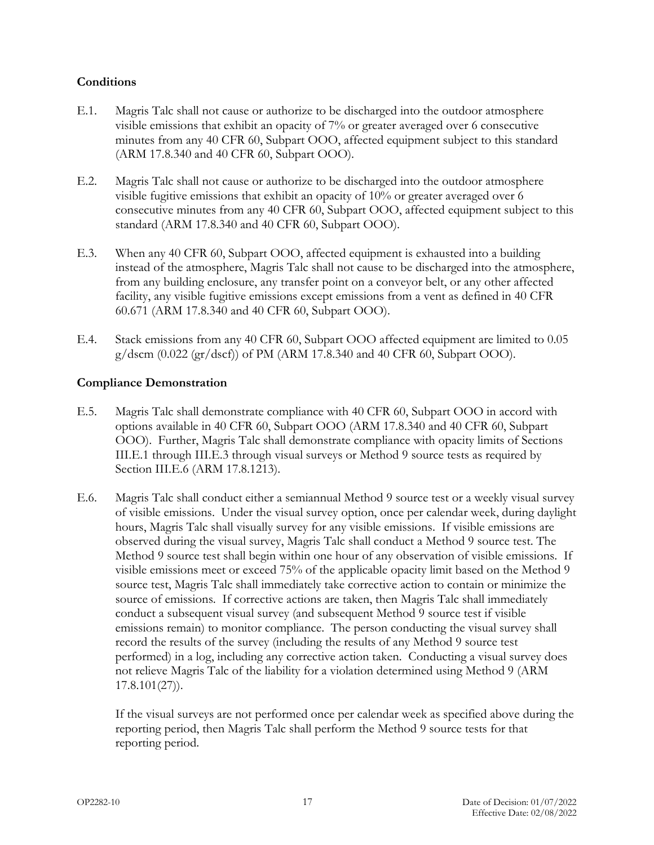# **Conditions**

- <span id="page-20-0"></span>E.1. Magris Talc shall not cause or authorize to be discharged into the outdoor atmosphere visible emissions that exhibit an opacity of 7% or greater averaged over 6 consecutive minutes from any 40 CFR 60, Subpart OOO, affected equipment subject to this standard (ARM 17.8.340 and 40 CFR 60, Subpart OOO).
- <span id="page-20-3"></span>E.2. Magris Talc shall not cause or authorize to be discharged into the outdoor atmosphere visible fugitive emissions that exhibit an opacity of 10% or greater averaged over 6 consecutive minutes from any 40 CFR 60, Subpart OOO, affected equipment subject to this standard (ARM 17.8.340 and 40 CFR 60, Subpart OOO).
- <span id="page-20-4"></span>E.3. When any 40 CFR 60, Subpart OOO, affected equipment is exhausted into a building instead of the atmosphere, Magris Talc shall not cause to be discharged into the atmosphere, from any building enclosure, any transfer point on a conveyor belt, or any other affected facility, any visible fugitive emissions except emissions from a vent as defined in 40 CFR 60.671 (ARM 17.8.340 and 40 CFR 60, Subpart OOO).
- <span id="page-20-5"></span>E.4. Stack emissions from any 40 CFR 60, Subpart OOO affected equipment are limited to 0.05 g/dscm (0.022 (gr/dscf)) of PM (ARM 17.8.340 and 40 CFR 60, Subpart OOO).

## **Compliance Demonstration**

- <span id="page-20-1"></span>E.5. Magris Talc shall demonstrate compliance with 40 CFR 60, Subpart OOO in accord with options available in 40 CFR 60, Subpart OOO (ARM 17.8.340 and 40 CFR 60, Subpart OOO). Further, Magris Talc shall demonstrate compliance with opacity limits of Sections III[.E.1](#page-20-0) through III[.E.3](#page-20-4) through visual surveys or Method 9 source tests as required by Section III[.E.6](#page-20-2) (ARM 17.8.1213).
- <span id="page-20-2"></span>E.6. Magris Talc shall conduct either a semiannual Method 9 source test or a weekly visual survey of visible emissions. Under the visual survey option, once per calendar week, during daylight hours, Magris Talc shall visually survey for any visible emissions. If visible emissions are observed during the visual survey, Magris Talc shall conduct a Method 9 source test. The Method 9 source test shall begin within one hour of any observation of visible emissions. If visible emissions meet or exceed 75% of the applicable opacity limit based on the Method 9 source test, Magris Talc shall immediately take corrective action to contain or minimize the source of emissions. If corrective actions are taken, then Magris Talc shall immediately conduct a subsequent visual survey (and subsequent Method 9 source test if visible emissions remain) to monitor compliance. The person conducting the visual survey shall record the results of the survey (including the results of any Method 9 source test performed) in a log, including any corrective action taken. Conducting a visual survey does not relieve Magris Talc of the liability for a violation determined using Method 9 (ARM 17.8.101(27)).

If the visual surveys are not performed once per calendar week as specified above during the reporting period, then Magris Talc shall perform the Method 9 source tests for that reporting period.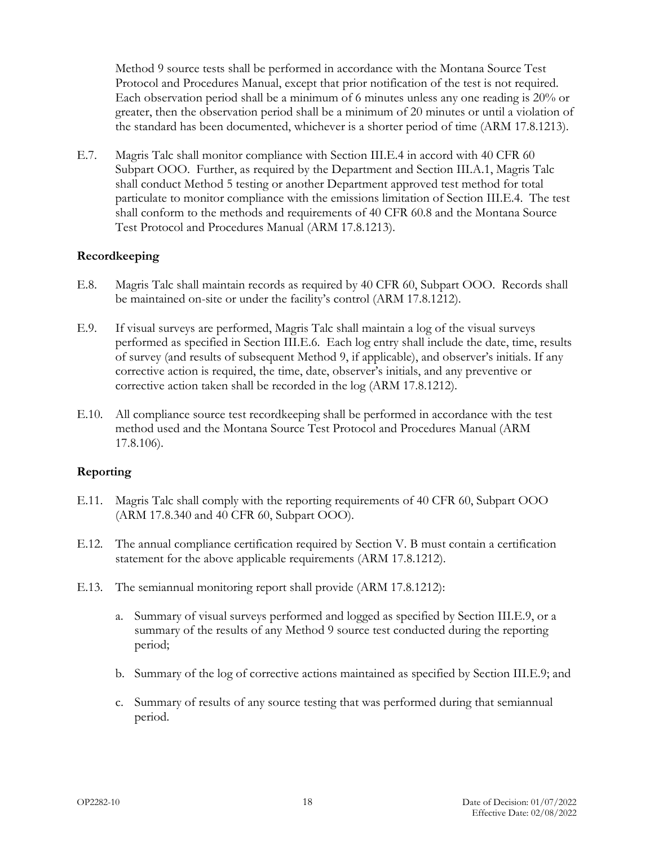Method 9 source tests shall be performed in accordance with the Montana Source Test Protocol and Procedures Manual, except that prior notification of the test is not required. Each observation period shall be a minimum of 6 minutes unless any one reading is 20% or greater, then the observation period shall be a minimum of 20 minutes or until a violation of the standard has been documented, whichever is a shorter period of time (ARM 17.8.1213).

<span id="page-21-6"></span>E.7. Magris Talc shall monitor compliance with Section III[.E.4](#page-20-5) in accord with 40 CFR 60 Subpart OOO. Further, as required by the Department and Section II[I.A.1,](#page-9-0) Magris Talc shall conduct Method 5 testing or another Department approved test method for total particulate to monitor compliance with the emissions limitation of Section III[.E.4.](#page-20-5) The test shall conform to the methods and requirements of 40 CFR 60.8 and the Montana Source Test Protocol and Procedures Manual (ARM 17.8.1213).

#### **Recordkeeping**

- <span id="page-21-0"></span>E.8. Magris Talc shall maintain records as required by 40 CFR 60, Subpart OOO. Records shall be maintained on-site or under the facility's control (ARM 17.8.1212).
- <span id="page-21-1"></span>E.9. If visual surveys are performed, Magris Talc shall maintain a log of the visual surveys performed as specified in Section III[.E.6.](#page-20-2) Each log entry shall include the date, time, results of survey (and results of subsequent Method 9, if applicable), and observer's initials. If any corrective action is required, the time, date, observer's initials, and any preventive or corrective action taken shall be recorded in the log (ARM 17.8.1212).
- <span id="page-21-2"></span>E.10. All compliance source test recordkeeping shall be performed in accordance with the test method used and the Montana Source Test Protocol and Procedures Manual (ARM 17.8.106).

# **Reporting**

- <span id="page-21-3"></span>E.11. Magris Talc shall comply with the reporting requirements of 40 CFR 60, Subpart OOO (ARM 17.8.340 and 40 CFR 60, Subpart OOO).
- <span id="page-21-4"></span>E.12. The annual compliance certification required by Section V. [B](#page-38-0) must contain a certification statement for the above applicable requirements (ARM 17.8.1212).
- <span id="page-21-5"></span>E.13. The semiannual monitoring report shall provide (ARM 17.8.1212):
	- a. Summary of visual surveys performed and logged as specified by Section III[.E.9,](#page-21-1) or a summary of the results of any Method 9 source test conducted during the reporting period;
	- b. Summary of the log of corrective actions maintained as specified by Section II[I.E.9;](#page-21-1) and
	- c. Summary of results of any source testing that was performed during that semiannual period.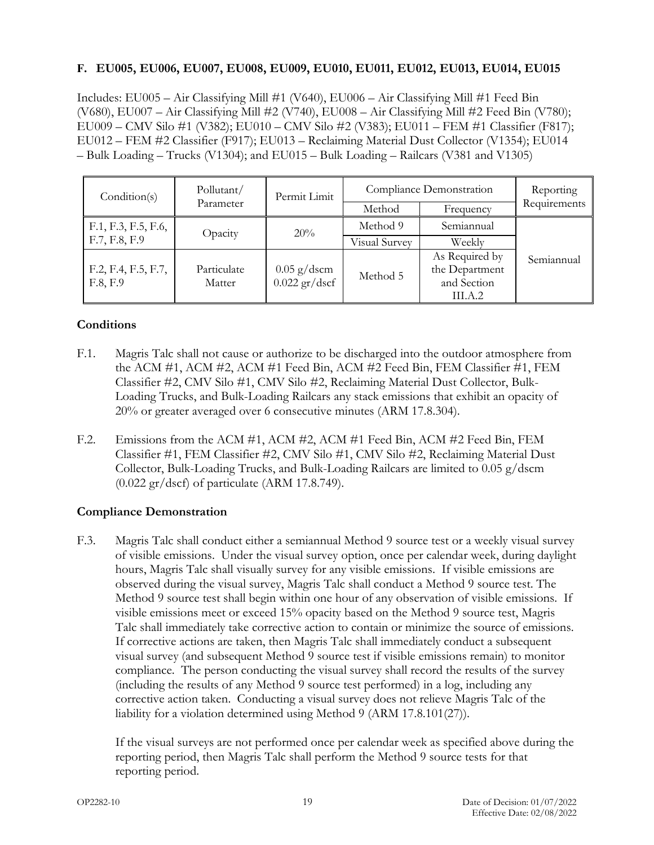# **F. EU005, EU006, EU007, EU008, EU009, EU010, EU011, EU012, EU013, EU014, EU015**

Includes: EU005 – Air Classifying Mill #1 (V640), EU006 – Air Classifying Mill #1 Feed Bin (V680), EU007 – Air Classifying Mill #2 (V740), EU008 – Air Classifying Mill #2 Feed Bin (V780); EU009 – CMV Silo #1 (V382); EU010 – CMV Silo #2 (V383); EU011 – FEM #1 Classifier (F817); EU012 – FEM #2 Classifier (F917); EU013 – Reclaiming Material Dust Collector (V1354); EU014 – Bulk Loading – Trucks (V1304); and EU015 – Bulk Loading – Railcars (V381 and V1305)

| Condition(s)                    | Pollutant/            | Permit Limit                     |                      | Compliance Demonstration                                   | Reporting    |
|---------------------------------|-----------------------|----------------------------------|----------------------|------------------------------------------------------------|--------------|
|                                 | Parameter             |                                  | Method               | Frequency                                                  | Requirements |
| F.1, F.3, F.5, F.6,             | Opacity               | 20%                              | Method 9             | Semiannual                                                 |              |
| F.7, F.8, F.9                   |                       |                                  | <b>Visual Survey</b> | Weekly                                                     |              |
| F.2, F.4, F.5, F.7,<br>F.8, F.9 | Particulate<br>Matter | $0.05$ g/dscm<br>$0.022$ gr/dscf | Method 5             | As Required by<br>the Department<br>and Section<br>III.A.2 | Semiannual   |

## **Conditions**

- <span id="page-22-0"></span>F.1. Magris Talc shall not cause or authorize to be discharged into the outdoor atmosphere from the ACM #1, ACM #2, ACM #1 Feed Bin, ACM #2 Feed Bin, FEM Classifier #1, FEM Classifier #2, CMV Silo #1, CMV Silo #2, Reclaiming Material Dust Collector, Bulk-Loading Trucks, and Bulk-Loading Railcars any stack emissions that exhibit an opacity of 20% or greater averaged over 6 consecutive minutes (ARM 17.8.304).
- <span id="page-22-2"></span>F.2. Emissions from the ACM #1, ACM #2, ACM #1 Feed Bin, ACM #2 Feed Bin, FEM Classifier #1, FEM Classifier #2, CMV Silo #1, CMV Silo #2, Reclaiming Material Dust Collector, Bulk-Loading Trucks, and Bulk-Loading Railcars are limited to 0.05 g/dscm  $(0.022 \text{ gr}/\text{dscf})$  of particulate (ARM 17.8.749).

#### **Compliance Demonstration**

<span id="page-22-1"></span>F.3. Magris Talc shall conduct either a semiannual Method 9 source test or a weekly visual survey of visible emissions. Under the visual survey option, once per calendar week, during daylight hours, Magris Talc shall visually survey for any visible emissions. If visible emissions are observed during the visual survey, Magris Talc shall conduct a Method 9 source test. The Method 9 source test shall begin within one hour of any observation of visible emissions. If visible emissions meet or exceed 15% opacity based on the Method 9 source test, Magris Talc shall immediately take corrective action to contain or minimize the source of emissions. If corrective actions are taken, then Magris Talc shall immediately conduct a subsequent visual survey (and subsequent Method 9 source test if visible emissions remain) to monitor compliance. The person conducting the visual survey shall record the results of the survey (including the results of any Method 9 source test performed) in a log, including any corrective action taken. Conducting a visual survey does not relieve Magris Talc of the liability for a violation determined using Method 9 (ARM 17.8.101(27)).

If the visual surveys are not performed once per calendar week as specified above during the reporting period, then Magris Talc shall perform the Method 9 source tests for that reporting period.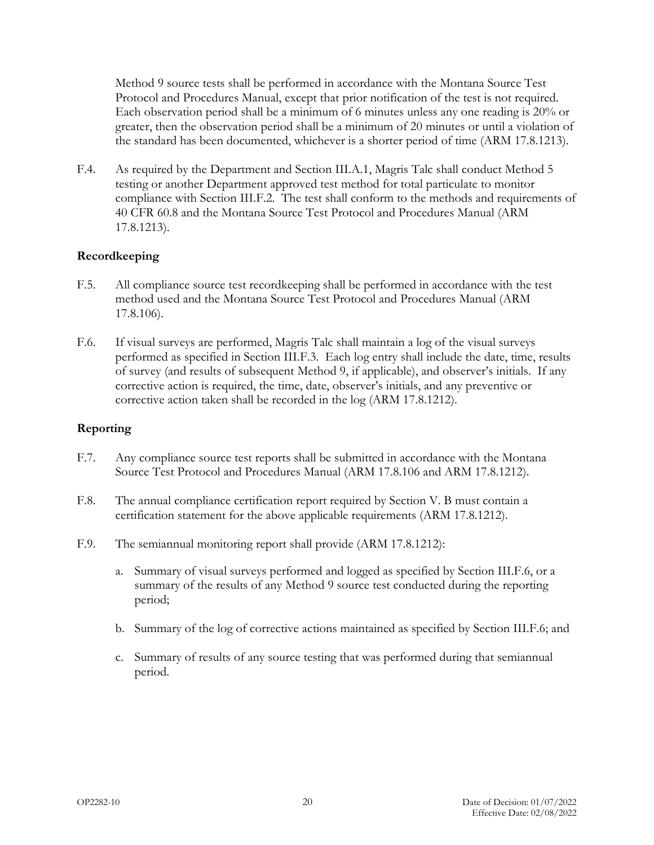Method 9 source tests shall be performed in accordance with the Montana Source Test Protocol and Procedures Manual, except that prior notification of the test is not required. Each observation period shall be a minimum of 6 minutes unless any one reading is 20% or greater, then the observation period shall be a minimum of 20 minutes or until a violation of the standard has been documented, whichever is a shorter period of time (ARM 17.8.1213).

<span id="page-23-5"></span>F.4. As required by the Department and Section III[.A.1,](#page-9-0) Magris Talc shall conduct Method 5 testing or another Department approved test method for total particulate to monitor compliance with Section III[.F.2.](#page-22-2) The test shall conform to the methods and requirements of 40 CFR 60.8 and the Montana Source Test Protocol and Procedures Manual (ARM 17.8.1213).

## **Recordkeeping**

- <span id="page-23-0"></span>F.5. All compliance source test recordkeeping shall be performed in accordance with the test method used and the Montana Source Test Protocol and Procedures Manual (ARM 17.8.106).
- <span id="page-23-1"></span>F.6. If visual surveys are performed, Magris Talc shall maintain a log of the visual surveys performed as specified in Section III[.F.3.](#page-22-1) Each log entry shall include the date, time, results of survey (and results of subsequent Method 9, if applicable), and observer's initials. If any corrective action is required, the time, date, observer's initials, and any preventive or corrective action taken shall be recorded in the log (ARM 17.8.1212).

## **Reporting**

- <span id="page-23-2"></span>F.7. Any compliance source test reports shall be submitted in accordance with the Montana Source Test Protocol and Procedures Manual (ARM 17.8.106 and ARM 17.8.1212).
- <span id="page-23-3"></span>F.8. The annual compliance certification report required by Section V. [B](#page-38-0) must contain a certification statement for the above applicable requirements (ARM 17.8.1212).
- <span id="page-23-4"></span>F.9. The semiannual monitoring report shall provide (ARM 17.8.1212):
	- a. Summary of visual surveys performed and logged as specified by Section III[.F.6,](#page-23-1) or a summary of the results of any Method 9 source test conducted during the reporting period;
	- b. Summary of the log of corrective actions maintained as specified by Section II[I.F.6;](#page-23-1) and
	- c. Summary of results of any source testing that was performed during that semiannual period.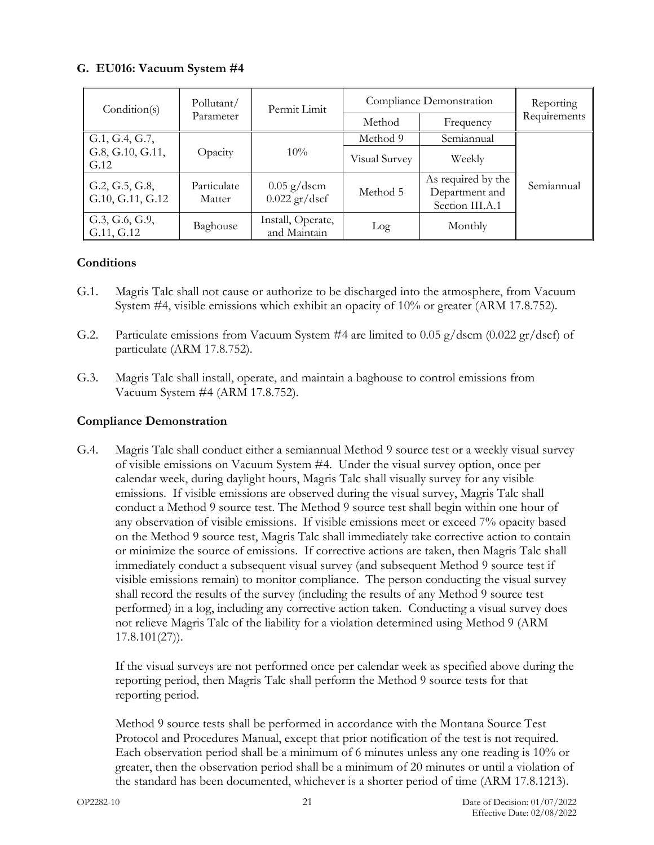# **G. EU016: Vacuum System #4**

| Condition(s)                       | Pollutant/            | Permit Limit                      |               | Compliance Demonstration                                | Reporting    |
|------------------------------------|-----------------------|-----------------------------------|---------------|---------------------------------------------------------|--------------|
|                                    | Parameter             |                                   | Method        | Frequency                                               | Requirements |
| G.1, G.4, G.7,                     |                       |                                   | Method 9      | Semiannual                                              |              |
| G.8, G.10, G.11,<br>G.12           | Opacity               | $10\%$                            | Visual Survey | Weekly                                                  |              |
| G.2, G.5, G.8,<br>G.10, G.11, G.12 | Particulate<br>Matter | $0.05$ g/dscm<br>$0.022$ gr/dscf  | Method 5      | As required by the<br>Department and<br>Section III.A.1 | Semiannual   |
| G.3, G.6, G.9,<br>G.11, G.12       | Baghouse              | Install, Operate,<br>and Maintain | Log           | Monthly                                                 |              |

## **Conditions**

- <span id="page-24-0"></span>G.1. Magris Talc shall not cause or authorize to be discharged into the atmosphere, from Vacuum System #4, visible emissions which exhibit an opacity of 10% or greater (ARM 17.8.752).
- <span id="page-24-2"></span>G.2. Particulate emissions from Vacuum System #4 are limited to 0.05 g/dscm (0.022 gr/dscf) of particulate (ARM 17.8.752).
- <span id="page-24-3"></span>G.3. Magris Talc shall install, operate, and maintain a baghouse to control emissions from Vacuum System #4 (ARM 17.8.752).

## **Compliance Demonstration**

<span id="page-24-1"></span>G.4. Magris Talc shall conduct either a semiannual Method 9 source test or a weekly visual survey of visible emissions on Vacuum System #4. Under the visual survey option, once per calendar week, during daylight hours, Magris Talc shall visually survey for any visible emissions. If visible emissions are observed during the visual survey, Magris Talc shall conduct a Method 9 source test. The Method 9 source test shall begin within one hour of any observation of visible emissions. If visible emissions meet or exceed 7% opacity based on the Method 9 source test, Magris Talc shall immediately take corrective action to contain or minimize the source of emissions. If corrective actions are taken, then Magris Talc shall immediately conduct a subsequent visual survey (and subsequent Method 9 source test if visible emissions remain) to monitor compliance. The person conducting the visual survey shall record the results of the survey (including the results of any Method 9 source test performed) in a log, including any corrective action taken. Conducting a visual survey does not relieve Magris Talc of the liability for a violation determined using Method 9 (ARM  $17.8.101(27)$ .

If the visual surveys are not performed once per calendar week as specified above during the reporting period, then Magris Talc shall perform the Method 9 source tests for that reporting period.

Method 9 source tests shall be performed in accordance with the Montana Source Test Protocol and Procedures Manual, except that prior notification of the test is not required. Each observation period shall be a minimum of 6 minutes unless any one reading is 10% or greater, then the observation period shall be a minimum of 20 minutes or until a violation of the standard has been documented, whichever is a shorter period of time (ARM 17.8.1213).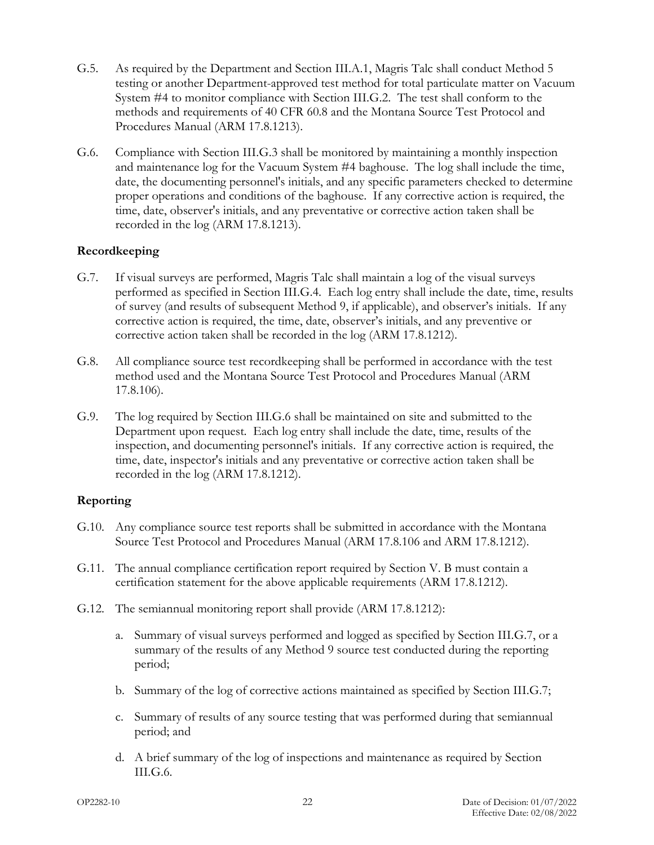- <span id="page-25-5"></span>G.5. As required by the Department and Section III[.A.1,](#page-9-0) Magris Talc shall conduct Method 5 testing or another Department-approved test method for total particulate matter on Vacuum System #4 to monitor compliance with Section III[.G.2.](#page-24-2) The test shall conform to the methods and requirements of 40 CFR 60.8 and the Montana Source Test Protocol and Procedures Manual (ARM 17.8.1213).
- <span id="page-25-6"></span>G.6. Compliance with Section III[.G.3](#page-24-3) shall be monitored by maintaining a monthly inspection and maintenance log for the Vacuum System #4 baghouse. The log shall include the time, date, the documenting personnel's initials, and any specific parameters checked to determine proper operations and conditions of the baghouse. If any corrective action is required, the time, date, observer's initials, and any preventative or corrective action taken shall be recorded in the log (ARM 17.8.1213).

## **Recordkeeping**

- <span id="page-25-0"></span>G.7. If visual surveys are performed, Magris Talc shall maintain a log of the visual surveys performed as specified in Section III[.G.4.](#page-24-1) Each log entry shall include the date, time, results of survey (and results of subsequent Method 9, if applicable), and observer's initials. If any corrective action is required, the time, date, observer's initials, and any preventive or corrective action taken shall be recorded in the log (ARM 17.8.1212).
- <span id="page-25-1"></span>G.8. All compliance source test recordkeeping shall be performed in accordance with the test method used and the Montana Source Test Protocol and Procedures Manual (ARM 17.8.106).
- <span id="page-25-7"></span>G.9. The log required by Section III[.G.6](#page-25-6) shall be maintained on site and submitted to the Department upon request. Each log entry shall include the date, time, results of the inspection, and documenting personnel's initials. If any corrective action is required, the time, date, inspector's initials and any preventative or corrective action taken shall be recorded in the log (ARM 17.8.1212).

# **Reporting**

- <span id="page-25-2"></span>G.10. Any compliance source test reports shall be submitted in accordance with the Montana Source Test Protocol and Procedures Manual (ARM 17.8.106 and ARM 17.8.1212).
- <span id="page-25-3"></span>G.11. The annual compliance certification report required by Section V. [B](#page-38-0) must contain a certification statement for the above applicable requirements (ARM 17.8.1212).
- <span id="page-25-4"></span>G.12. The semiannual monitoring report shall provide (ARM 17.8.1212):
	- a. Summary of visual surveys performed and logged as specified by Section III[.G.7,](#page-25-0) or a summary of the results of any Method 9 source test conducted during the reporting period;
	- b. Summary of the log of corrective actions maintained as specified by Section II[I.G.7;](#page-25-0)
	- c. Summary of results of any source testing that was performed during that semiannual period; and
	- d. A brief summary of the log of inspections and maintenance as required by Section III[.G.6.](#page-25-6)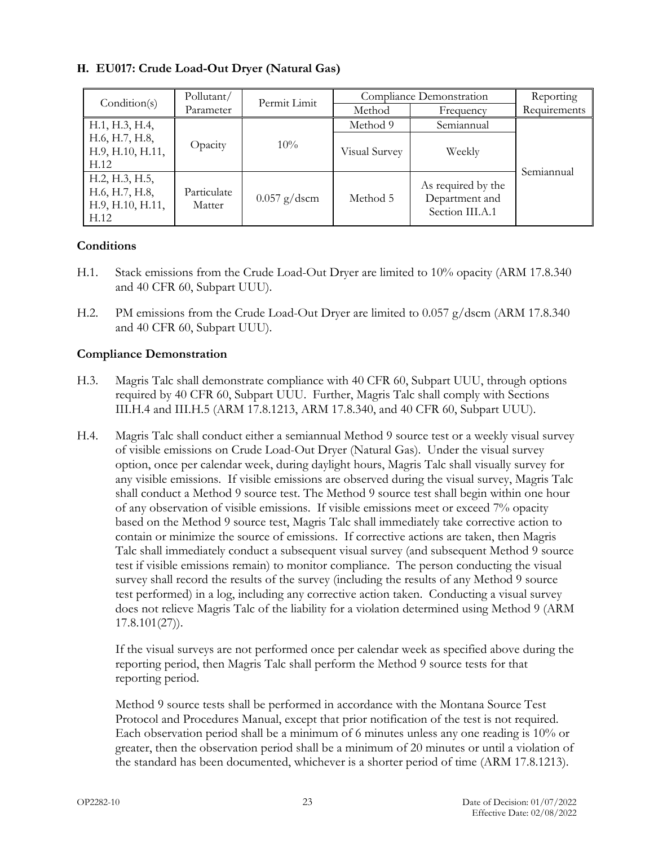| Condition(s)                                                 | Pollutant/            | Compliance Demonstration<br>Permit Limit |               | Reporting                                               |              |
|--------------------------------------------------------------|-----------------------|------------------------------------------|---------------|---------------------------------------------------------|--------------|
|                                                              | Parameter             |                                          | Method        | Frequency                                               | Requirements |
| H.1, H.3, H.4,                                               |                       |                                          | Method 9      | Semiannual                                              |              |
| H.6, H.7, H.8,<br>H.9, H.10, H.11,<br>H.12                   | Opacity               | 10%                                      | Visual Survey | Weekly                                                  | Semiannual   |
| H.2, H.3, H.5,<br>H.6, H.7, H.8,<br>H.9, H.10, H.11,<br>H.12 | Particulate<br>Matter | $0.057$ g/dscm                           | Method 5      | As required by the<br>Department and<br>Section III.A.1 |              |

# **H. EU017: Crude Load-Out Dryer (Natural Gas)**

#### **Conditions**

- <span id="page-26-0"></span>H.1. Stack emissions from the Crude Load-Out Dryer are limited to 10% opacity (ARM 17.8.340 and 40 CFR 60, Subpart UUU).
- <span id="page-26-3"></span>H.2. PM emissions from the Crude Load-Out Dryer are limited to 0.057 g/dscm (ARM 17.8.340 and 40 CFR 60, Subpart UUU).

# **Compliance Demonstration**

- <span id="page-26-1"></span>H.3. Magris Talc shall demonstrate compliance with 40 CFR 60, Subpart UUU, through options required by 40 CFR 60, Subpart UUU. Further, Magris Talc shall comply with Sections III[.H.4](#page-26-2) and III[.H.5](#page-27-7) (ARM 17.8.1213, ARM 17.8.340, and 40 CFR 60, Subpart UUU).
- <span id="page-26-2"></span>H.4. Magris Talc shall conduct either a semiannual Method 9 source test or a weekly visual survey of visible emissions on Crude Load-Out Dryer (Natural Gas). Under the visual survey option, once per calendar week, during daylight hours, Magris Talc shall visually survey for any visible emissions. If visible emissions are observed during the visual survey, Magris Talc shall conduct a Method 9 source test. The Method 9 source test shall begin within one hour of any observation of visible emissions. If visible emissions meet or exceed 7% opacity based on the Method 9 source test, Magris Talc shall immediately take corrective action to contain or minimize the source of emissions. If corrective actions are taken, then Magris Talc shall immediately conduct a subsequent visual survey (and subsequent Method 9 source test if visible emissions remain) to monitor compliance. The person conducting the visual survey shall record the results of the survey (including the results of any Method 9 source test performed) in a log, including any corrective action taken. Conducting a visual survey does not relieve Magris Talc of the liability for a violation determined using Method 9 (ARM 17.8.101(27)).

If the visual surveys are not performed once per calendar week as specified above during the reporting period, then Magris Talc shall perform the Method 9 source tests for that reporting period.

Method 9 source tests shall be performed in accordance with the Montana Source Test Protocol and Procedures Manual, except that prior notification of the test is not required. Each observation period shall be a minimum of 6 minutes unless any one reading is 10% or greater, then the observation period shall be a minimum of 20 minutes or until a violation of the standard has been documented, whichever is a shorter period of time (ARM 17.8.1213).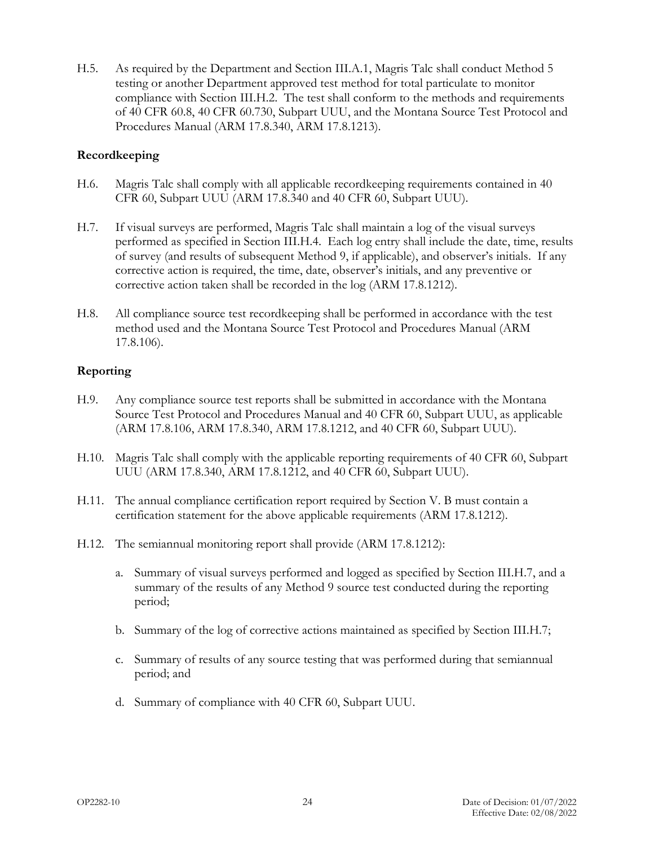<span id="page-27-7"></span>H.5. As required by the Department and Section III[.A.1,](#page-9-0) Magris Talc shall conduct Method 5 testing or another Department approved test method for total particulate to monitor compliance with Section III[.H.2.](#page-26-3) The test shall conform to the methods and requirements of 40 CFR 60.8, 40 CFR 60.730, Subpart UUU, and the Montana Source Test Protocol and Procedures Manual (ARM 17.8.340, ARM 17.8.1213).

## **Recordkeeping**

- <span id="page-27-0"></span>H.6. Magris Talc shall comply with all applicable recordkeeping requirements contained in 40 CFR 60, Subpart UUU (ARM 17.8.340 and 40 CFR 60, Subpart UUU).
- <span id="page-27-1"></span>H.7. If visual surveys are performed, Magris Talc shall maintain a log of the visual surveys performed as specified in Section III[.H.4.](#page-26-2) Each log entry shall include the date, time, results of survey (and results of subsequent Method 9, if applicable), and observer's initials. If any corrective action is required, the time, date, observer's initials, and any preventive or corrective action taken shall be recorded in the log (ARM 17.8.1212).
- <span id="page-27-2"></span>H.8. All compliance source test recordkeeping shall be performed in accordance with the test method used and the Montana Source Test Protocol and Procedures Manual (ARM 17.8.106).

#### **Reporting**

- <span id="page-27-3"></span>H.9. Any compliance source test reports shall be submitted in accordance with the Montana Source Test Protocol and Procedures Manual and 40 CFR 60, Subpart UUU, as applicable (ARM 17.8.106, ARM 17.8.340, ARM 17.8.1212, and 40 CFR 60, Subpart UUU).
- <span id="page-27-4"></span>H.10. Magris Talc shall comply with the applicable reporting requirements of 40 CFR 60, Subpart UUU (ARM 17.8.340, ARM 17.8.1212, and 40 CFR 60, Subpart UUU).
- <span id="page-27-5"></span>H.11. The annual compliance certification report required by Section V. [B](#page-38-0) must contain a certification statement for the above applicable requirements (ARM 17.8.1212).
- <span id="page-27-6"></span>H.12. The semiannual monitoring report shall provide (ARM 17.8.1212):
	- a. Summary of visual surveys performed and logged as specified by Section III[.H.7,](#page-27-1) and a summary of the results of any Method 9 source test conducted during the reporting period;
	- b. Summary of the log of corrective actions maintained as specified by Section II[I.H.7;](#page-27-1)
	- c. Summary of results of any source testing that was performed during that semiannual period; and
	- d. Summary of compliance with 40 CFR 60, Subpart UUU.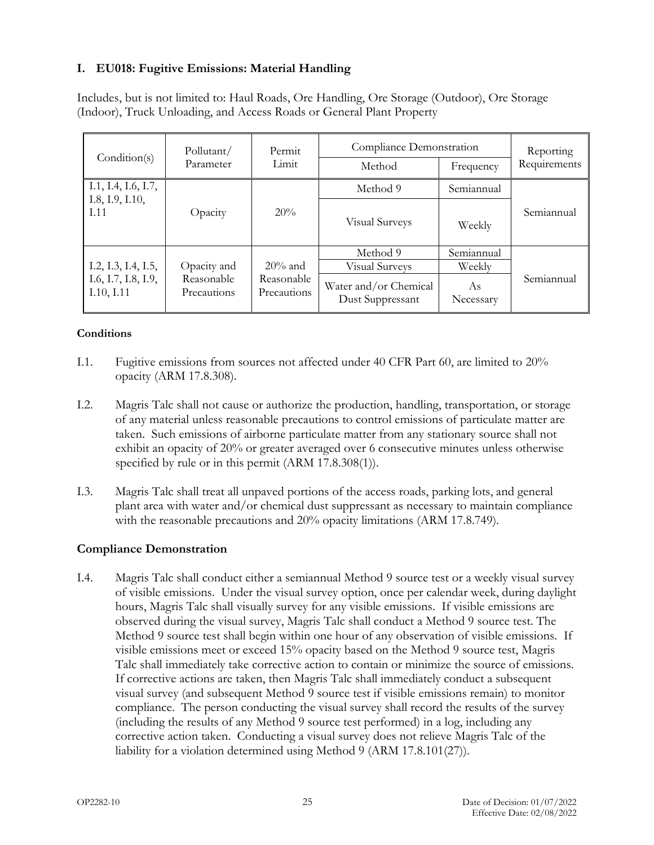# **I. EU018: Fugitive Emissions: Material Handling**

Includes, but is not limited to: Haul Roads, Ore Handling, Ore Storage (Outdoor), Ore Storage (Indoor), Truck Unloading, and Access Roads or General Plant Property

| Pollutant/                             |                           | Permit                    | Compliance Demonstration                  |                 | Reporting    |
|----------------------------------------|---------------------------|---------------------------|-------------------------------------------|-----------------|--------------|
| Condition(s)                           | Parameter                 | Limit                     | Method                                    | Frequency       | Requirements |
| I.1, I.4, I.6, I.7,<br>I.8, I.9, I.10, |                           |                           | Method 9                                  | Semiannual      |              |
| I.11                                   | Opacity                   | 20%                       | Visual Surveys                            | Weekly          | Semiannual   |
|                                        |                           |                           | Method 9                                  | Semiannual      |              |
| I.2, I.3, I.4, I.5,                    | Opacity and               | $20\%$ and                | <b>Visual Surveys</b>                     | Weekly          |              |
| I.6, I.7, I.8, I.9,<br>I.10, I.11      | Reasonable<br>Precautions | Reasonable<br>Precautions | Water and/or Chemical<br>Dust Suppressant | As<br>Necessary | Semiannual   |

#### **Conditions**

- <span id="page-28-0"></span>I.1. Fugitive emissions from sources not affected under 40 CFR Part 60, are limited to 20% opacity (ARM 17.8.308).
- <span id="page-28-2"></span>I.2. Magris Talc shall not cause or authorize the production, handling, transportation, or storage of any material unless reasonable precautions to control emissions of particulate matter are taken. Such emissions of airborne particulate matter from any stationary source shall not exhibit an opacity of 20% or greater averaged over 6 consecutive minutes unless otherwise specified by rule or in this permit (ARM 17.8.308(1)).
- <span id="page-28-3"></span>I.3. Magris Talc shall treat all unpaved portions of the access roads, parking lots, and general plant area with water and/or chemical dust suppressant as necessary to maintain compliance with the reasonable precautions and 20% opacity limitations (ARM 17.8.749).

#### **Compliance Demonstration**

<span id="page-28-1"></span>I.4. Magris Talc shall conduct either a semiannual Method 9 source test or a weekly visual survey of visible emissions. Under the visual survey option, once per calendar week, during daylight hours, Magris Talc shall visually survey for any visible emissions. If visible emissions are observed during the visual survey, Magris Talc shall conduct a Method 9 source test. The Method 9 source test shall begin within one hour of any observation of visible emissions. If visible emissions meet or exceed 15% opacity based on the Method 9 source test, Magris Talc shall immediately take corrective action to contain or minimize the source of emissions. If corrective actions are taken, then Magris Talc shall immediately conduct a subsequent visual survey (and subsequent Method 9 source test if visible emissions remain) to monitor compliance. The person conducting the visual survey shall record the results of the survey (including the results of any Method 9 source test performed) in a log, including any corrective action taken. Conducting a visual survey does not relieve Magris Talc of the liability for a violation determined using Method 9 (ARM 17.8.101(27)).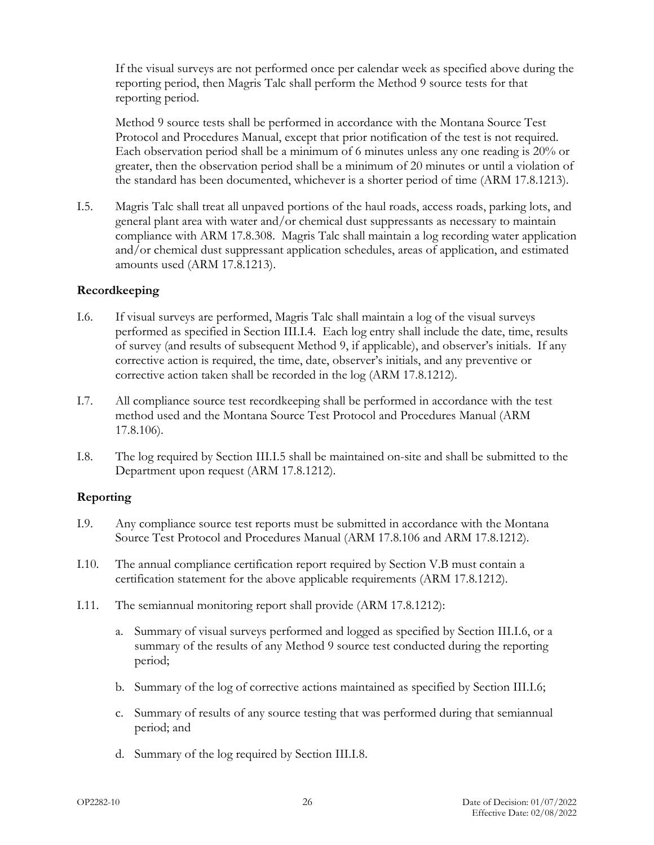If the visual surveys are not performed once per calendar week as specified above during the reporting period, then Magris Talc shall perform the Method 9 source tests for that reporting period.

Method 9 source tests shall be performed in accordance with the Montana Source Test Protocol and Procedures Manual, except that prior notification of the test is not required. Each observation period shall be a minimum of 6 minutes unless any one reading is 20% or greater, then the observation period shall be a minimum of 20 minutes or until a violation of the standard has been documented, whichever is a shorter period of time (ARM 17.8.1213).

<span id="page-29-6"></span>I.5. Magris Talc shall treat all unpaved portions of the haul roads, access roads, parking lots, and general plant area with water and/or chemical dust suppressants as necessary to maintain compliance with ARM 17.8.308. Magris Talc shall maintain a log recording water application and/or chemical dust suppressant application schedules, areas of application, and estimated amounts used (ARM 17.8.1213).

## **Recordkeeping**

- <span id="page-29-0"></span>I.6. If visual surveys are performed, Magris Talc shall maintain a log of the visual surveys performed as specified in Section III[.I.4.](#page-28-1) Each log entry shall include the date, time, results of survey (and results of subsequent Method 9, if applicable), and observer's initials. If any corrective action is required, the time, date, observer's initials, and any preventive or corrective action taken shall be recorded in the log (ARM 17.8.1212).
- <span id="page-29-1"></span>I.7. All compliance source test recordkeeping shall be performed in accordance with the test method used and the Montana Source Test Protocol and Procedures Manual (ARM 17.8.106).
- <span id="page-29-2"></span>I.8. The log required by Section III[.I.5](#page-29-6) shall be maintained on-site and shall be submitted to the Department upon request (ARM 17.8.1212).

# **Reporting**

- <span id="page-29-3"></span>I.9. Any compliance source test reports must be submitted in accordance with the Montana Source Test Protocol and Procedures Manual (ARM 17.8.106 and ARM 17.8.1212).
- <span id="page-29-4"></span>I.10. The annual compliance certification report required by Section [V.B](#page-38-0) must contain a certification statement for the above applicable requirements (ARM 17.8.1212).
- <span id="page-29-5"></span>I.11. The semiannual monitoring report shall provide (ARM 17.8.1212):
	- a. Summary of visual surveys performed and logged as specified by Section III[.I.6,](#page-29-0) or a summary of the results of any Method 9 source test conducted during the reporting period;
	- b. Summary of the log of corrective actions maintained as specified by Section II[I.I.6;](#page-29-0)
	- c. Summary of results of any source testing that was performed during that semiannual period; and
	- d. Summary of the log required by Section III[.I.8.](#page-29-2)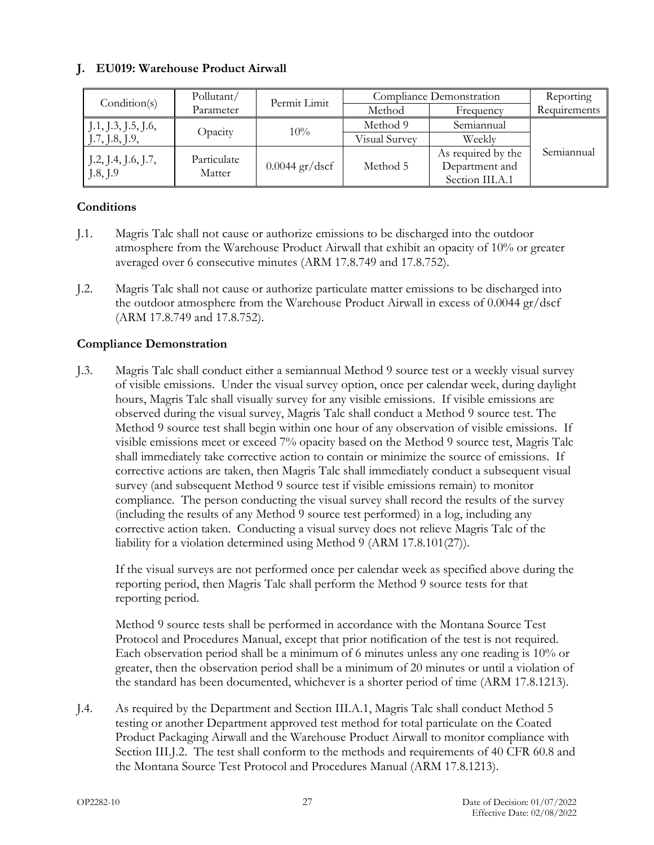# **J. EU019: Warehouse Product Airwall**

| Pollutant/<br>Condition(s)<br>Parameter |                       | Permit Limit         | Compliance Demonstration |                                                         | Reporting    |
|-----------------------------------------|-----------------------|----------------------|--------------------------|---------------------------------------------------------|--------------|
|                                         |                       |                      | Method                   | Frequency                                               | Requirements |
| J.1, J.3, J.5, J.6,                     |                       | $10\%$               | Method 9                 | Semiannual                                              |              |
| Opacity<br>$\vert$ J.7, J.8, J.9,       |                       | <b>Visual Survey</b> | Weekly                   |                                                         |              |
| $J.2, J.4, J.6, J.7,$<br>J.8, J.9       | Particulate<br>Matter | $0.0044$ gr/dscf     | Method 5                 | As required by the<br>Department and<br>Section III.A.1 | Semiannual   |

#### **Conditions**

- <span id="page-30-0"></span>J.1. Magris Talc shall not cause or authorize emissions to be discharged into the outdoor atmosphere from the Warehouse Product Airwall that exhibit an opacity of 10% or greater averaged over 6 consecutive minutes (ARM 17.8.749 and 17.8.752).
- <span id="page-30-2"></span>J.2. Magris Talc shall not cause or authorize particulate matter emissions to be discharged into the outdoor atmosphere from the Warehouse Product Airwall in excess of 0.0044 gr/dscf (ARM 17.8.749 and 17.8.752).

#### **Compliance Demonstration**

<span id="page-30-1"></span>J.3. Magris Talc shall conduct either a semiannual Method 9 source test or a weekly visual survey of visible emissions. Under the visual survey option, once per calendar week, during daylight hours, Magris Talc shall visually survey for any visible emissions. If visible emissions are observed during the visual survey, Magris Talc shall conduct a Method 9 source test. The Method 9 source test shall begin within one hour of any observation of visible emissions. If visible emissions meet or exceed 7% opacity based on the Method 9 source test, Magris Talc shall immediately take corrective action to contain or minimize the source of emissions. If corrective actions are taken, then Magris Talc shall immediately conduct a subsequent visual survey (and subsequent Method 9 source test if visible emissions remain) to monitor compliance. The person conducting the visual survey shall record the results of the survey (including the results of any Method 9 source test performed) in a log, including any corrective action taken. Conducting a visual survey does not relieve Magris Talc of the liability for a violation determined using Method 9 (ARM 17.8.101(27)).

If the visual surveys are not performed once per calendar week as specified above during the reporting period, then Magris Talc shall perform the Method 9 source tests for that reporting period.

Method 9 source tests shall be performed in accordance with the Montana Source Test Protocol and Procedures Manual, except that prior notification of the test is not required. Each observation period shall be a minimum of 6 minutes unless any one reading is 10% or greater, then the observation period shall be a minimum of 20 minutes or until a violation of the standard has been documented, whichever is a shorter period of time (ARM 17.8.1213).

<span id="page-30-3"></span>J.4. As required by the Department and Section III[.A.1,](#page-9-0) Magris Talc shall conduct Method 5 testing or another Department approved test method for total particulate on the Coated Product Packaging Airwall and the Warehouse Product Airwall to monitor compliance with Section III[.J.2.](#page-30-2) The test shall conform to the methods and requirements of 40 CFR 60.8 and the Montana Source Test Protocol and Procedures Manual (ARM 17.8.1213).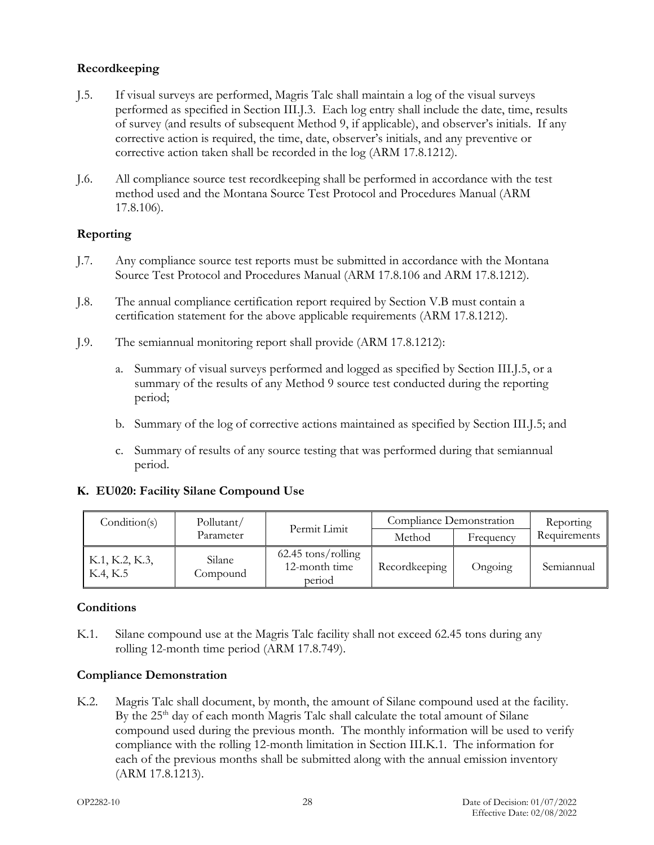# **Recordkeeping**

- <span id="page-31-0"></span>J.5. If visual surveys are performed, Magris Talc shall maintain a log of the visual surveys performed as specified in Section III[.J.3.](#page-30-1) Each log entry shall include the date, time, results of survey (and results of subsequent Method 9, if applicable), and observer's initials. If any corrective action is required, the time, date, observer's initials, and any preventive or corrective action taken shall be recorded in the log (ARM 17.8.1212).
- <span id="page-31-1"></span>J.6. All compliance source test recordkeeping shall be performed in accordance with the test method used and the Montana Source Test Protocol and Procedures Manual (ARM 17.8.106).

# **Reporting**

- <span id="page-31-2"></span>J.7. Any compliance source test reports must be submitted in accordance with the Montana Source Test Protocol and Procedures Manual (ARM 17.8.106 and ARM 17.8.1212).
- <span id="page-31-3"></span>J.8. The annual compliance certification report required by Section [V.B](#page-38-0) must contain a certification statement for the above applicable requirements (ARM 17.8.1212).
- <span id="page-31-4"></span>J.9. The semiannual monitoring report shall provide (ARM 17.8.1212):
	- a. Summary of visual surveys performed and logged as specified by Section III[.J.5,](#page-31-0) or a summary of the results of any Method 9 source test conducted during the reporting period;
	- b. Summary of the log of corrective actions maintained as specified by Section II[I.J.5;](#page-31-0) and
	- c. Summary of results of any source testing that was performed during that semiannual period.

#### **K. EU020: Facility Silane Compound Use**

| Condition(s)               | Pollutant/         | Permit Limit                                    | Compliance Demonstration |           | Reporting    |
|----------------------------|--------------------|-------------------------------------------------|--------------------------|-----------|--------------|
|                            | Parameter          |                                                 | Method                   | Frequency | Requirements |
| K.1, K.2, K.3,<br>K.4, K.5 | Silane<br>Compound | $62.45$ tons/rolling<br>12-month time<br>period | Recordkeeping            | Ongoing   | Semiannual   |

#### **Conditions**

<span id="page-31-5"></span>K.1. Silane compound use at the Magris Talc facility shall not exceed 62.45 tons during any rolling 12-month time period (ARM 17.8.749).

#### **Compliance Demonstration**

<span id="page-31-6"></span>K.2. Magris Talc shall document, by month, the amount of Silane compound used at the facility. By the 25<sup>th</sup> day of each month Magris Talc shall calculate the total amount of Silane compound used during the previous month. The monthly information will be used to verify compliance with the rolling 12-month limitation in Section III[.K.1.](#page-31-5) The information for each of the previous months shall be submitted along with the annual emission inventory (ARM 17.8.1213).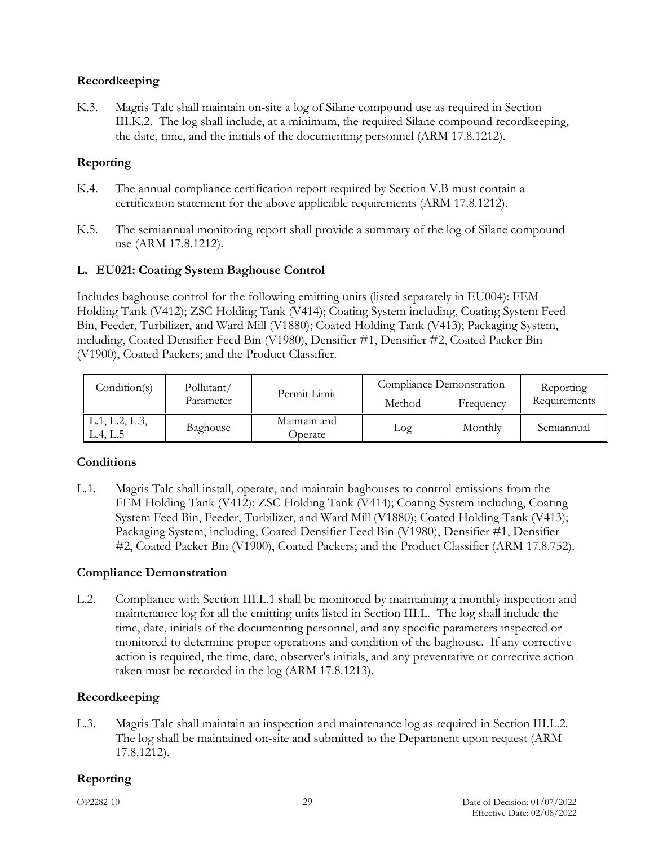## **Recordkeeping**

<span id="page-32-0"></span>K.3. Magris Talc shall maintain on-site a log of Silane compound use as required in Section III[.K.2.](#page-31-6) The log shall include, at a minimum, the required Silane compound recordkeeping, the date, time, and the initials of the documenting personnel (ARM 17.8.1212).

# **Reporting**

- <span id="page-32-1"></span>K.4. The annual compliance certification report required by Section [V.B](#page-38-0) must contain a certification statement for the above applicable requirements (ARM 17.8.1212).
- <span id="page-32-2"></span>K.5. The semiannual monitoring report shall provide a summary of the log of Silane compound use (ARM 17.8.1212).

## <span id="page-32-6"></span>**L. EU021: Coating System Baghouse Control**

Includes baghouse control for the following emitting units (listed separately in EU004): FEM Holding Tank (V412); ZSC Holding Tank (V414); Coating System including, Coating System Feed Bin, Feeder, Turbilizer, and Ward Mill (V1880); Coated Holding Tank (V413); Packaging System, including, Coated Densifier Feed Bin (V1980), Densifier #1, Densifier #2, Coated Packer Bin (V1900), Coated Packers; and the Product Classifier.

| Condition(s)               | Pollutant/ | Permit Limit            | Compliance Demonstration |           | Reporting    |
|----------------------------|------------|-------------------------|--------------------------|-----------|--------------|
|                            | Parameter  |                         | Method                   | Frequency | Requirements |
| L.1, L.2, L.3,<br>L.4, L.5 | Baghouse   | Maintain and<br>Operate | Log                      | Monthly   | Semiannual   |

#### **Conditions**

<span id="page-32-3"></span>L.1. Magris Talc shall install, operate, and maintain baghouses to control emissions from the FEM Holding Tank (V412); ZSC Holding Tank (V414); Coating System including, Coating System Feed Bin, Feeder, Turbilizer, and Ward Mill (V1880); Coated Holding Tank (V413); Packaging System, including, Coated Densifier Feed Bin (V1980), Densifier #1, Densifier #2, Coated Packer Bin (V1900), Coated Packers; and the Product Classifier (ARM 17.8.752).

#### **Compliance Demonstration**

<span id="page-32-4"></span>L.2. Compliance with Section III[.L.1](#page-32-3) shall be monitored by maintaining a monthly inspection and maintenance log for all the emitting units listed in Section III[.L.](#page-32-6) The log shall include the time, date, initials of the documenting personnel, and any specific parameters inspected or monitored to determine proper operations and condition of the baghouse. If any corrective action is required, the time, date, observer's initials, and any preventative or corrective action taken must be recorded in the log (ARM 17.8.1213).

#### **Recordkeeping**

<span id="page-32-5"></span>L.3. Magris Talc shall maintain an inspection and maintenance log as required in Section III[.L.2.](#page-32-4) The log shall be maintained on-site and submitted to the Department upon request (ARM 17.8.1212).

# **Reporting**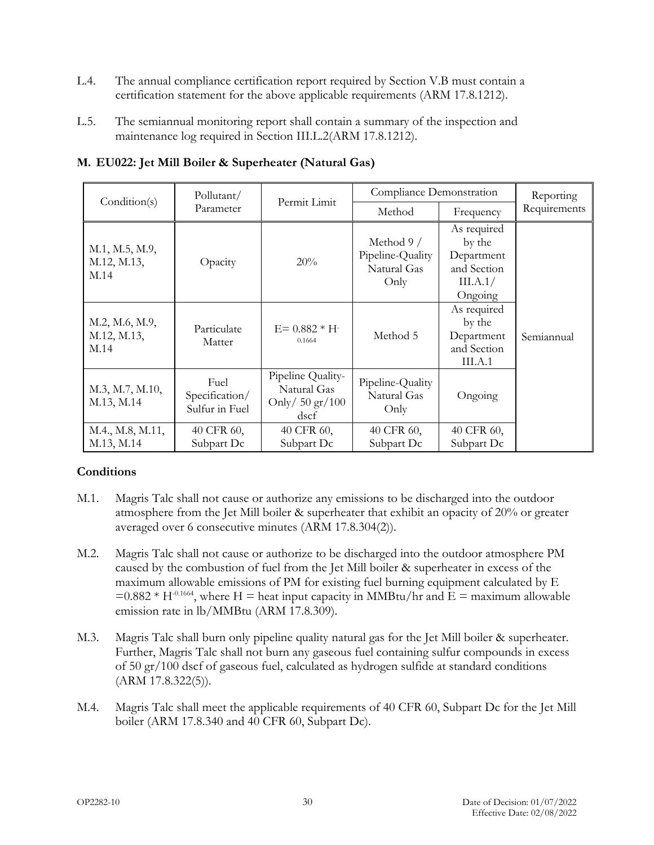- <span id="page-33-0"></span>L.4. The annual compliance certification report required by Section [V.B](#page-38-0) must contain a certification statement for the above applicable requirements (ARM 17.8.1212).
- <span id="page-33-1"></span>L.5. The semiannual monitoring report shall contain a summary of the inspection and maintenance log required in Section III[.L.2\(](#page-32-4)ARM 17.8.1212).

|                                       | Pollutant/                               | Permit Limit                                                          | Compliance Demonstration                              |                                                                           | Reporting    |
|---------------------------------------|------------------------------------------|-----------------------------------------------------------------------|-------------------------------------------------------|---------------------------------------------------------------------------|--------------|
| Condition(s)                          | Parameter                                |                                                                       | Method                                                | Frequency                                                                 | Requirements |
| M.1, M.5, M.9,<br>M.12, M.13,<br>M.14 | Opacity                                  | 20%                                                                   | Method 9 /<br>Pipeline-Quality<br>Natural Gas<br>Only | As required<br>by the<br>Department<br>and Section<br>III.A.1/<br>Ongoing |              |
| M.2, M.6, M.9,<br>M.12, M.13,<br>M.14 | Particulate<br>Matter                    | $E = 0.882 * H$<br>0.1664                                             | Method 5                                              | As required<br>by the<br>Department<br>and Section<br>III.A.1             | Semiannual   |
| M.3, M.7, M.10,<br>M.13, M.14         | Fuel<br>Specification/<br>Sulfur in Fuel | Pipeline Quality-<br>Natural Gas<br>Only/ $50 \text{ gr}/100$<br>dscf | Pipeline-Quality<br>Natural Gas<br>Only               | Ongoing                                                                   |              |
| M.4., M.8, M.11,<br>M.13, M.14        | 40 CFR 60,<br>Subpart Dc                 | 40 CFR 60,<br>Subpart Dc                                              | 40 CFR 60,<br>Subpart Dc                              | 40 CFR 60,<br>Subpart Dc                                                  |              |

## **M. EU022: Jet Mill Boiler & Superheater (Natural Gas)**

# **Conditions**

- <span id="page-33-2"></span>M.1. Magris Talc shall not cause or authorize any emissions to be discharged into the outdoor atmosphere from the Jet Mill boiler & superheater that exhibit an opacity of 20% or greater averaged over 6 consecutive minutes (ARM 17.8.304(2)).
- <span id="page-33-3"></span>M.2. Magris Talc shall not cause or authorize to be discharged into the outdoor atmosphere PM caused by the combustion of fuel from the Jet Mill boiler & superheater in excess of the maximum allowable emissions of PM for existing fuel burning equipment calculated by E  $=0.882 * H<sup>0.1664</sup>$ , where H = heat input capacity in MMBtu/hr and E = maximum allowable emission rate in lb/MMBtu (ARM 17.8.309).
- <span id="page-33-4"></span>M.3. Magris Talc shall burn only pipeline quality natural gas for the Jet Mill boiler & superheater. Further, Magris Talc shall not burn any gaseous fuel containing sulfur compounds in excess of 50 gr/100 dscf of gaseous fuel, calculated as hydrogen sulfide at standard conditions (ARM 17.8.322(5)).
- <span id="page-33-5"></span>M.4. Magris Talc shall meet the applicable requirements of 40 CFR 60, Subpart Dc for the Jet Mill boiler (ARM 17.8.340 and 40 CFR 60, Subpart Dc).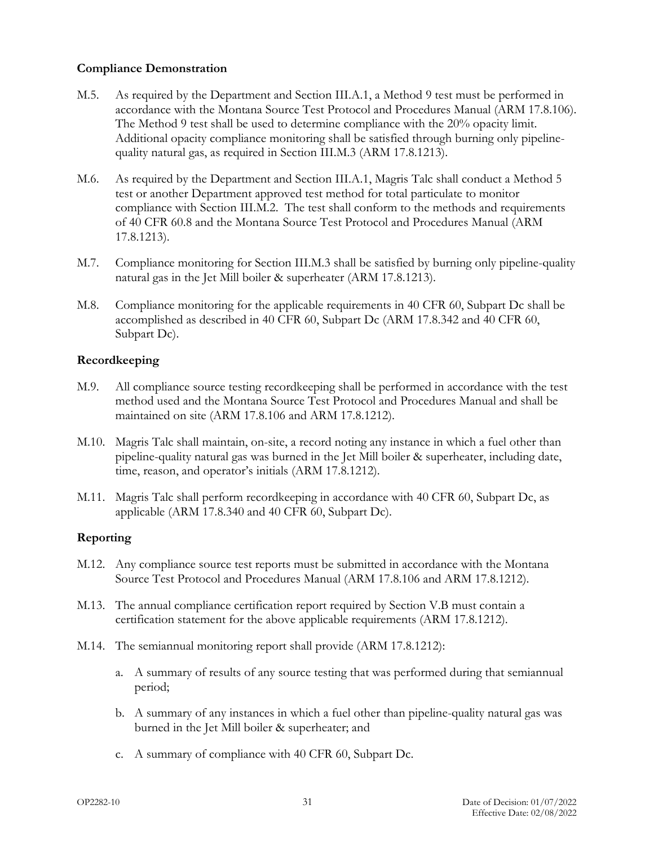## **Compliance Demonstration**

- <span id="page-34-0"></span>M.5. As required by the Department and Section III[.A.1,](#page-9-0) a Method 9 test must be performed in accordance with the Montana Source Test Protocol and Procedures Manual (ARM 17.8.106). The Method 9 test shall be used to determine compliance with the 20% opacity limit. Additional opacity compliance monitoring shall be satisfied through burning only pipelinequality natural gas, as required in Section III[.M.3](#page-33-4) (ARM 17.8.1213).
- <span id="page-34-5"></span>M.6. As required by the Department and Section III[.A.1,](#page-9-0) Magris Talc shall conduct a Method 5 test or another Department approved test method for total particulate to monitor compliance with Section III[.M.2.](#page-33-3) The test shall conform to the methods and requirements of 40 CFR 60.8 and the Montana Source Test Protocol and Procedures Manual (ARM 17.8.1213).
- <span id="page-34-6"></span>M.7. Compliance monitoring for Section III[.M.3](#page-33-4) shall be satisfied by burning only pipeline-quality natural gas in the Jet Mill boiler & superheater (ARM 17.8.1213).
- <span id="page-34-8"></span>M.8. Compliance monitoring for the applicable requirements in 40 CFR 60, Subpart Dc shall be accomplished as described in 40 CFR 60, Subpart Dc (ARM 17.8.342 and 40 CFR 60, Subpart Dc).

## **Recordkeeping**

- <span id="page-34-1"></span>M.9. All compliance source testing recordkeeping shall be performed in accordance with the test method used and the Montana Source Test Protocol and Procedures Manual and shall be maintained on site (ARM 17.8.106 and ARM 17.8.1212).
- <span id="page-34-7"></span>M.10. Magris Talc shall maintain, on-site, a record noting any instance in which a fuel other than pipeline-quality natural gas was burned in the Jet Mill boiler & superheater, including date, time, reason, and operator's initials (ARM 17.8.1212).
- <span id="page-34-9"></span>M.11. Magris Talc shall perform recordkeeping in accordance with 40 CFR 60, Subpart Dc, as applicable (ARM 17.8.340 and 40 CFR 60, Subpart Dc).

# **Reporting**

- <span id="page-34-2"></span>M.12. Any compliance source test reports must be submitted in accordance with the Montana Source Test Protocol and Procedures Manual (ARM 17.8.106 and ARM 17.8.1212).
- <span id="page-34-3"></span>M.13. The annual compliance certification report required by Section [V.B](#page-38-0) must contain a certification statement for the above applicable requirements (ARM 17.8.1212).
- <span id="page-34-4"></span>M.14. The semiannual monitoring report shall provide (ARM 17.8.1212):
	- a. A summary of results of any source testing that was performed during that semiannual period;
	- b. A summary of any instances in which a fuel other than pipeline-quality natural gas was burned in the Jet Mill boiler & superheater; and
	- c. A summary of compliance with 40 CFR 60, Subpart Dc.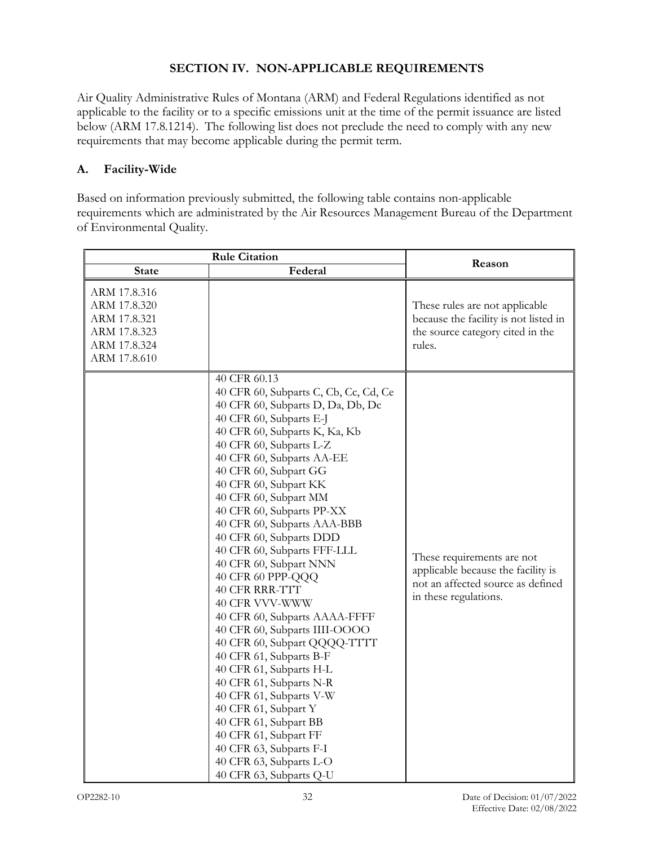# **SECTION IV. NON-APPLICABLE REQUIREMENTS**

Air Quality Administrative Rules of Montana (ARM) and Federal Regulations identified as not applicable to the facility or to a specific emissions unit at the time of the permit issuance are listed below (ARM 17.8.1214). The following list does not preclude the need to comply with any new requirements that may become applicable during the permit term.

# **A. Facility-Wide**

Based on information previously submitted, the following table contains non-applicable requirements which are administrated by the Air Resources Management Bureau of the Department of Environmental Quality.

| <b>Rule Citation</b>                                                                         |                                                                                                                                                                                                                                                                                                                                                                                                                                                                                                                                                                                                                                                                                                                                                                                                                                                                             | Reason                                                                                                                         |
|----------------------------------------------------------------------------------------------|-----------------------------------------------------------------------------------------------------------------------------------------------------------------------------------------------------------------------------------------------------------------------------------------------------------------------------------------------------------------------------------------------------------------------------------------------------------------------------------------------------------------------------------------------------------------------------------------------------------------------------------------------------------------------------------------------------------------------------------------------------------------------------------------------------------------------------------------------------------------------------|--------------------------------------------------------------------------------------------------------------------------------|
| <b>State</b>                                                                                 | Federal                                                                                                                                                                                                                                                                                                                                                                                                                                                                                                                                                                                                                                                                                                                                                                                                                                                                     |                                                                                                                                |
| ARM 17.8.316<br>ARM 17.8.320<br>ARM 17.8.321<br>ARM 17.8.323<br>ARM 17.8.324<br>ARM 17.8.610 |                                                                                                                                                                                                                                                                                                                                                                                                                                                                                                                                                                                                                                                                                                                                                                                                                                                                             | These rules are not applicable<br>because the facility is not listed in<br>the source category cited in the<br>rules.          |
|                                                                                              | 40 CFR 60.13<br>40 CFR 60, Subparts C, Cb, Cc, Cd, Ce<br>40 CFR 60, Subparts D, Da, Db, Dc<br>40 CFR 60, Subparts E-J<br>40 CFR 60, Subparts K, Ka, Kb<br>40 CFR 60, Subparts L-Z<br>40 CFR 60, Subparts AA-EE<br>40 CFR 60, Subpart GG<br>40 CFR 60, Subpart KK<br>40 CFR 60, Subpart MM<br>40 CFR 60, Subparts PP-XX<br>40 CFR 60, Subparts AAA-BBB<br>40 CFR 60, Subparts DDD<br>40 CFR 60, Subparts FFF-LLL<br>40 CFR 60, Subpart NNN<br>40 CFR 60 PPP-QQQ<br>40 CFR RRR-TTT<br>40 CFR VVV-WWW<br>40 CFR 60, Subparts AAAA-FFFF<br>40 CFR 60, Subparts IIII-OOOO<br>40 CFR 60, Subpart QQQQ-TTTT<br>40 CFR 61, Subparts B-F<br>40 CFR 61, Subparts H-L<br>40 CFR 61, Subparts N-R<br>40 CFR 61, Subparts V-W<br>40 CFR 61, Subpart Y<br>40 CFR 61, Subpart BB<br>40 CFR 61, Subpart FF<br>40 CFR 63, Subparts F-I<br>40 CFR 63, Subparts L-O<br>40 CFR 63, Subparts Q-U | These requirements are not<br>applicable because the facility is<br>not an affected source as defined<br>in these regulations. |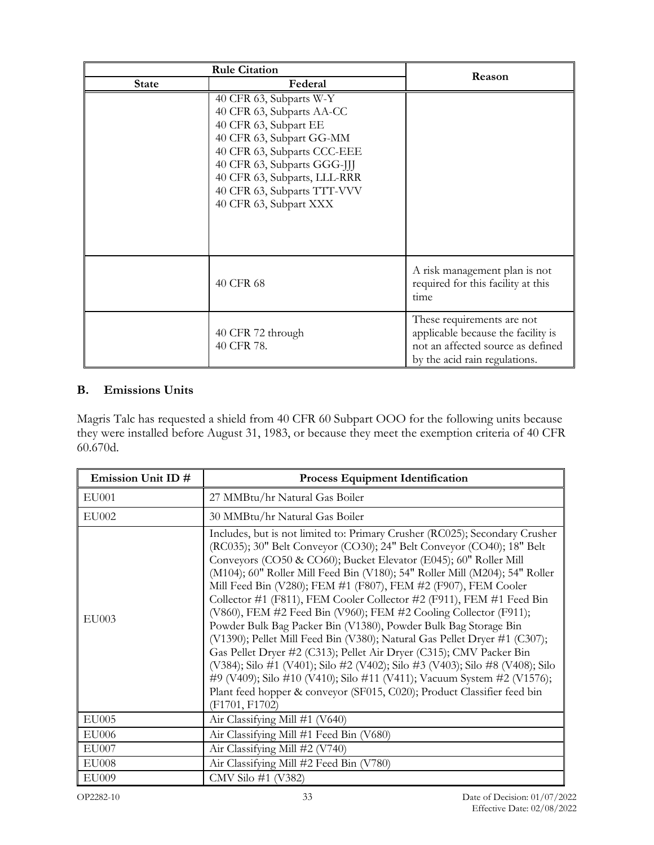|              | <b>Rule Citation</b>                                                                                                                                                                                                                                             | Reason                                                                                                                                 |  |
|--------------|------------------------------------------------------------------------------------------------------------------------------------------------------------------------------------------------------------------------------------------------------------------|----------------------------------------------------------------------------------------------------------------------------------------|--|
| <b>State</b> | Federal                                                                                                                                                                                                                                                          |                                                                                                                                        |  |
|              | 40 CFR 63, Subparts W-Y<br>40 CFR 63, Subparts AA-CC<br>40 CFR 63, Subpart EE<br>40 CFR 63, Subpart GG-MM<br>40 CFR 63, Subparts CCC-EEE<br>40 CFR 63, Subparts GGG-JJJ<br>40 CFR 63, Subparts, LLL-RRR<br>40 CFR 63, Subparts TTT-VVV<br>40 CFR 63, Subpart XXX |                                                                                                                                        |  |
|              | 40 CFR 68                                                                                                                                                                                                                                                        | A risk management plan is not<br>required for this facility at this<br>time                                                            |  |
|              | 40 CFR 72 through<br>40 CFR 78.                                                                                                                                                                                                                                  | These requirements are not<br>applicable because the facility is<br>not an affected source as defined<br>by the acid rain regulations. |  |

# **B. Emissions Units**

Magris Talc has requested a shield from 40 CFR 60 Subpart OOO for the following units because they were installed before August 31, 1983, or because they meet the exemption criteria of 40 CFR 60.670d.

| Emission Unit ID# | <b>Process Equipment Identification</b>                                                                                                                                                                                                                                                                                                                                                                                                                                                                                                                                                                                                                                                                                                                                                                                                                                                                                                                                                             |
|-------------------|-----------------------------------------------------------------------------------------------------------------------------------------------------------------------------------------------------------------------------------------------------------------------------------------------------------------------------------------------------------------------------------------------------------------------------------------------------------------------------------------------------------------------------------------------------------------------------------------------------------------------------------------------------------------------------------------------------------------------------------------------------------------------------------------------------------------------------------------------------------------------------------------------------------------------------------------------------------------------------------------------------|
| EU001             | 27 MMBtu/hr Natural Gas Boiler                                                                                                                                                                                                                                                                                                                                                                                                                                                                                                                                                                                                                                                                                                                                                                                                                                                                                                                                                                      |
| EU002             | 30 MMBtu/hr Natural Gas Boiler                                                                                                                                                                                                                                                                                                                                                                                                                                                                                                                                                                                                                                                                                                                                                                                                                                                                                                                                                                      |
| <b>EU003</b>      | Includes, but is not limited to: Primary Crusher (RC025); Secondary Crusher<br>(RC035); 30" Belt Conveyor (CO30); 24" Belt Conveyor (CO40); 18" Belt<br>Conveyors (CO50 & CO60); Bucket Elevator (E045); 60" Roller Mill<br>(M104); 60" Roller Mill Feed Bin (V180); 54" Roller Mill (M204); 54" Roller<br>Mill Feed Bin (V280); FEM #1 (F807), FEM #2 (F907), FEM Cooler<br>Collector #1 (F811), FEM Cooler Collector #2 (F911), FEM #1 Feed Bin<br>(V860), FEM #2 Feed Bin (V960); FEM #2 Cooling Collector (F911);<br>Powder Bulk Bag Packer Bin (V1380), Powder Bulk Bag Storage Bin<br>(V1390); Pellet Mill Feed Bin (V380); Natural Gas Pellet Dryer #1 (C307);<br>Gas Pellet Dryer #2 (C313); Pellet Air Dryer (C315); CMV Packer Bin<br>(V384); Silo #1 (V401); Silo #2 (V402); Silo #3 (V403); Silo #8 (V408); Silo<br>#9 (V409); Silo #10 (V410); Silo #11 (V411); Vacuum System #2 (V1576);<br>Plant feed hopper & conveyor (SF015, C020); Product Classifier feed bin<br>(F1701, F1702) |
| <b>EU005</b>      | Air Classifying Mill #1 (V640)                                                                                                                                                                                                                                                                                                                                                                                                                                                                                                                                                                                                                                                                                                                                                                                                                                                                                                                                                                      |
| <b>EU006</b>      | Air Classifying Mill #1 Feed Bin (V680)                                                                                                                                                                                                                                                                                                                                                                                                                                                                                                                                                                                                                                                                                                                                                                                                                                                                                                                                                             |
| <b>EU007</b>      | Air Classifying Mill #2 (V740)                                                                                                                                                                                                                                                                                                                                                                                                                                                                                                                                                                                                                                                                                                                                                                                                                                                                                                                                                                      |
| <b>EU008</b>      | Air Classifying Mill #2 Feed Bin (V780)                                                                                                                                                                                                                                                                                                                                                                                                                                                                                                                                                                                                                                                                                                                                                                                                                                                                                                                                                             |
| <b>EU009</b>      | CMV Silo #1 (V382)                                                                                                                                                                                                                                                                                                                                                                                                                                                                                                                                                                                                                                                                                                                                                                                                                                                                                                                                                                                  |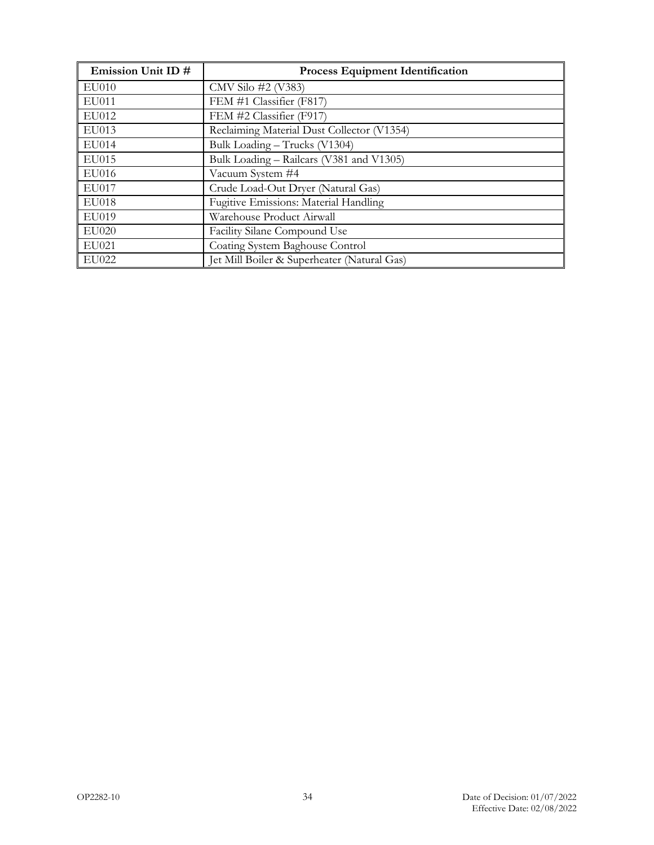| Emission Unit ID # | <b>Process Equipment Identification</b>     |
|--------------------|---------------------------------------------|
| EU010              | CMV Silo #2 (V383)                          |
| EU011              | FEM #1 Classifier (F817)                    |
| EU012              | FEM #2 Classifier (F917)                    |
| EU013              | Reclaiming Material Dust Collector (V1354)  |
| <b>EU014</b>       | Bulk Loading - Trucks (V1304)               |
| EU015              | Bulk Loading - Railcars (V381 and V1305)    |
| EU016              | Vacuum System #4                            |
| <b>EU017</b>       | Crude Load-Out Dryer (Natural Gas)          |
| <b>EU018</b>       | Fugitive Emissions: Material Handling       |
| EU019              | Warehouse Product Airwall                   |
| EU020              | Facility Silane Compound Use                |
| EU021              | Coating System Baghouse Control             |
| EU022              | Jet Mill Boiler & Superheater (Natural Gas) |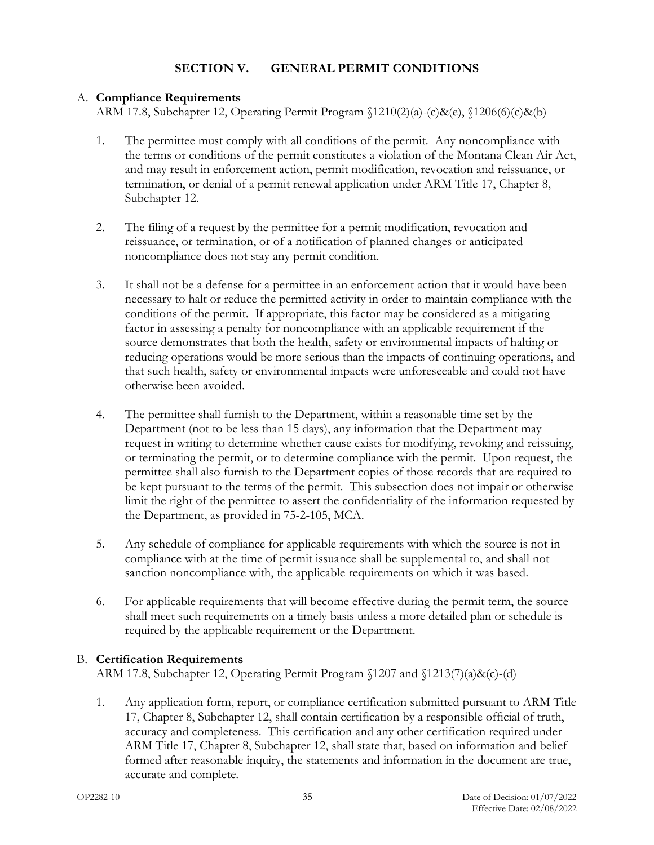# A. **Compliance Requirements**

ARM 17.8, Subchapter 12, Operating Permit Program §1210(2)(a)-(c)&(e), §1206(6)(c)&(b)

- 1. The permittee must comply with all conditions of the permit. Any noncompliance with the terms or conditions of the permit constitutes a violation of the Montana Clean Air Act, and may result in enforcement action, permit modification, revocation and reissuance, or termination, or denial of a permit renewal application under ARM Title 17, Chapter 8, Subchapter 12.
- 2. The filing of a request by the permittee for a permit modification, revocation and reissuance, or termination, or of a notification of planned changes or anticipated noncompliance does not stay any permit condition.
- 3. It shall not be a defense for a permittee in an enforcement action that it would have been necessary to halt or reduce the permitted activity in order to maintain compliance with the conditions of the permit. If appropriate, this factor may be considered as a mitigating factor in assessing a penalty for noncompliance with an applicable requirement if the source demonstrates that both the health, safety or environmental impacts of halting or reducing operations would be more serious than the impacts of continuing operations, and that such health, safety or environmental impacts were unforeseeable and could not have otherwise been avoided.
- 4. The permittee shall furnish to the Department, within a reasonable time set by the Department (not to be less than 15 days), any information that the Department may request in writing to determine whether cause exists for modifying, revoking and reissuing, or terminating the permit, or to determine compliance with the permit. Upon request, the permittee shall also furnish to the Department copies of those records that are required to be kept pursuant to the terms of the permit. This subsection does not impair or otherwise limit the right of the permittee to assert the confidentiality of the information requested by the Department, as provided in 75-2-105, MCA.
- 5. Any schedule of compliance for applicable requirements with which the source is not in compliance with at the time of permit issuance shall be supplemental to, and shall not sanction noncompliance with, the applicable requirements on which it was based.
- 6. For applicable requirements that will become effective during the permit term, the source shall meet such requirements on a timely basis unless a more detailed plan or schedule is required by the applicable requirement or the Department.

# <span id="page-38-0"></span>B. **Certification Requirements**

ARM 17.8, Subchapter 12, Operating Permit Program §1207 and §1213(7)(a)&(c)-(d)

1. Any application form, report, or compliance certification submitted pursuant to ARM Title 17, Chapter 8, Subchapter 12, shall contain certification by a responsible official of truth, accuracy and completeness. This certification and any other certification required under ARM Title 17, Chapter 8, Subchapter 12, shall state that, based on information and belief formed after reasonable inquiry, the statements and information in the document are true, accurate and complete.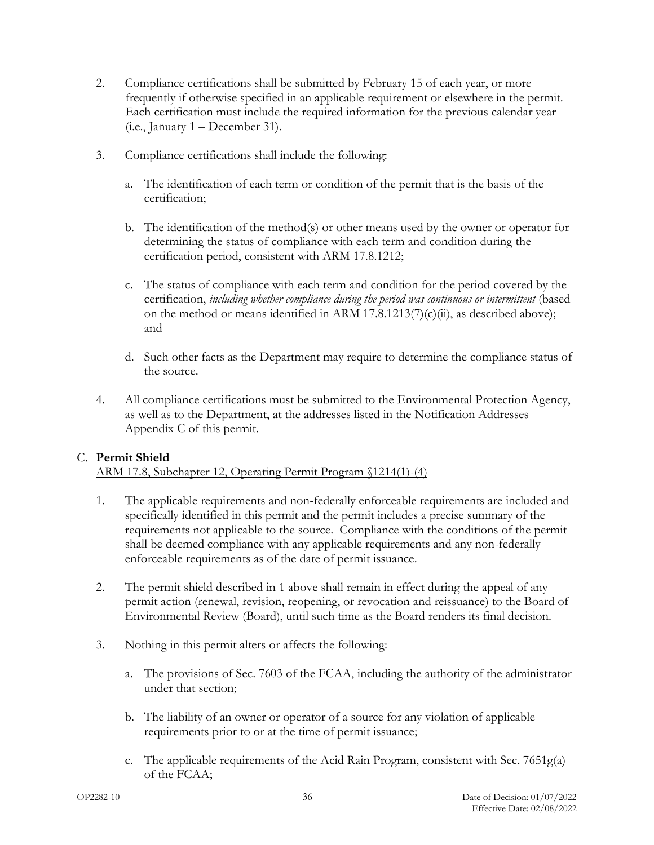- 2. Compliance certifications shall be submitted by February 15 of each year, or more frequently if otherwise specified in an applicable requirement or elsewhere in the permit. Each certification must include the required information for the previous calendar year (i.e., January 1 – December 31).
- 3. Compliance certifications shall include the following:
	- a. The identification of each term or condition of the permit that is the basis of the certification;
	- b. The identification of the method(s) or other means used by the owner or operator for determining the status of compliance with each term and condition during the certification period, consistent with ARM 17.8.1212;
	- c. The status of compliance with each term and condition for the period covered by the certification, *including whether compliance during the period was continuous or intermittent* (based on the method or means identified in ARM 17.8.1213(7)(c)(ii), as described above); and
	- d. Such other facts as the Department may require to determine the compliance status of the source.
- 4. All compliance certifications must be submitted to the Environmental Protection Agency, as well as to the Department, at the addresses listed in the Notification Addresses [Appendix C](#page-58-0) of this permit.

# C. **Permit Shield**

ARM 17.8, Subchapter 12, Operating Permit Program §1214(1)-(4)

- 1. The applicable requirements and non-federally enforceable requirements are included and specifically identified in this permit and the permit includes a precise summary of the requirements not applicable to the source. Compliance with the conditions of the permit shall be deemed compliance with any applicable requirements and any non-federally enforceable requirements as of the date of permit issuance.
- 2. The permit shield described in 1 above shall remain in effect during the appeal of any permit action (renewal, revision, reopening, or revocation and reissuance) to the Board of Environmental Review (Board), until such time as the Board renders its final decision.
- 3. Nothing in this permit alters or affects the following:
	- a. The provisions of Sec. 7603 of the FCAA, including the authority of the administrator under that section;
	- b. The liability of an owner or operator of a source for any violation of applicable requirements prior to or at the time of permit issuance;
	- c. The applicable requirements of the Acid Rain Program, consistent with Sec. 7651g(a) of the FCAA;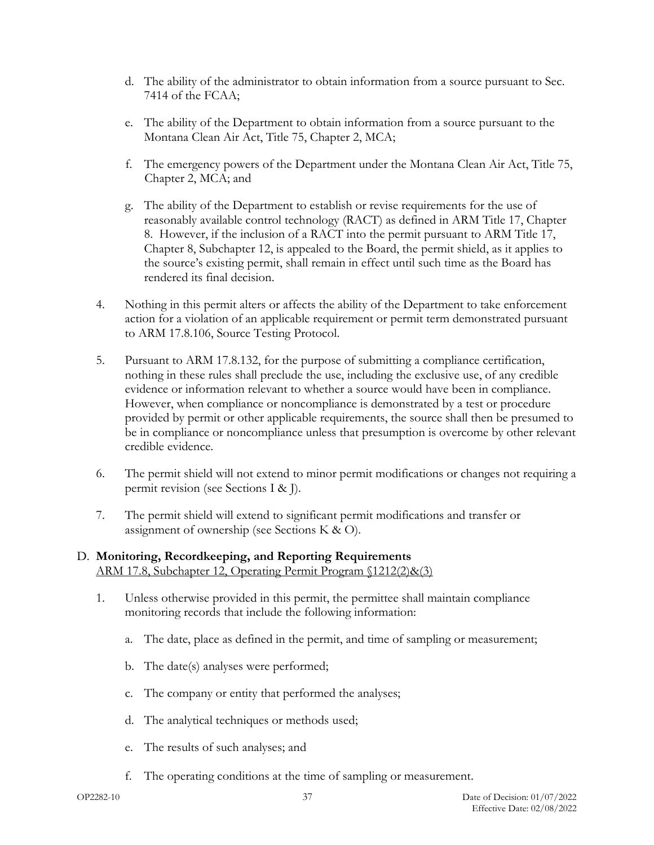- d. The ability of the administrator to obtain information from a source pursuant to Sec. 7414 of the FCAA;
- e. The ability of the Department to obtain information from a source pursuant to the Montana Clean Air Act, Title 75, Chapter 2, MCA;
- f. The emergency powers of the Department under the Montana Clean Air Act, Title 75, Chapter 2, MCA; and
- g. The ability of the Department to establish or revise requirements for the use of reasonably available control technology (RACT) as defined in ARM Title 17, Chapter 8. However, if the inclusion of a RACT into the permit pursuant to ARM Title 17, Chapter 8, Subchapter 12, is appealed to the Board, the permit shield, as it applies to the source's existing permit, shall remain in effect until such time as the Board has rendered its final decision.
- 4. Nothing in this permit alters or affects the ability of the Department to take enforcement action for a violation of an applicable requirement or permit term demonstrated pursuant to ARM 17.8.106, Source Testing Protocol.
- 5. Pursuant to ARM 17.8.132, for the purpose of submitting a compliance certification, nothing in these rules shall preclude the use, including the exclusive use, of any credible evidence or information relevant to whether a source would have been in compliance. However, when compliance or noncompliance is demonstrated by a test or procedure provided by permit or other applicable requirements, the source shall then be presumed to be in compliance or noncompliance unless that presumption is overcome by other relevant credible evidence.
- 6. The permit shield will not extend to minor permit modifications or changes not requiring a permit revision (see Sections [I](#page-43-0) & [J\)](#page-43-1).
- 7. The permit shield will extend to significant permit modifications and transfer or assignment of ownership (see Sections [K](#page-45-0) & [O\)](#page-46-0).

#### <span id="page-40-0"></span>D. **Monitoring, Recordkeeping, and Reporting Requirements** ARM 17.8, Subchapter 12, Operating Permit Program §1212(2)&(3)

- 1. Unless otherwise provided in this permit, the permittee shall maintain compliance monitoring records that include the following information:
	- a. The date, place as defined in the permit, and time of sampling or measurement;
	- b. The date(s) analyses were performed;
	- c. The company or entity that performed the analyses;
	- d. The analytical techniques or methods used;
	- e. The results of such analyses; and
	- f. The operating conditions at the time of sampling or measurement.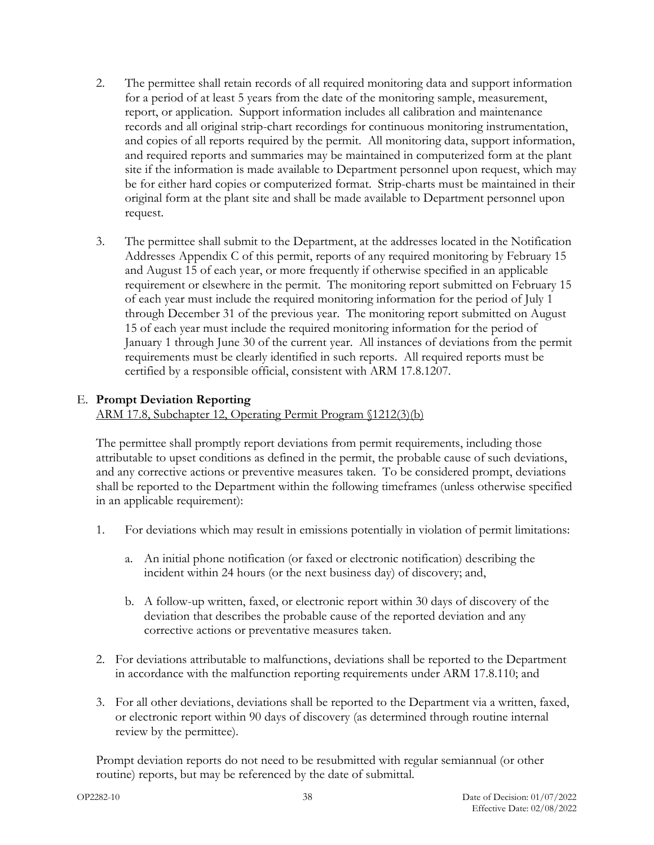- 2. The permittee shall retain records of all required monitoring data and support information for a period of at least 5 years from the date of the monitoring sample, measurement, report, or application. Support information includes all calibration and maintenance records and all original strip-chart recordings for continuous monitoring instrumentation, and copies of all reports required by the permit. All monitoring data, support information, and required reports and summaries may be maintained in computerized form at the plant site if the information is made available to Department personnel upon request, which may be for either hard copies or computerized format. Strip-charts must be maintained in their original form at the plant site and shall be made available to Department personnel upon request.
- 3. The permittee shall submit to the Department, at the addresses located in the Notification Addresses [Appendix C](#page-58-0) of this permit, reports of any required monitoring by February 15 and August 15 of each year, or more frequently if otherwise specified in an applicable requirement or elsewhere in the permit. The monitoring report submitted on February 15 of each year must include the required monitoring information for the period of July 1 through December 31 of the previous year. The monitoring report submitted on August 15 of each year must include the required monitoring information for the period of January 1 through June 30 of the current year. All instances of deviations from the permit requirements must be clearly identified in such reports. All required reports must be certified by a responsible official, consistent with ARM 17.8.1207.

# <span id="page-41-0"></span>E. **Prompt Deviation Reporting**

#### ARM 17.8, Subchapter 12, Operating Permit Program §1212(3)(b)

The permittee shall promptly report deviations from permit requirements, including those attributable to upset conditions as defined in the permit, the probable cause of such deviations, and any corrective actions or preventive measures taken. To be considered prompt, deviations shall be reported to the Department within the following timeframes (unless otherwise specified in an applicable requirement):

- 1. For deviations which may result in emissions potentially in violation of permit limitations:
	- a. An initial phone notification (or faxed or electronic notification) describing the incident within 24 hours (or the next business day) of discovery; and,
	- b. A follow-up written, faxed, or electronic report within 30 days of discovery of the deviation that describes the probable cause of the reported deviation and any corrective actions or preventative measures taken.
- 2. For deviations attributable to malfunctions, deviations shall be reported to the Department in accordance with the malfunction reporting requirements under ARM 17.8.110; and
- 3. For all other deviations, deviations shall be reported to the Department via a written, faxed, or electronic report within 90 days of discovery (as determined through routine internal review by the permittee).

Prompt deviation reports do not need to be resubmitted with regular semiannual (or other routine) reports, but may be referenced by the date of submittal.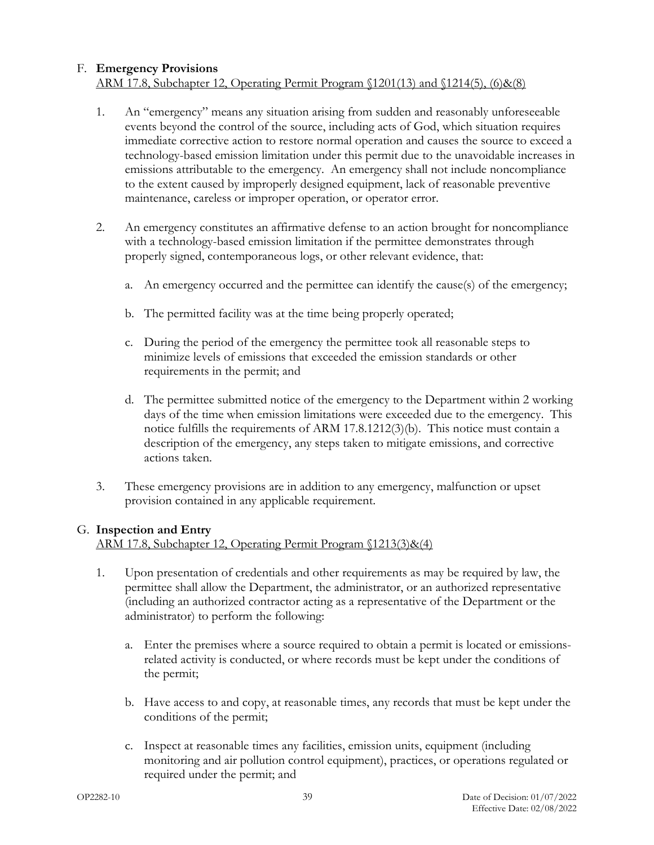## F. **Emergency Provisions** ARM 17.8, Subchapter 12, Operating Permit Program §1201(13) and §1214(5), (6)&(8)

- 1. An "emergency" means any situation arising from sudden and reasonably unforeseeable events beyond the control of the source, including acts of God, which situation requires immediate corrective action to restore normal operation and causes the source to exceed a technology-based emission limitation under this permit due to the unavoidable increases in emissions attributable to the emergency. An emergency shall not include noncompliance to the extent caused by improperly designed equipment, lack of reasonable preventive maintenance, careless or improper operation, or operator error.
- 2. An emergency constitutes an affirmative defense to an action brought for noncompliance with a technology-based emission limitation if the permittee demonstrates through properly signed, contemporaneous logs, or other relevant evidence, that:
	- a. An emergency occurred and the permittee can identify the cause(s) of the emergency;
	- b. The permitted facility was at the time being properly operated;
	- c. During the period of the emergency the permittee took all reasonable steps to minimize levels of emissions that exceeded the emission standards or other requirements in the permit; and
	- d. The permittee submitted notice of the emergency to the Department within 2 working days of the time when emission limitations were exceeded due to the emergency. This notice fulfills the requirements of ARM 17.8.1212(3)(b). This notice must contain a description of the emergency, any steps taken to mitigate emissions, and corrective actions taken.
- 3. These emergency provisions are in addition to any emergency, malfunction or upset provision contained in any applicable requirement.

#### G. **Inspection and Entry**

ARM 17.8, Subchapter 12, Operating Permit Program §1213(3)&(4)

- 1. Upon presentation of credentials and other requirements as may be required by law, the permittee shall allow the Department, the administrator, or an authorized representative (including an authorized contractor acting as a representative of the Department or the administrator) to perform the following:
	- a. Enter the premises where a source required to obtain a permit is located or emissionsrelated activity is conducted, or where records must be kept under the conditions of the permit;
	- b. Have access to and copy, at reasonable times, any records that must be kept under the conditions of the permit;
	- c. Inspect at reasonable times any facilities, emission units, equipment (including monitoring and air pollution control equipment), practices, or operations regulated or required under the permit; and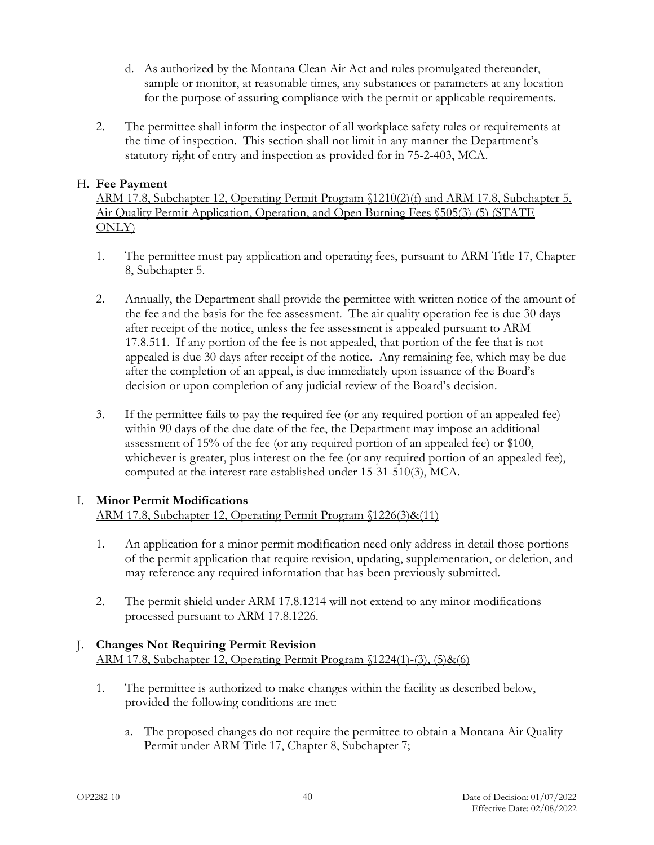- d. As authorized by the Montana Clean Air Act and rules promulgated thereunder, sample or monitor, at reasonable times, any substances or parameters at any location for the purpose of assuring compliance with the permit or applicable requirements.
- 2. The permittee shall inform the inspector of all workplace safety rules or requirements at the time of inspection. This section shall not limit in any manner the Department's statutory right of entry and inspection as provided for in 75-2-403, MCA.

## H. **Fee Payment**

ARM 17.8, Subchapter 12, Operating Permit Program §1210(2)(f) and ARM 17.8, Subchapter 5, Air Quality Permit Application, Operation, and Open Burning Fees §505(3)-(5) (STATE ONLY)

- 1. The permittee must pay application and operating fees, pursuant to ARM Title 17, Chapter 8, Subchapter 5.
- 2. Annually, the Department shall provide the permittee with written notice of the amount of the fee and the basis for the fee assessment. The air quality operation fee is due 30 days after receipt of the notice, unless the fee assessment is appealed pursuant to ARM 17.8.511. If any portion of the fee is not appealed, that portion of the fee that is not appealed is due 30 days after receipt of the notice. Any remaining fee, which may be due after the completion of an appeal, is due immediately upon issuance of the Board's decision or upon completion of any judicial review of the Board's decision.
- 3. If the permittee fails to pay the required fee (or any required portion of an appealed fee) within 90 days of the due date of the fee, the Department may impose an additional assessment of 15% of the fee (or any required portion of an appealed fee) or \$100, whichever is greater, plus interest on the fee (or any required portion of an appealed fee), computed at the interest rate established under 15-31-510(3), MCA.

# <span id="page-43-0"></span>I. **Minor Permit Modifications**

ARM 17.8, Subchapter 12, Operating Permit Program §1226(3)&(11)

- 1. An application for a minor permit modification need only address in detail those portions of the permit application that require revision, updating, supplementation, or deletion, and may reference any required information that has been previously submitted.
- 2. The permit shield under ARM 17.8.1214 will not extend to any minor modifications processed pursuant to ARM 17.8.1226.

## <span id="page-43-1"></span>J. **Changes Not Requiring Permit Revision** ARM 17.8, Subchapter 12, Operating Permit Program §1224(1)-(3), (5)&(6)

- 1. The permittee is authorized to make changes within the facility as described below, provided the following conditions are met:
	- a. The proposed changes do not require the permittee to obtain a Montana Air Quality Permit under ARM Title 17, Chapter 8, Subchapter 7;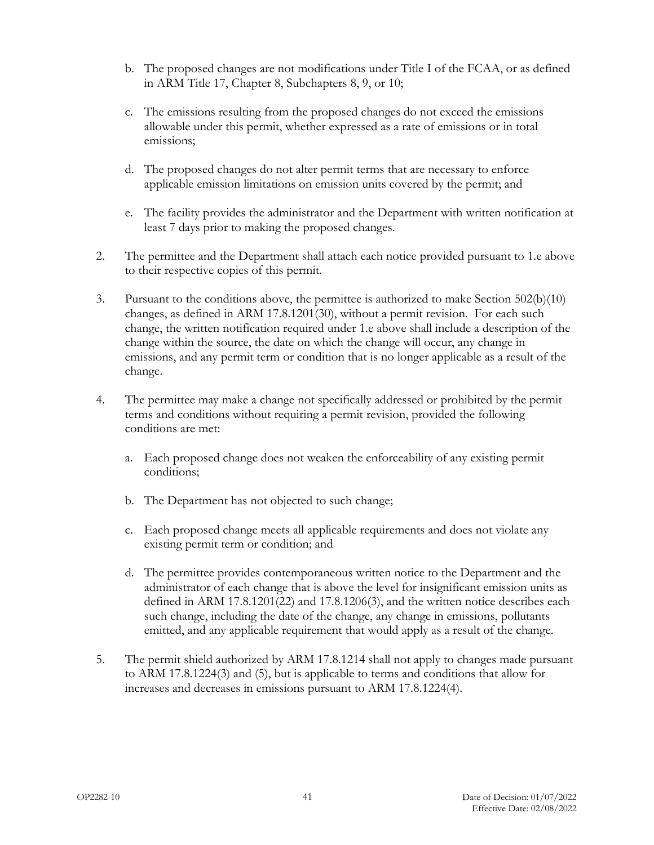- b. The proposed changes are not modifications under Title I of the FCAA, or as defined in ARM Title 17, Chapter 8, Subchapters 8, 9, or 10;
- c. The emissions resulting from the proposed changes do not exceed the emissions allowable under this permit, whether expressed as a rate of emissions or in total emissions;
- d. The proposed changes do not alter permit terms that are necessary to enforce applicable emission limitations on emission units covered by the permit; and
- e. The facility provides the administrator and the Department with written notification at least 7 days prior to making the proposed changes.
- 2. The permittee and the Department shall attach each notice provided pursuant to 1.e above to their respective copies of this permit.
- 3. Pursuant to the conditions above, the permittee is authorized to make Section 502(b)(10) changes, as defined in ARM 17.8.1201(30), without a permit revision. For each such change, the written notification required under 1.e above shall include a description of the change within the source, the date on which the change will occur, any change in emissions, and any permit term or condition that is no longer applicable as a result of the change.
- 4. The permittee may make a change not specifically addressed or prohibited by the permit terms and conditions without requiring a permit revision, provided the following conditions are met:
	- a. Each proposed change does not weaken the enforceability of any existing permit conditions;
	- b. The Department has not objected to such change;
	- c. Each proposed change meets all applicable requirements and does not violate any existing permit term or condition; and
	- d. The permittee provides contemporaneous written notice to the Department and the administrator of each change that is above the level for insignificant emission units as defined in ARM 17.8.1201(22) and 17.8.1206(3), and the written notice describes each such change, including the date of the change, any change in emissions, pollutants emitted, and any applicable requirement that would apply as a result of the change.
- 5. The permit shield authorized by ARM 17.8.1214 shall not apply to changes made pursuant to ARM 17.8.1224(3) and (5), but is applicable to terms and conditions that allow for increases and decreases in emissions pursuant to ARM 17.8.1224(4).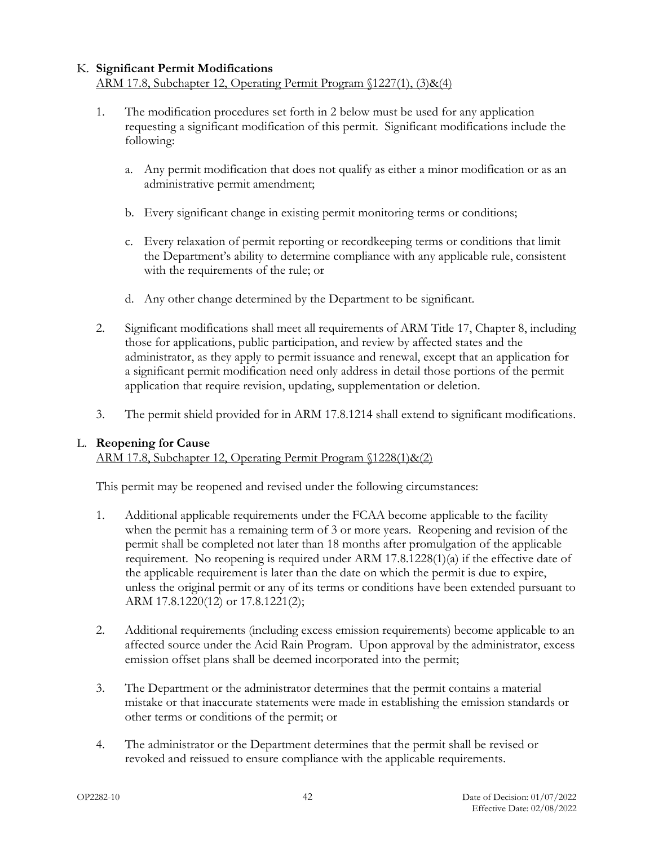## <span id="page-45-0"></span>K. **Significant Permit Modifications**

## ARM 17.8, Subchapter 12, Operating Permit Program §1227(1), (3)&(4)

- 1. The modification procedures set forth in 2 below must be used for any application requesting a significant modification of this permit. Significant modifications include the following:
	- a. Any permit modification that does not qualify as either a minor modification or as an administrative permit amendment;
	- b. Every significant change in existing permit monitoring terms or conditions;
	- c. Every relaxation of permit reporting or recordkeeping terms or conditions that limit the Department's ability to determine compliance with any applicable rule, consistent with the requirements of the rule; or
	- d. Any other change determined by the Department to be significant.
- 2. Significant modifications shall meet all requirements of ARM Title 17, Chapter 8, including those for applications, public participation, and review by affected states and the administrator, as they apply to permit issuance and renewal, except that an application for a significant permit modification need only address in detail those portions of the permit application that require revision, updating, supplementation or deletion.
- 3. The permit shield provided for in ARM 17.8.1214 shall extend to significant modifications.

#### L. **Reopening for Cause**

ARM 17.8, Subchapter 12, Operating Permit Program §1228(1)&(2)

This permit may be reopened and revised under the following circumstances:

- 1. Additional applicable requirements under the FCAA become applicable to the facility when the permit has a remaining term of 3 or more years. Reopening and revision of the permit shall be completed not later than 18 months after promulgation of the applicable requirement. No reopening is required under ARM 17.8.1228(1)(a) if the effective date of the applicable requirement is later than the date on which the permit is due to expire, unless the original permit or any of its terms or conditions have been extended pursuant to ARM 17.8.1220(12) or 17.8.1221(2);
- 2. Additional requirements (including excess emission requirements) become applicable to an affected source under the Acid Rain Program. Upon approval by the administrator, excess emission offset plans shall be deemed incorporated into the permit;
- 3. The Department or the administrator determines that the permit contains a material mistake or that inaccurate statements were made in establishing the emission standards or other terms or conditions of the permit; or
- 4. The administrator or the Department determines that the permit shall be revised or revoked and reissued to ensure compliance with the applicable requirements.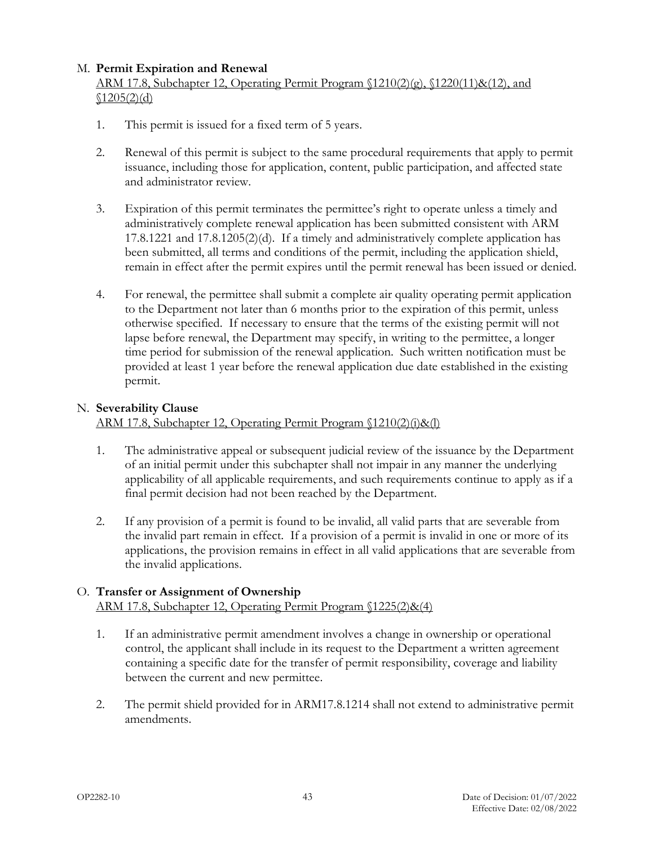## M. **Permit Expiration and Renewal**

ARM 17.8, Subchapter 12, Operating Permit Program  $(1210(2)(g), (1220(11)\&(12),$  and  $$1205(2)(d)$ 

- 1. This permit is issued for a fixed term of 5 years.
- 2. Renewal of this permit is subject to the same procedural requirements that apply to permit issuance, including those for application, content, public participation, and affected state and administrator review.
- 3. Expiration of this permit terminates the permittee's right to operate unless a timely and administratively complete renewal application has been submitted consistent with ARM  $17.8.1221$  and  $17.8.1205(2)(d)$ . If a timely and administratively complete application has been submitted, all terms and conditions of the permit, including the application shield, remain in effect after the permit expires until the permit renewal has been issued or denied.
- 4. For renewal, the permittee shall submit a complete air quality operating permit application to the Department not later than 6 months prior to the expiration of this permit, unless otherwise specified. If necessary to ensure that the terms of the existing permit will not lapse before renewal, the Department may specify, in writing to the permittee, a longer time period for submission of the renewal application. Such written notification must be provided at least 1 year before the renewal application due date established in the existing permit.

#### N. **Severability Clause**

ARM 17.8, Subchapter 12, Operating Permit Program §1210(2)(i)&(l)

- 1. The administrative appeal or subsequent judicial review of the issuance by the Department of an initial permit under this subchapter shall not impair in any manner the underlying applicability of all applicable requirements, and such requirements continue to apply as if a final permit decision had not been reached by the Department.
- 2. If any provision of a permit is found to be invalid, all valid parts that are severable from the invalid part remain in effect. If a provision of a permit is invalid in one or more of its applications, the provision remains in effect in all valid applications that are severable from the invalid applications.

#### <span id="page-46-0"></span>O. **Transfer or Assignment of Ownership** ARM 17.8, Subchapter 12, Operating Permit Program §1225(2)&(4)

- 1. If an administrative permit amendment involves a change in ownership or operational control, the applicant shall include in its request to the Department a written agreement containing a specific date for the transfer of permit responsibility, coverage and liability between the current and new permittee.
- 2. The permit shield provided for in ARM17.8.1214 shall not extend to administrative permit amendments.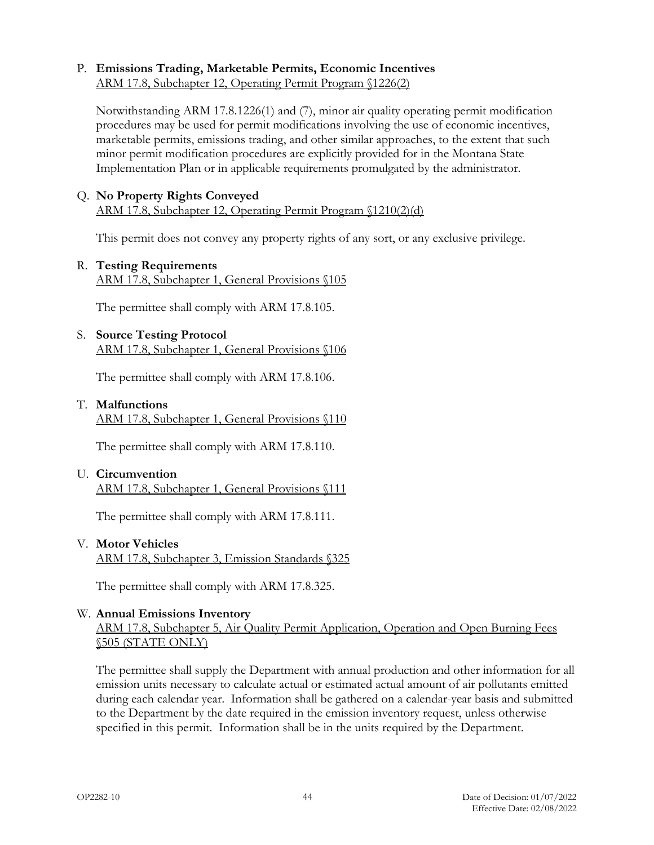## P. **Emissions Trading, Marketable Permits, Economic Incentives** ARM 17.8, Subchapter 12, Operating Permit Program §1226(2)

Notwithstanding ARM 17.8.1226(1) and (7), minor air quality operating permit modification procedures may be used for permit modifications involving the use of economic incentives, marketable permits, emissions trading, and other similar approaches, to the extent that such minor permit modification procedures are explicitly provided for in the Montana State Implementation Plan or in applicable requirements promulgated by the administrator.

# Q. **No Property Rights Conveyed**

ARM 17.8, Subchapter 12, Operating Permit Program §1210(2)(d)

This permit does not convey any property rights of any sort, or any exclusive privilege.

#### R. **Testing Requirements** ARM 17.8, Subchapter 1, General Provisions §105

The permittee shall comply with ARM 17.8.105.

#### S. **Source Testing Protocol**

ARM 17.8, Subchapter 1, General Provisions §106

The permittee shall comply with ARM 17.8.106.

#### T. **Malfunctions**

ARM 17.8, Subchapter 1, General Provisions §110

The permittee shall comply with ARM 17.8.110.

#### U. **Circumvention**

ARM 17.8, Subchapter 1, General Provisions §111

The permittee shall comply with ARM 17.8.111.

#### V. **Motor Vehicles**

ARM 17.8, Subchapter 3, Emission Standards §325

The permittee shall comply with ARM 17.8.325.

#### W. **Annual Emissions Inventory**

ARM 17.8, Subchapter 5, Air Quality Permit Application, Operation and Open Burning Fees §505 (STATE ONLY)

The permittee shall supply the Department with annual production and other information for all emission units necessary to calculate actual or estimated actual amount of air pollutants emitted during each calendar year. Information shall be gathered on a calendar-year basis and submitted to the Department by the date required in the emission inventory request, unless otherwise specified in this permit. Information shall be in the units required by the Department.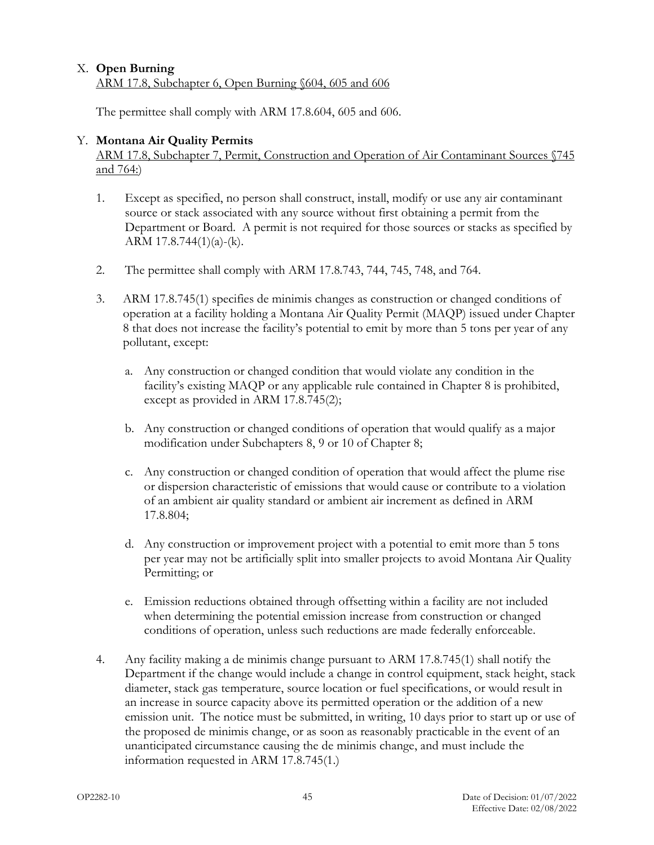## X. **Open Burning** ARM 17.8, Subchapter 6, Open Burning §604, 605 and 606

The permittee shall comply with ARM 17.8.604, 605 and 606.

# Y. **Montana Air Quality Permits**

ARM 17.8, Subchapter 7, Permit, Construction and Operation of Air Contaminant Sources §745 and 764:)

- 1. Except as specified, no person shall construct, install, modify or use any air contaminant source or stack associated with any source without first obtaining a permit from the Department or Board. A permit is not required for those sources or stacks as specified by ARM 17.8.744(1)(a)-(k).
- 2. The permittee shall comply with ARM 17.8.743, 744, 745, 748, and 764.
- 3. ARM 17.8.745(1) specifies de minimis changes as construction or changed conditions of operation at a facility holding a Montana Air Quality Permit (MAQP) issued under Chapter 8 that does not increase the facility's potential to emit by more than 5 tons per year of any pollutant, except:
	- a. Any construction or changed condition that would violate any condition in the facility's existing MAQP or any applicable rule contained in Chapter 8 is prohibited, except as provided in ARM 17.8.745(2);
	- b. Any construction or changed conditions of operation that would qualify as a major modification under Subchapters 8, 9 or 10 of Chapter 8;
	- c. Any construction or changed condition of operation that would affect the plume rise or dispersion characteristic of emissions that would cause or contribute to a violation of an ambient air quality standard or ambient air increment as defined in ARM 17.8.804;
	- d. Any construction or improvement project with a potential to emit more than 5 tons per year may not be artificially split into smaller projects to avoid Montana Air Quality Permitting; or
	- e. Emission reductions obtained through offsetting within a facility are not included when determining the potential emission increase from construction or changed conditions of operation, unless such reductions are made federally enforceable.
- 4. Any facility making a de minimis change pursuant to ARM 17.8.745(1) shall notify the Department if the change would include a change in control equipment, stack height, stack diameter, stack gas temperature, source location or fuel specifications, or would result in an increase in source capacity above its permitted operation or the addition of a new emission unit. The notice must be submitted, in writing, 10 days prior to start up or use of the proposed de minimis change, or as soon as reasonably practicable in the event of an unanticipated circumstance causing the de minimis change, and must include the information requested in ARM 17.8.745(1.)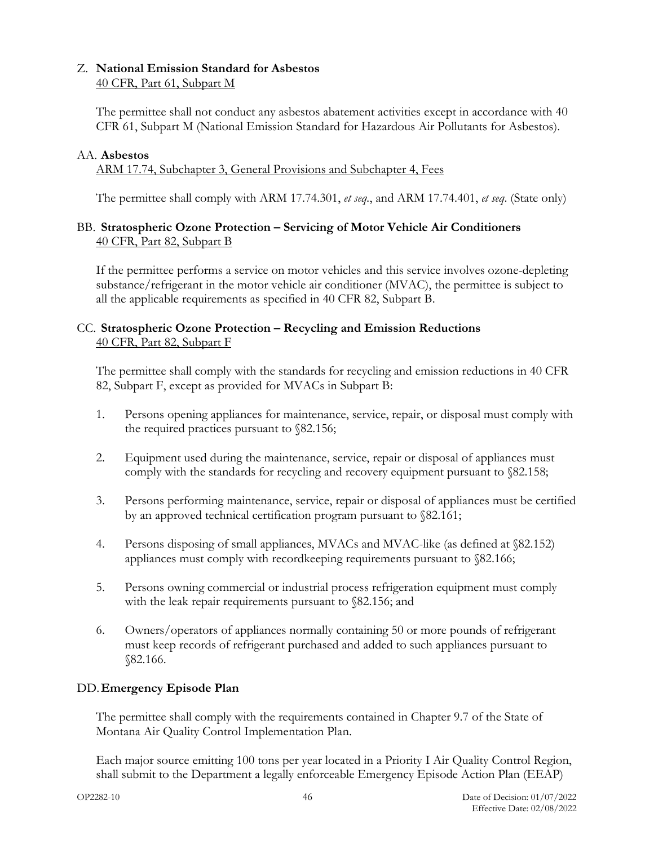#### Z. **National Emission Standard for Asbestos** 40 CFR, Part 61, Subpart M

The permittee shall not conduct any asbestos abatement activities except in accordance with 40 CFR 61, Subpart M (National Emission Standard for Hazardous Air Pollutants for Asbestos).

# AA. **Asbestos**

ARM 17.74, Subchapter 3, General Provisions and Subchapter 4, Fees

The permittee shall comply with ARM 17.74.301, *et seq.*, and ARM 17.74.401, *et seq*. (State only)

## BB. **Stratospheric Ozone Protection – Servicing of Motor Vehicle Air Conditioners** 40 CFR, Part 82, Subpart B

If the permittee performs a service on motor vehicles and this service involves ozone-depleting substance/refrigerant in the motor vehicle air conditioner (MVAC), the permittee is subject to all the applicable requirements as specified in 40 CFR 82, Subpart B.

# CC. **Stratospheric Ozone Protection – Recycling and Emission Reductions** 40 CFR, Part 82, Subpart F

The permittee shall comply with the standards for recycling and emission reductions in 40 CFR 82, Subpart F, except as provided for MVACs in Subpart B:

- 1. Persons opening appliances for maintenance, service, repair, or disposal must comply with the required practices pursuant to §82.156;
- 2. Equipment used during the maintenance, service, repair or disposal of appliances must comply with the standards for recycling and recovery equipment pursuant to §82.158;
- 3. Persons performing maintenance, service, repair or disposal of appliances must be certified by an approved technical certification program pursuant to §82.161;
- 4. Persons disposing of small appliances, MVACs and MVAC-like (as defined at §82.152) appliances must comply with recordkeeping requirements pursuant to §82.166;
- 5. Persons owning commercial or industrial process refrigeration equipment must comply with the leak repair requirements pursuant to §82.156; and
- 6. Owners/operators of appliances normally containing 50 or more pounds of refrigerant must keep records of refrigerant purchased and added to such appliances pursuant to §82.166.

# DD.**Emergency Episode Plan**

The permittee shall comply with the requirements contained in Chapter 9.7 of the State of Montana Air Quality Control Implementation Plan.

Each major source emitting 100 tons per year located in a Priority I Air Quality Control Region, shall submit to the Department a legally enforceable Emergency Episode Action Plan (EEAP)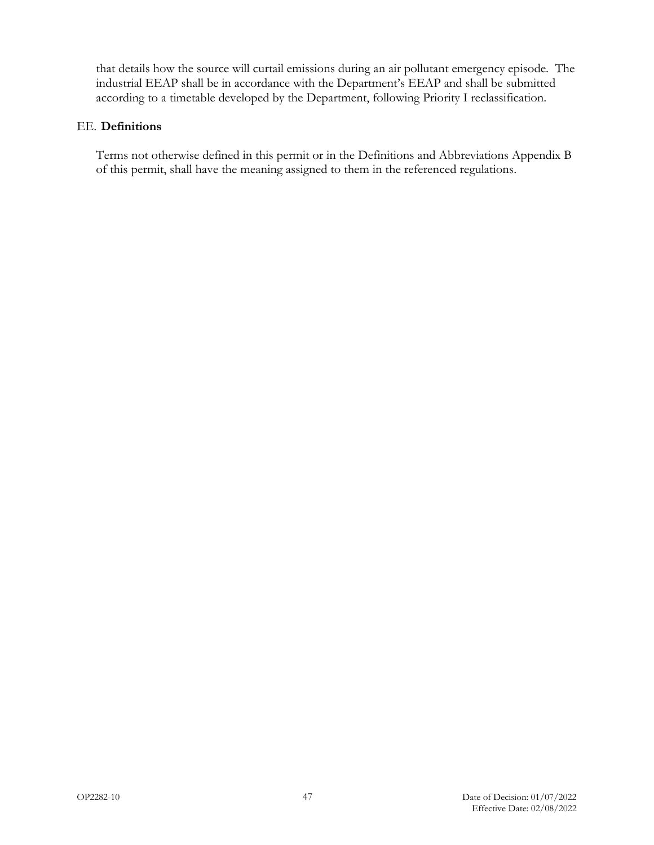that details how the source will curtail emissions during an air pollutant emergency episode. The industrial EEAP shall be in accordance with the Department's EEAP and shall be submitted according to a timetable developed by the Department, following Priority I reclassification.

#### EE. **Definitions**

Terms not otherwise defined in this permit or in the Definitions and Abbreviations [Appendix B](#page-53-0) of this permit, shall have the meaning assigned to them in the referenced regulations.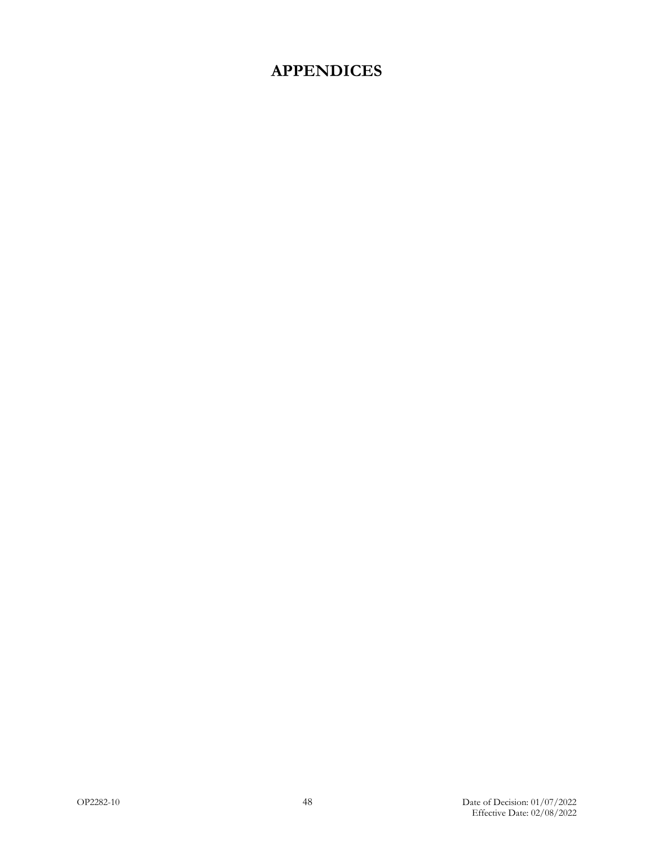# **APPENDICES**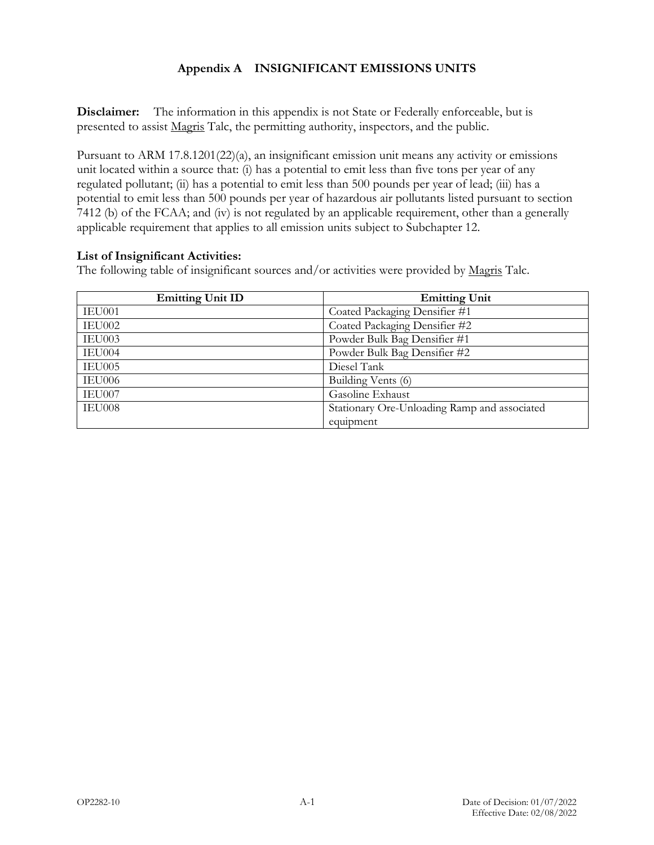# **Appendix A INSIGNIFICANT EMISSIONS UNITS**

**Disclaimer:** The information in this appendix is not State or Federally enforceable, but is presented to assist Magris Talc, the permitting authority, inspectors, and the public.

Pursuant to ARM 17.8.1201(22)(a), an insignificant emission unit means any activity or emissions unit located within a source that: (i) has a potential to emit less than five tons per year of any regulated pollutant; (ii) has a potential to emit less than 500 pounds per year of lead; (iii) has a potential to emit less than 500 pounds per year of hazardous air pollutants listed pursuant to section 7412 (b) of the FCAA; and (iv) is not regulated by an applicable requirement, other than a generally applicable requirement that applies to all emission units subject to Subchapter 12.

#### **List of Insignificant Activities:**

The following table of insignificant sources and/or activities were provided by Magris Talc.

| <b>Emitting Unit ID</b> | <b>Emitting Unit</b>                         |
|-------------------------|----------------------------------------------|
| IEU001                  | Coated Packaging Densifier #1                |
| IEU002                  | Coated Packaging Densifier #2                |
| IEU003                  | Powder Bulk Bag Densifier #1                 |
| IEU004                  | Powder Bulk Bag Densifier #2                 |
| IEU005                  | Diesel Tank                                  |
| IEU006                  | Building Vents (6)                           |
| IEU007                  | Gasoline Exhaust                             |
| IEU008                  | Stationary Ore-Unloading Ramp and associated |
|                         | equipment                                    |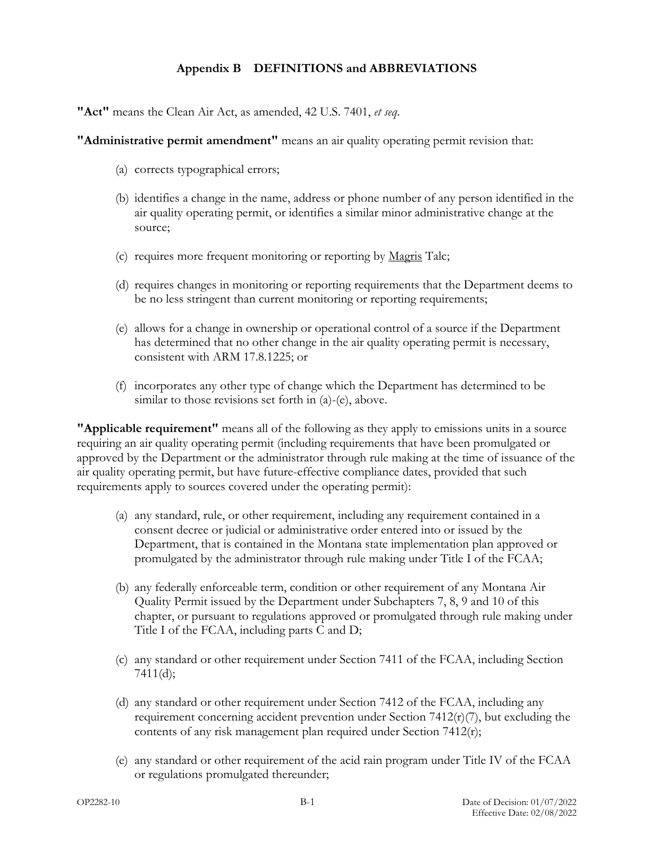# **Appendix B DEFINITIONS and ABBREVIATIONS**

<span id="page-53-0"></span>**"Act"** means the Clean Air Act, as amended, 42 U.S. 7401, *et seq*.

**"Administrative permit amendment"** means an air quality operating permit revision that:

- (a) corrects typographical errors;
- (b) identifies a change in the name, address or phone number of any person identified in the air quality operating permit, or identifies a similar minor administrative change at the source;
- (c) requires more frequent monitoring or reporting by Magris Talc;
- (d) requires changes in monitoring or reporting requirements that the Department deems to be no less stringent than current monitoring or reporting requirements;
- (e) allows for a change in ownership or operational control of a source if the Department has determined that no other change in the air quality operating permit is necessary, consistent with ARM 17.8.1225; or
- (f) incorporates any other type of change which the Department has determined to be similar to those revisions set forth in (a)-(e), above.

**"Applicable requirement"** means all of the following as they apply to emissions units in a source requiring an air quality operating permit (including requirements that have been promulgated or approved by the Department or the administrator through rule making at the time of issuance of the air quality operating permit, but have future-effective compliance dates, provided that such requirements apply to sources covered under the operating permit):

- (a) any standard, rule, or other requirement, including any requirement contained in a consent decree or judicial or administrative order entered into or issued by the Department, that is contained in the Montana state implementation plan approved or promulgated by the administrator through rule making under Title I of the FCAA;
- (b) any federally enforceable term, condition or other requirement of any Montana Air Quality Permit issued by the Department under Subchapters 7, 8, 9 and 10 of this chapter, or pursuant to regulations approved or promulgated through rule making under Title I of the FCAA, including parts C and D;
- (c) any standard or other requirement under Section 7411 of the FCAA, including Section 7411(d);
- (d) any standard or other requirement under Section 7412 of the FCAA, including any requirement concerning accident prevention under Section  $7412(r)(7)$ , but excluding the contents of any risk management plan required under Section 7412(r);
- (e) any standard or other requirement of the acid rain program under Title IV of the FCAA or regulations promulgated thereunder;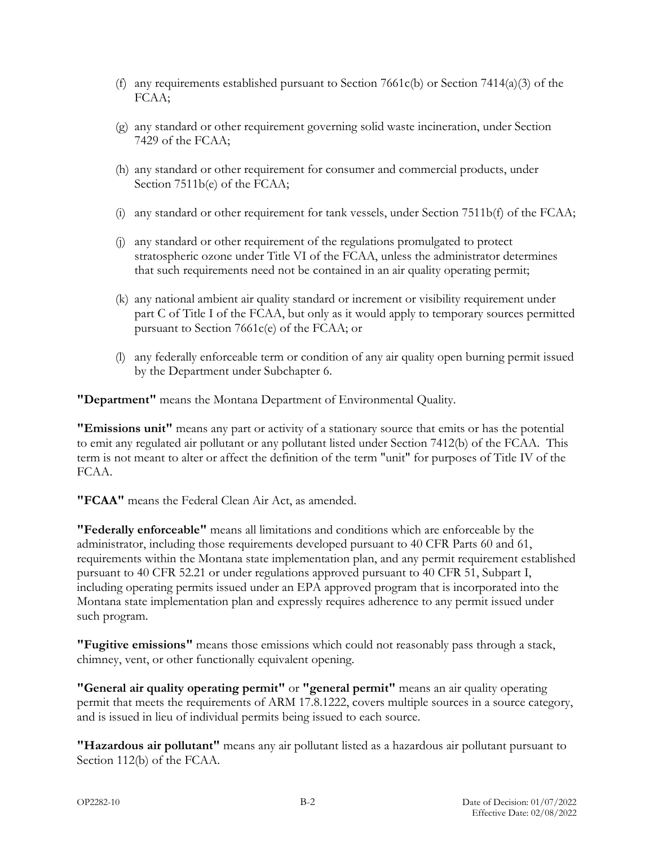- (f) any requirements established pursuant to Section 7661c(b) or Section 7414(a)(3) of the FCAA;
- (g) any standard or other requirement governing solid waste incineration, under Section 7429 of the FCAA;
- (h) any standard or other requirement for consumer and commercial products, under Section 7511b(e) of the FCAA;
- (i) any standard or other requirement for tank vessels, under Section 7511b(f) of the FCAA;
- (j) any standard or other requirement of the regulations promulgated to protect stratospheric ozone under Title VI of the FCAA, unless the administrator determines that such requirements need not be contained in an air quality operating permit;
- (k) any national ambient air quality standard or increment or visibility requirement under part C of Title I of the FCAA, but only as it would apply to temporary sources permitted pursuant to Section 7661c(e) of the FCAA; or
- (l) any federally enforceable term or condition of any air quality open burning permit issued by the Department under Subchapter 6.

**"Department"** means the Montana Department of Environmental Quality.

**"Emissions unit"** means any part or activity of a stationary source that emits or has the potential to emit any regulated air pollutant or any pollutant listed under Section 7412(b) of the FCAA. This term is not meant to alter or affect the definition of the term "unit" for purposes of Title IV of the FCAA.

**"FCAA"** means the Federal Clean Air Act, as amended.

**"Federally enforceable"** means all limitations and conditions which are enforceable by the administrator, including those requirements developed pursuant to 40 CFR Parts 60 and 61, requirements within the Montana state implementation plan, and any permit requirement established pursuant to 40 CFR 52.21 or under regulations approved pursuant to 40 CFR 51, Subpart I, including operating permits issued under an EPA approved program that is incorporated into the Montana state implementation plan and expressly requires adherence to any permit issued under such program.

**"Fugitive emissions"** means those emissions which could not reasonably pass through a stack, chimney, vent, or other functionally equivalent opening.

**"General air quality operating permit"** or **"general permit"** means an air quality operating permit that meets the requirements of ARM 17.8.1222, covers multiple sources in a source category, and is issued in lieu of individual permits being issued to each source.

**"Hazardous air pollutant"** means any air pollutant listed as a hazardous air pollutant pursuant to Section 112(b) of the FCAA.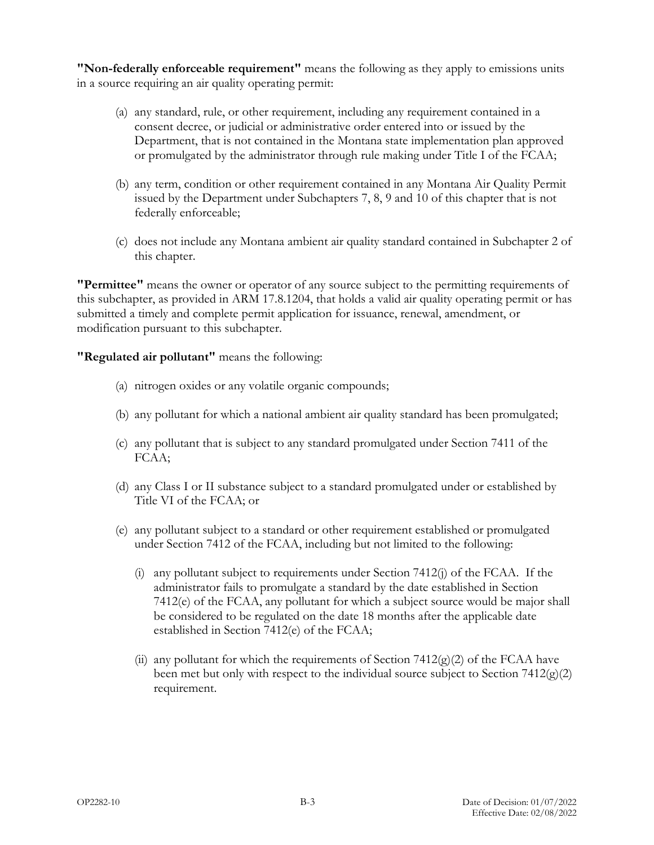**"Non-federally enforceable requirement"** means the following as they apply to emissions units in a source requiring an air quality operating permit:

- (a) any standard, rule, or other requirement, including any requirement contained in a consent decree, or judicial or administrative order entered into or issued by the Department, that is not contained in the Montana state implementation plan approved or promulgated by the administrator through rule making under Title I of the FCAA;
- (b) any term, condition or other requirement contained in any Montana Air Quality Permit issued by the Department under Subchapters 7, 8, 9 and 10 of this chapter that is not federally enforceable;
- (c) does not include any Montana ambient air quality standard contained in Subchapter 2 of this chapter.

**"Permittee"** means the owner or operator of any source subject to the permitting requirements of this subchapter, as provided in ARM 17.8.1204, that holds a valid air quality operating permit or has submitted a timely and complete permit application for issuance, renewal, amendment, or modification pursuant to this subchapter.

**"Regulated air pollutant"** means the following:

- (a) nitrogen oxides or any volatile organic compounds;
- (b) any pollutant for which a national ambient air quality standard has been promulgated;
- (c) any pollutant that is subject to any standard promulgated under Section 7411 of the FCAA;
- (d) any Class I or II substance subject to a standard promulgated under or established by Title VI of the FCAA; or
- (e) any pollutant subject to a standard or other requirement established or promulgated under Section 7412 of the FCAA, including but not limited to the following:
	- (i) any pollutant subject to requirements under Section  $7412(j)$  of the FCAA. If the administrator fails to promulgate a standard by the date established in Section 7412(e) of the FCAA, any pollutant for which a subject source would be major shall be considered to be regulated on the date 18 months after the applicable date established in Section 7412(e) of the FCAA;
	- (ii) any pollutant for which the requirements of Section  $7412(g)(2)$  of the FCAA have been met but only with respect to the individual source subject to Section  $7412(g)(2)$ requirement.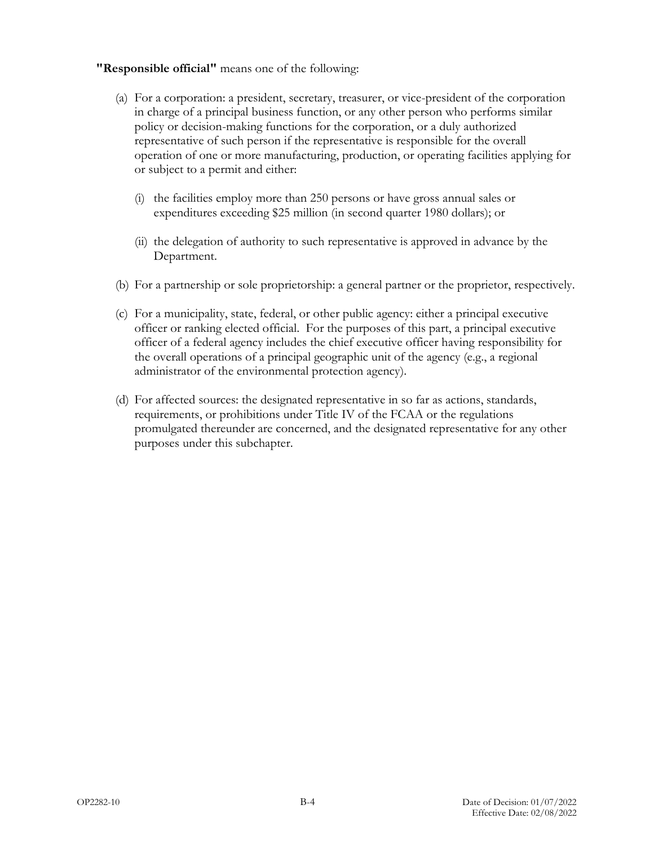#### **"Responsible official"** means one of the following:

- (a) For a corporation: a president, secretary, treasurer, or vice-president of the corporation in charge of a principal business function, or any other person who performs similar policy or decision-making functions for the corporation, or a duly authorized representative of such person if the representative is responsible for the overall operation of one or more manufacturing, production, or operating facilities applying for or subject to a permit and either:
	- (i) the facilities employ more than 250 persons or have gross annual sales or expenditures exceeding \$25 million (in second quarter 1980 dollars); or
	- (ii) the delegation of authority to such representative is approved in advance by the Department.
- (b) For a partnership or sole proprietorship: a general partner or the proprietor, respectively.
- (c) For a municipality, state, federal, or other public agency: either a principal executive officer or ranking elected official. For the purposes of this part, a principal executive officer of a federal agency includes the chief executive officer having responsibility for the overall operations of a principal geographic unit of the agency (e.g., a regional administrator of the environmental protection agency).
- (d) For affected sources: the designated representative in so far as actions, standards, requirements, or prohibitions under Title IV of the FCAA or the regulations promulgated thereunder are concerned, and the designated representative for any other purposes under this subchapter.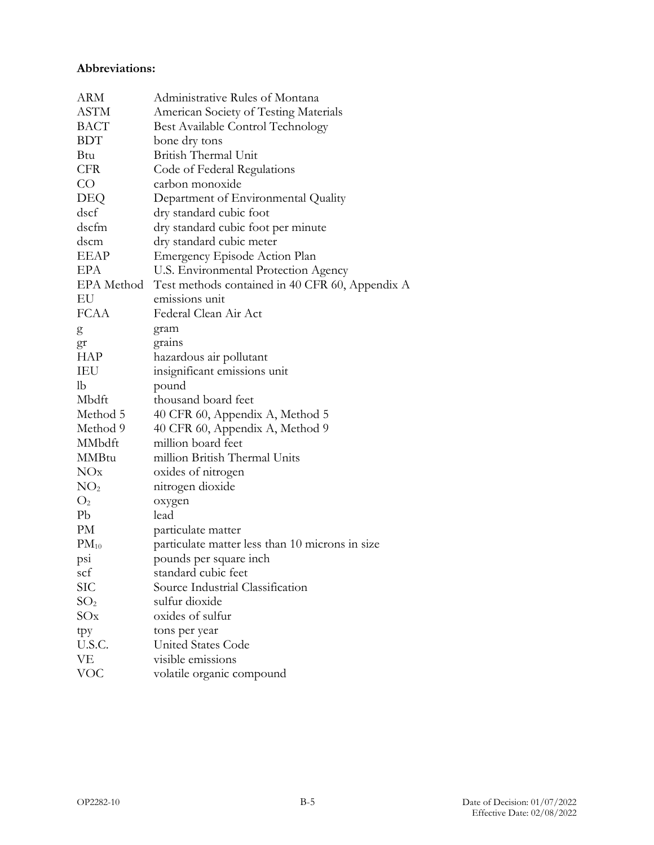#### **Abbreviations:**

| ARM             | Administrative Rules of Montana                 |
|-----------------|-------------------------------------------------|
| <b>ASTM</b>     | American Society of Testing Materials           |
| <b>BACT</b>     | Best Available Control Technology               |
| <b>BDT</b>      | bone dry tons                                   |
| Btu             | British Thermal Unit                            |
| <b>CFR</b>      | Code of Federal Regulations                     |
| CO              | carbon monoxide                                 |
| DEQ             | Department of Environmental Quality             |
| dscf            | dry standard cubic foot                         |
| dscfm           | dry standard cubic foot per minute              |
| dscm            | dry standard cubic meter                        |
| <b>EEAP</b>     | <b>Emergency Episode Action Plan</b>            |
| EPA             | U.S. Environmental Protection Agency            |
| EPA Method      | Test methods contained in 40 CFR 60, Appendix A |
| EU              | emissions unit                                  |
| <b>FCAA</b>     | Federal Clean Air Act                           |
| g               | gram                                            |
| gr              | grains                                          |
| <b>HAP</b>      | hazardous air pollutant                         |
| IEU             | insignificant emissions unit                    |
| lb              | pound                                           |
| Mbdft           | thousand board feet                             |
| Method 5        | 40 CFR 60, Appendix A, Method 5                 |
| Method 9        | 40 CFR 60, Appendix A, Method 9                 |
| MMbdft          | million board feet                              |
| <b>MMBtu</b>    | million British Thermal Units                   |
| NOx             | oxides of nitrogen                              |
| NO <sub>2</sub> | nitrogen dioxide                                |
| O <sub>2</sub>  | oxygen                                          |
| Pb              | lead                                            |
| PМ              | particulate matter                              |
| $PM_{10}$       | particulate matter less than 10 microns in size |
| psi             | pounds per square inch                          |
| scf             | standard cubic feet                             |
| <b>SIC</b>      | Source Industrial Classification                |
| SO <sub>2</sub> | sulfur dioxide                                  |
| SOx             | oxides of sulfur                                |
| tpy             | tons per year                                   |
| U.S.C.          | United States Code                              |
| VE              | visible emissions                               |
| <b>VOC</b>      | volatile organic compound                       |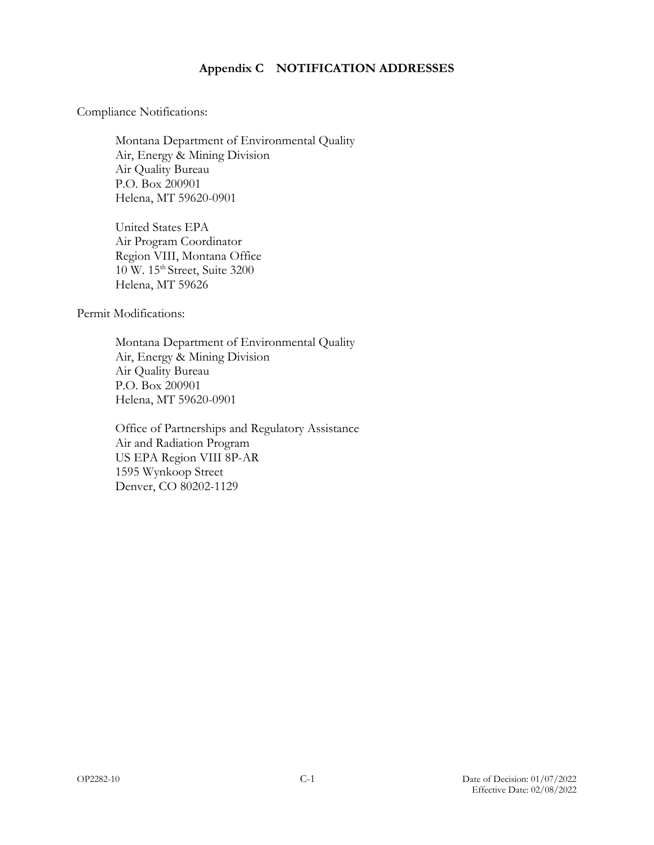#### **Appendix C NOTIFICATION ADDRESSES**

<span id="page-58-0"></span>Compliance Notifications:

Montana Department of Environmental Quality Air, Energy & Mining Division Air Quality Bureau P.O. Box 200901 Helena, MT 59620-0901

United States EPA Air Program Coordinator Region VIII, Montana Office 10 W. 15th Street, Suite 3200 Helena, MT 59626

Permit Modifications:

Montana Department of Environmental Quality Air, Energy & Mining Division Air Quality Bureau P.O. Box 200901 Helena, MT 59620-0901

Office of Partnerships and Regulatory Assistance Air and Radiation Program US EPA Region VIII 8P-AR 1595 Wynkoop Street Denver, CO 80202-1129